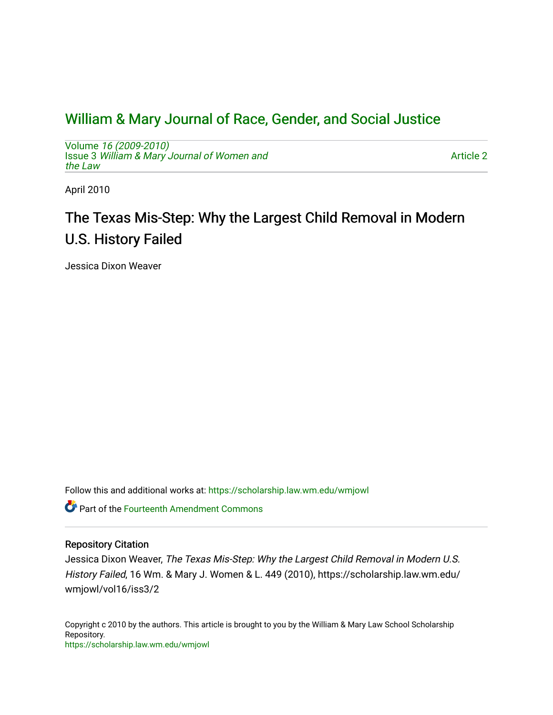## [William & Mary Journal of Race, Gender, and Social Justice](https://scholarship.law.wm.edu/wmjowl)

Volume [16 \(2009-2010\)](https://scholarship.law.wm.edu/wmjowl/vol16)  Issue 3 [William & Mary Journal of Women and](https://scholarship.law.wm.edu/wmjowl/vol16/iss3) [the Law](https://scholarship.law.wm.edu/wmjowl/vol16/iss3)

[Article 2](https://scholarship.law.wm.edu/wmjowl/vol16/iss3/2) 

April 2010

# The Texas Mis-Step: Why the Largest Child Removal in Modern U.S. History Failed

Jessica Dixon Weaver

Follow this and additional works at: [https://scholarship.law.wm.edu/wmjowl](https://scholarship.law.wm.edu/wmjowl?utm_source=scholarship.law.wm.edu%2Fwmjowl%2Fvol16%2Fiss3%2F2&utm_medium=PDF&utm_campaign=PDFCoverPages) 

Part of the [Fourteenth Amendment Commons](http://network.bepress.com/hgg/discipline/1116?utm_source=scholarship.law.wm.edu%2Fwmjowl%2Fvol16%2Fiss3%2F2&utm_medium=PDF&utm_campaign=PDFCoverPages)

## Repository Citation

Jessica Dixon Weaver, The Texas Mis-Step: Why the Largest Child Removal in Modern U.S. History Failed, 16 Wm. & Mary J. Women & L. 449 (2010), https://scholarship.law.wm.edu/ wmjowl/vol16/iss3/2

Copyright c 2010 by the authors. This article is brought to you by the William & Mary Law School Scholarship Repository. <https://scholarship.law.wm.edu/wmjowl>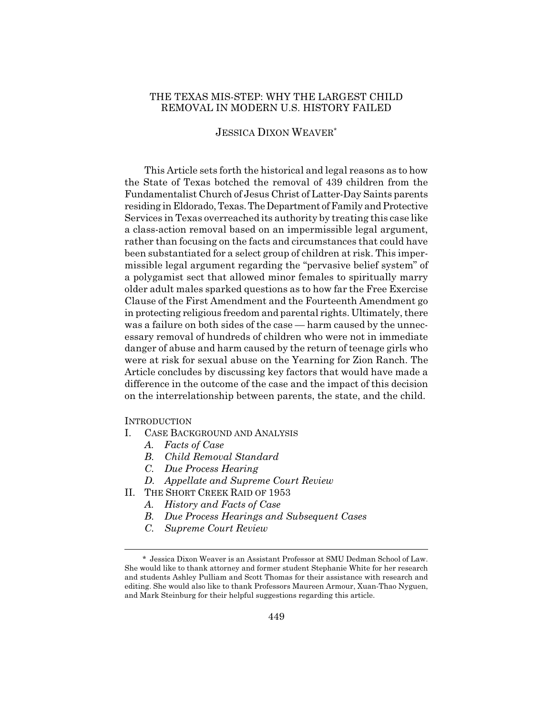## THE TEXAS MIS-STEP: WHY THE LARGEST CHILD REMOVAL IN MODERN U.S. HISTORY FAILED

## JESSICA DIXON WEAVER\*

This Article sets forth the historical and legal reasons as to how the State of Texas botched the removal of 439 children from the Fundamentalist Church of Jesus Christ of Latter-Day Saints parents residing in Eldorado, Texas. The Department of Family and Protective Services in Texas overreached its authority by treating this case like a class-action removal based on an impermissible legal argument, rather than focusing on the facts and circumstances that could have been substantiated for a select group of children at risk. This impermissible legal argument regarding the "pervasive belief system" of a polygamist sect that allowed minor females to spiritually marry older adult males sparked questions as to how far the Free Exercise Clause of the First Amendment and the Fourteenth Amendment go in protecting religious freedom and parental rights. Ultimately, there was a failure on both sides of the case — harm caused by the unnecessary removal of hundreds of children who were not in immediate danger of abuse and harm caused by the return of teenage girls who were at risk for sexual abuse on the Yearning for Zion Ranch. The Article concludes by discussing key factors that would have made a difference in the outcome of the case and the impact of this decision on the interrelationship between parents, the state, and the child.

## **INTRODUCTION**

- I. CASE BACKGROUND AND ANALYSIS
	- *A. Facts of Case*
	- *B. Child Removal Standard*
	- *C. Due Process Hearing*
	- *D. Appellate and Supreme Court Review*
- II. THE SHORT CREEK RAID OF 1953
	- *A. History and Facts of Case*
	- *B. Due Process Hearings and Subsequent Cases*
	- *C. Supreme Court Review*

<sup>\*</sup> Jessica Dixon Weaver is an Assistant Professor at SMU Dedman School of Law. She would like to thank attorney and former student Stephanie White for her research and students Ashley Pulliam and Scott Thomas for their assistance with research and editing. She would also like to thank Professors Maureen Armour, Xuan-Thao Nyguen, and Mark Steinburg for their helpful suggestions regarding this article.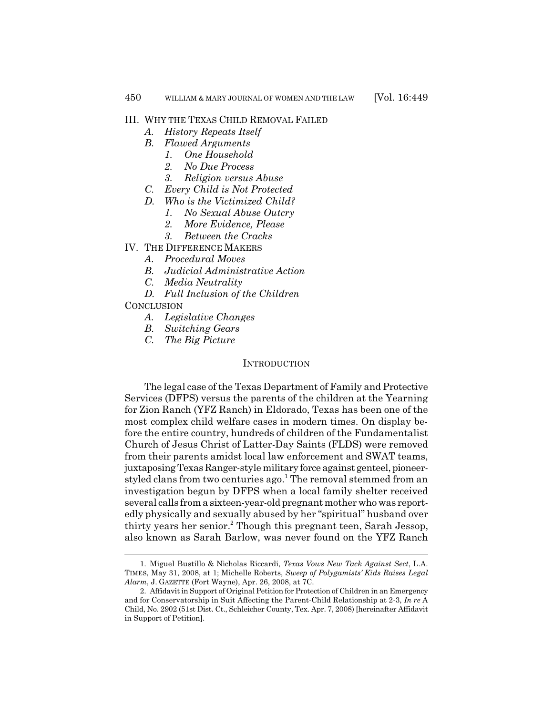## III. WHY THE TEXAS CHILD REMOVAL FAILED

- *A. History Repeats Itself*
- *B. Flawed Arguments*
	- *1. One Household*
	- *2. No Due Process*
	- *3. Religion versus Abuse*
- *C. Every Child is Not Protected*
- *D. Who is the Victimized Child?*
	- *1. No Sexual Abuse Outcry*
	- *2. More Evidence, Please*
	- *3. Between the Cracks*
- IV. THE DIFFERENCE MAKERS
	- *A. Procedural Moves*
	- *B. Judicial Administrative Action*
	- *C. Media Neutrality*
	- *D. Full Inclusion of the Children*

## **CONCLUSION**

- *A. Legislative Changes*
- *B. Switching Gears*
- *C. The Big Picture*

#### INTRODUCTION

The legal case of the Texas Department of Family and Protective Services (DFPS) versus the parents of the children at the Yearning for Zion Ranch (YFZ Ranch) in Eldorado, Texas has been one of the most complex child welfare cases in modern times. On display before the entire country, hundreds of children of the Fundamentalist Church of Jesus Christ of Latter-Day Saints (FLDS) were removed from their parents amidst local law enforcement and SWAT teams, juxtaposing Texas Ranger-style military force against genteel, pioneerstyled clans from two centuries ago.<sup>1</sup> The removal stemmed from an investigation begun by DFPS when a local family shelter received several calls from a sixteen-year-old pregnant mother who was reportedly physically and sexually abused by her "spiritual" husband over thirty years her senior.<sup>2</sup> Though this pregnant teen, Sarah Jessop, also known as Sarah Barlow, was never found on the YFZ Ranch

<sup>1.</sup> Miguel Bustillo & Nicholas Riccardi, *Texas Vows New Tack Against Sect*, L.A. TIMES, May 31, 2008, at 1; Michelle Roberts, *Sweep of Polygamists' Kids Raises Legal Alarm*, J. GAZETTE (Fort Wayne), Apr. 26, 2008, at 7C.

<sup>2.</sup> Affidavit in Support of Original Petition for Protection of Children in an Emergency and for Conservatorship in Suit Affecting the Parent-Child Relationship at 2-3, *In re* A Child, No. 2902 (51st Dist. Ct., Schleicher County, Tex. Apr. 7, 2008) [hereinafter Affidavit in Support of Petition].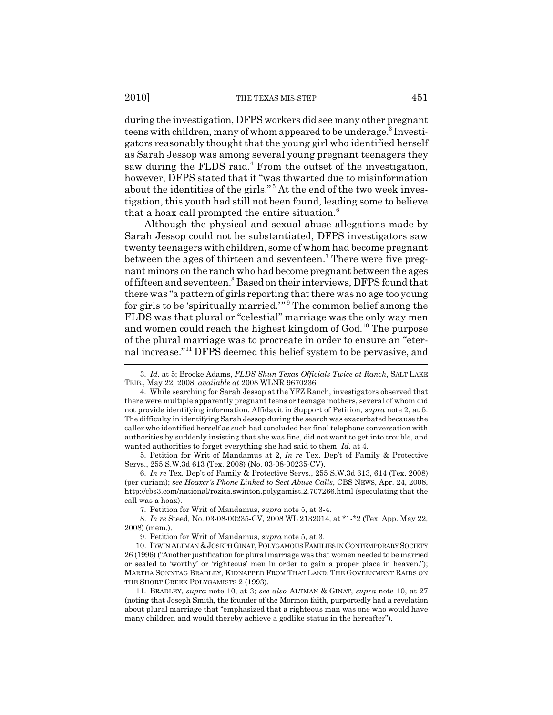during the investigation, DFPS workers did see many other pregnant teens with children, many of whom appeared to be underage.<sup>3</sup> Investigators reasonably thought that the young girl who identified herself as Sarah Jessop was among several young pregnant teenagers they saw during the FLDS raid.<sup>4</sup> From the outset of the investigation, however, DFPS stated that it "was thwarted due to misinformation about the identities of the girls."<sup>5</sup> At the end of the two week investigation, this youth had still not been found, leading some to believe that a hoax call prompted the entire situation. $<sup>6</sup>$ </sup>

Although the physical and sexual abuse allegations made by Sarah Jessop could not be substantiated, DFPS investigators saw twenty teenagers with children, some of whom had become pregnant between the ages of thirteen and seventeen.<sup>7</sup> There were five pregnant minors on the ranch who had become pregnant between the ages of fifteen and seventeen.<sup>8</sup> Based on their interviews, DFPS found that there was "a pattern of girls reporting that there was no age too young for girls to be 'spiritually married.'"<sup>9</sup> The common belief among the FLDS was that plural or "celestial" marriage was the only way men and women could reach the highest kingdom of God.<sup>10</sup> The purpose of the plural marriage was to procreate in order to ensure an "eternal increase."11 DFPS deemed this belief system to be pervasive, and

5. Petition for Writ of Mandamus at 2, *In re* Tex. Dep't of Family & Protective Servs., 255 S.W.3d 613 (Tex. 2008) (No. 03-08-00235-CV).

6. *In re* Tex. Dep't of Family & Protective Servs., 255 S.W.3d 613, 614 (Tex. 2008) (per curiam); *see Hoaxer's Phone Linked to Sect Abuse Calls*, CBS NEWS, Apr. 24, 2008, http://cbs3.com/national/rozita.swinton.polygamist.2.707266.html (speculating that the call was a hoax).

7. Petition for Writ of Mandamus, *supra* note 5, at 3-4.

8. *In re* Steed, No. 03-08-00235-CV, 2008 WL 2132014, at \*1-\*2 (Tex. App. May 22, 2008) (mem.).

9. Petition for Writ of Mandamus, *supra* note 5, at 3.

10. IRWIN ALTMAN &JOSEPH GINAT, POLYGAMOUS FAMILIES IN CONTEMPORARY SOCIETY 26 (1996) ("Another justification for plural marriage was that women needed to be married or sealed to 'worthy' or 'righteous' men in order to gain a proper place in heaven."); MARTHA SONNTAG BRADLEY, KIDNAPPED FROM THAT LAND: THE GOVERNMENT RAIDS ON THE SHORT CREEK POLYGAMISTS 2 (1993).

11. BRADLEY, *supra* note 10, at 3; *see also* ALTMAN & GINAT, *supra* note 10, at 27 (noting that Joseph Smith, the founder of the Mormon faith, purportedly had a revelation about plural marriage that "emphasized that a righteous man was one who would have many children and would thereby achieve a godlike status in the hereafter").

<sup>3.</sup> *Id.* at 5; Brooke Adams, *FLDS Shun Texas Officials Twice at Ranch*, SALT LAKE TRIB., May 22, 2008, *available at* 2008 WLNR 9670236.

<sup>4.</sup> While searching for Sarah Jessop at the YFZ Ranch, investigators observed that there were multiple apparently pregnant teens or teenage mothers, several of whom did not provide identifying information. Affidavit in Support of Petition, *supra* note 2, at 5. The difficulty in identifying Sarah Jessop during the search was exacerbated because the caller who identified herself as such had concluded her final telephone conversation with authorities by suddenly insisting that she was fine, did not want to get into trouble, and wanted authorities to forget everything she had said to them. *Id.* at 4.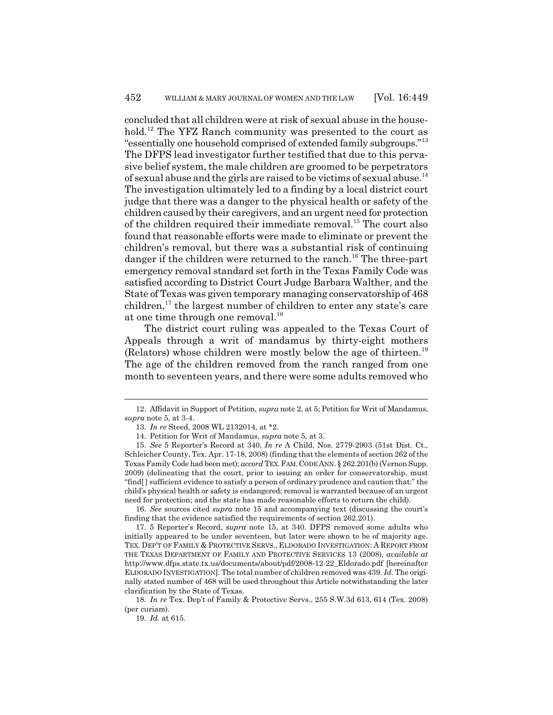concluded that all children were at risk of sexual abuse in the household.<sup>12</sup> The YFZ Ranch community was presented to the court as "essentially one household comprised of extended family subgroups."<sup>13</sup> The DFPS lead investigator further testified that due to this pervasive belief system, the male children are groomed to be perpetrators of sexual abuse and the girls are raised to be victims of sexual abuse.<sup>14</sup> The investigation ultimately led to a finding by a local district court judge that there was a danger to the physical health or safety of the children caused by their caregivers, and an urgent need for protection of the children required their immediate removal.<sup>15</sup> The court also found that reasonable efforts were made to eliminate or prevent the children's removal, but there was a substantial risk of continuing danger if the children were returned to the ranch.<sup>16</sup> The three-part emergency removal standard set forth in the Texas Family Code was satisfied according to District Court Judge Barbara Walther, and the State of Texas was given temporary managing conservatorship of 468 children,<sup>17</sup> the largest number of children to enter any state's care at one time through one removal.<sup>18</sup>

The district court ruling was appealed to the Texas Court of Appeals through a writ of mandamus by thirty-eight mothers (Relators) whose children were mostly below the age of thirteen.<sup>19</sup> The age of the children removed from the ranch ranged from one month to seventeen years, and there were some adults removed who

16. *See* sources cited *supra* note 15 and accompanying text (discussing the court's finding that the evidence satisfied the requirements of section 262.201).

17. 5 Reporter's Record, *supra* note 15, at 340. DFPS removed some adults who initially appeared to be under seventeen, but later were shown to be of majority age. TEX. DEP'T OF FAMILY & PROTECTIVE SERVS., ELDORADO INVESTIGATION: A REPORT FROM THE TEXAS DEPARTMENT OF FAMILY AND PROTECTIVE SERVICES 13 (2008), *available at* http://www.dfps.state.tx.us/documents/about/pdf/2008-12-22\_Eldorado.pdf [hereinafter ELDORADO INVESTIGATION]. The total number of children removed was 439. *Id.* The originally stated number of 468 will be used throughout this Article notwithstanding the later clarification by the State of Texas.

18. *In re* Tex. Dep't of Family & Protective Servs., 255 S.W.3d 613, 614 (Tex. 2008) (per curiam).

19. *Id.* at 615.

<sup>12.</sup> Affidavit in Support of Petition, *supra* note 2, at 5; Petition for Writ of Mandamus, *supra* note 5, at 3-4.

<sup>13.</sup> *In re* Steed, 2008 WL 2132014, at \*2.

<sup>14.</sup> Petition for Writ of Mandamus, *supra* note 5, at 3.

<sup>15.</sup> *See* 5 Reporter's Record at 340, *In re* A Child, Nos. 2779-2903 (51st Dist. Ct., Schleicher County, Tex. Apr. 17-18, 2008) (finding that the elements of section 262 of the Texas Family Code had been met); *accord* TEX.FAM.CODE ANN. § 262.201(b) (Vernon Supp. 2009) (delineating that the court, prior to issuing an order for conservatorship, must "find[ ] sufficient evidence to satisfy a person of ordinary prudence and caution that:" the child's physical health or safety is endangered; removal is warranted because of an urgent need for protection; and the state has made reasonable efforts to return the child).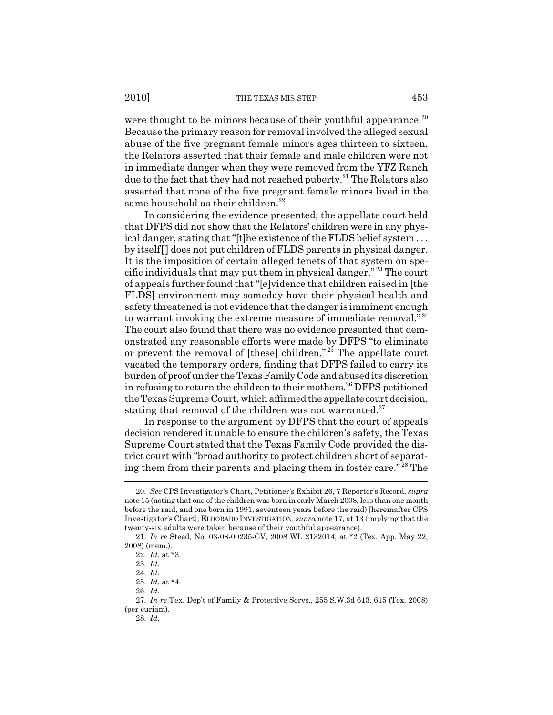were thought to be minors because of their youthful appearance.<sup>20</sup> Because the primary reason for removal involved the alleged sexual abuse of the five pregnant female minors ages thirteen to sixteen, the Relators asserted that their female and male children were not in immediate danger when they were removed from the YFZ Ranch due to the fact that they had not reached puberty.<sup>21</sup> The Relators also asserted that none of the five pregnant female minors lived in the same household as their children.<sup>22</sup>

In considering the evidence presented, the appellate court held that DFPS did not show that the Relators' children were in any physical danger, stating that "[t]he existence of the FLDS belief system . . . by itself[] does not put children of FLDS parents in physical danger. It is the imposition of certain alleged tenets of that system on specific individuals that may put them in physical danger." 23 The court of appeals further found that "[e]vidence that children raised in [the FLDS] environment may someday have their physical health and safety threatened is not evidence that the danger is imminent enough to warrant invoking the extreme measure of immediate removal."<sup>24</sup> The court also found that there was no evidence presented that demonstrated any reasonable efforts were made by DFPS "to eliminate or prevent the removal of [these] children." $25$  The appellate court vacated the temporary orders, finding that DFPS failed to carry its burden of proof under the Texas Family Code and abused its discretion in refusing to return the children to their mothers.<sup>26</sup> DFPS petitioned the Texas Supreme Court, which affirmed the appellate court decision, stating that removal of the children was not warranted. $27$ 

In response to the argument by DFPS that the court of appeals decision rendered it unable to ensure the children's safety, the Texas Supreme Court stated that the Texas Family Code provided the district court with "broad authority to protect children short of separating them from their parents and placing them in foster care." 28 The

<sup>20.</sup> *See* CPS Investigator's Chart, Petitioner's Exhibit 26, 7 Reporter's Record, *supra* note 15 (noting that one of the children was born in early March 2008, less than one month before the raid, and one born in 1991, seventeen years before the raid) [hereinafter CPS Investigator's Chart]; ELDORADO INVESTIGATION, *supra* note 17, at 13 (implying that the twenty-six adults were taken because of their youthful appearance).

<sup>21.</sup> *In re* Steed, No. 03-08-00235-CV, 2008 WL 2132014, at \*2 (Tex. App. May 22, 2008) (mem.).

<sup>22.</sup> *Id.* at \*3.

<sup>23.</sup> *Id.*

<sup>24.</sup> *Id.*

<sup>25.</sup> *Id.* at \*4.

<sup>26.</sup> *Id.*

<sup>27.</sup> *In re* Tex. Dep't of Family & Protective Servs., 255 S.W.3d 613, 615 (Tex. 2008) (per curiam).

<sup>28.</sup> *Id.*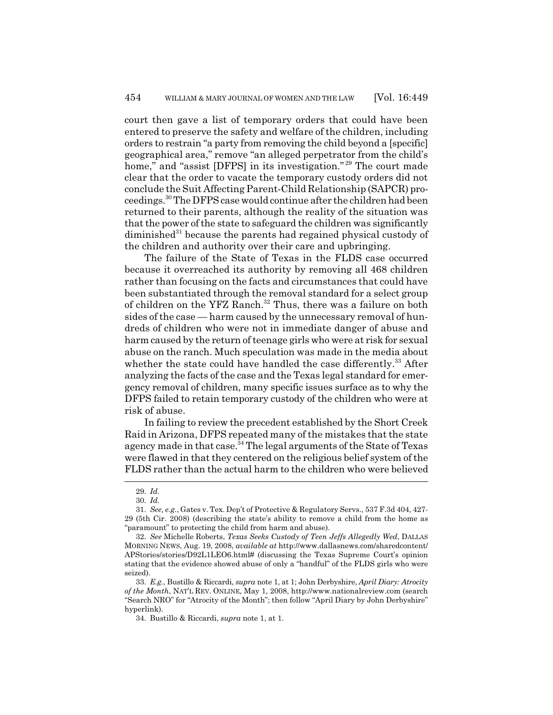court then gave a list of temporary orders that could have been entered to preserve the safety and welfare of the children, including orders to restrain "a party from removing the child beyond a [specific] geographical area," remove "an alleged perpetrator from the child's home," and "assist [DFPS] in its investigation."<sup>29</sup> The court made clear that the order to vacate the temporary custody orders did not conclude the Suit Affecting Parent-Child Relationship (SAPCR) proceedings.30 The DFPS case would continue after the children had been returned to their parents, although the reality of the situation was that the power of the state to safeguard the children was significantly  $diminished<sup>31</sup> because the parents had regarded physical custody of$ the children and authority over their care and upbringing.

The failure of the State of Texas in the FLDS case occurred because it overreached its authority by removing all 468 children rather than focusing on the facts and circumstances that could have been substantiated through the removal standard for a select group of children on the YFZ Ranch.<sup>32</sup> Thus, there was a failure on both sides of the case — harm caused by the unnecessary removal of hundreds of children who were not in immediate danger of abuse and harm caused by the return of teenage girls who were at risk for sexual abuse on the ranch. Much speculation was made in the media about whether the state could have handled the case differently.<sup>33</sup> After analyzing the facts of the case and the Texas legal standard for emergency removal of children, many specific issues surface as to why the DFPS failed to retain temporary custody of the children who were at risk of abuse.

In failing to review the precedent established by the Short Creek Raid in Arizona, DFPS repeated many of the mistakes that the state agency made in that case.<sup>34</sup> The legal arguments of the State of Texas were flawed in that they centered on the religious belief system of the FLDS rather than the actual harm to the children who were believed

<sup>29.</sup> *Id.*

<sup>30.</sup> *Id.*

<sup>31.</sup> *See, e.g.*, Gates v. Tex. Dep't of Protective & Regulatory Servs., 537 F.3d 404, 427- 29 (5th Cir. 2008) (describing the state's ability to remove a child from the home as "paramount" to protecting the child from harm and abuse).

<sup>32.</sup> *See* Michelle Roberts, *Texas Seeks Custody of Teen Jeffs Allegedly Wed*, DALLAS MORNING NEWS, Aug. 19, 2008, *available at* http://www.dallasnews.com/sharedcontent/ APStories/stories/D92L1LEO6.html# (discussing the Texas Supreme Court's opinion stating that the evidence showed abuse of only a "handful" of the FLDS girls who were seized).

<sup>33.</sup> *E.g.*, Bustillo & Riccardi, *supra* note 1, at 1; John Derbyshire, *April Diary: Atrocity of the Month*, NAT'L REV. ONLINE, May 1, 2008, http://www.nationalreview.com (search "Search NRO" for "Atrocity of the Month"; then follow "April Diary by John Derbyshire" hyperlink).

<sup>34.</sup> Bustillo & Riccardi, *supra* note 1, at 1.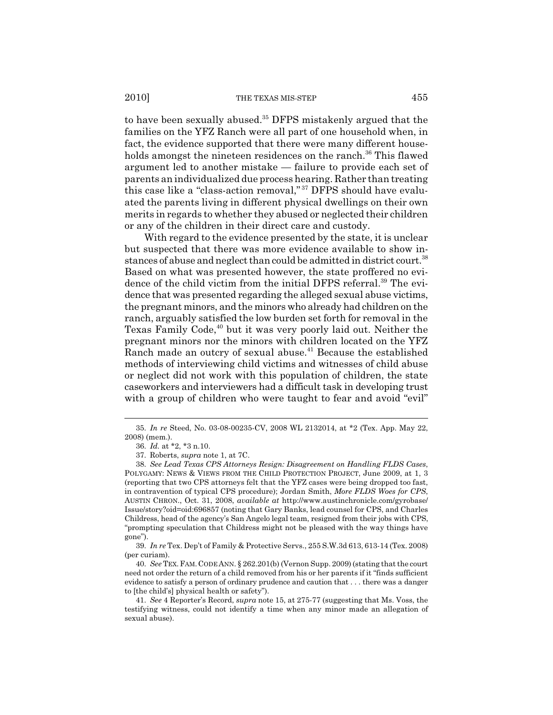to have been sexually abused.<sup>35</sup> DFPS mistakenly argued that the families on the YFZ Ranch were all part of one household when, in fact, the evidence supported that there were many different households amongst the nineteen residences on the ranch.<sup>36</sup> This flawed argument led to another mistake — failure to provide each set of parents an individualized due process hearing. Rather than treating this case like a "class-action removal,"<sup>37</sup> DFPS should have evaluated the parents living in different physical dwellings on their own merits in regards to whether they abused or neglected their children or any of the children in their direct care and custody.

With regard to the evidence presented by the state, it is unclear but suspected that there was more evidence available to show instances of abuse and neglect than could be admitted in district court.<sup>38</sup> Based on what was presented however, the state proffered no evidence of the child victim from the initial DFPS referral.<sup>39</sup> The evidence that was presented regarding the alleged sexual abuse victims, the pregnant minors, and the minors who already had children on the ranch, arguably satisfied the low burden set forth for removal in the Texas Family Code,<sup>40</sup> but it was very poorly laid out. Neither the pregnant minors nor the minors with children located on the YFZ Ranch made an outcry of sexual abuse.<sup>41</sup> Because the established methods of interviewing child victims and witnesses of child abuse or neglect did not work with this population of children, the state caseworkers and interviewers had a difficult task in developing trust with a group of children who were taught to fear and avoid "evil"

<sup>35.</sup> *In re* Steed, No. 03-08-00235-CV, 2008 WL 2132014, at \*2 (Tex. App. May 22, 2008) (mem.).

<sup>36.</sup> *Id.* at \*2, \*3 n.10.

<sup>37.</sup> Roberts, *supra* note 1, at 7C.

<sup>38.</sup> *See Lead Texas CPS Attorneys Resign: Disagreement on Handling FLDS Cases*, POLYGAMY: NEWS & VIEWS FROM THE CHILD PROTECTION PROJECT, June 2009, at 1, 3 (reporting that two CPS attorneys felt that the YFZ cases were being dropped too fast, in contravention of typical CPS procedure); Jordan Smith, *More FLDS Woes for CPS*, AUSTIN CHRON., Oct. 31, 2008, *available at* http://www.austinchronicle.com/gyrobase/ Issue/story?oid=oid:696857 (noting that Gary Banks, lead counsel for CPS, and Charles Childress, head of the agency's San Angelo legal team, resigned from their jobs with CPS, "prompting speculation that Childress might not be pleased with the way things have gone").

<sup>39.</sup> *In re* Tex. Dep't of Family & Protective Servs., 255 S.W.3d 613, 613-14 (Tex. 2008) (per curiam).

<sup>40.</sup> *See* TEX.FAM.CODE ANN. § 262.201(b) (Vernon Supp. 2009) (stating that the court need not order the return of a child removed from his or her parents if it "finds sufficient evidence to satisfy a person of ordinary prudence and caution that . . . there was a danger to [the child's] physical health or safety").

<sup>41.</sup> *See* 4 Reporter's Record, *supra* note 15, at 275-77 (suggesting that Ms. Voss, the testifying witness, could not identify a time when any minor made an allegation of sexual abuse).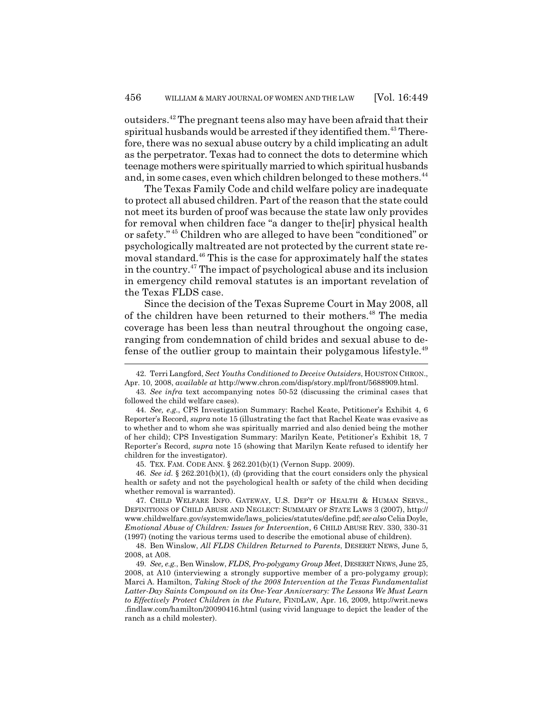outsiders.42 The pregnant teens also may have been afraid that their spiritual husbands would be arrested if they identified them.<sup>43</sup> Therefore, there was no sexual abuse outcry by a child implicating an adult as the perpetrator. Texas had to connect the dots to determine which teenage mothers were spiritually married to which spiritual husbands and, in some cases, even which children belonged to these mothers.<sup>44</sup>

The Texas Family Code and child welfare policy are inadequate to protect all abused children. Part of the reason that the state could not meet its burden of proof was because the state law only provides for removal when children face "a danger to the[ir] physical health or safety." 45 Children who are alleged to have been "conditioned" or psychologically maltreated are not protected by the current state removal standard.<sup>46</sup> This is the case for approximately half the states in the country.47 The impact of psychological abuse and its inclusion in emergency child removal statutes is an important revelation of the Texas FLDS case.

Since the decision of the Texas Supreme Court in May 2008, all of the children have been returned to their mothers.<sup>48</sup> The media coverage has been less than neutral throughout the ongoing case, ranging from condemnation of child brides and sexual abuse to defense of the outlier group to maintain their polygamous lifestyle.49

45. TEX. FAM. CODE ANN. § 262.201(b)(1) (Vernon Supp. 2009).

46. *See id.* § 262.201(b)(1), (d) (providing that the court considers only the physical health or safety and not the psychological health or safety of the child when deciding whether removal is warranted).

47. CHILD WELFARE INFO. GATEWAY, U.S. DEP'T OF HEALTH & HUMAN SERVS., DEFINITIONS OF CHILD ABUSE AND NEGLECT: SUMMARY OF STATE LAWS 3 (2007), http:// www.childwelfare.gov/systemwide/laws\_policies/statutes/define.pdf; *see also* Celia Doyle, *Emotional Abuse of Children: Issues for Intervention*, 6 CHILD ABUSE REV. 330, 330-31 (1997) (noting the various terms used to describe the emotional abuse of children).

48. Ben Winslow, *All FLDS Children Returned to Parents*, DESERET NEWS, June 5, 2008, at A08.

49. *See, e.g.*, Ben Winslow, *FLDS, Pro-polygamy Group Meet*, DESERET NEWS, June 25, 2008, at A10 (interviewing a strongly supportive member of a pro-polygamy group); Marci A. Hamilton, *Taking Stock of the 2008 Intervention at the Texas Fundamentalist Latter-Day Saints Compound on its One-Year Anniversary: The Lessons We Must Learn to Effectively Protect Children in the Future*, FINDLAW, Apr. 16, 2009, http://writ.news .findlaw.com/hamilton/20090416.html (using vivid language to depict the leader of the ranch as a child molester).

<sup>42.</sup> Terri Langford, *Sect Youths Conditioned to Deceive Outsiders*, HOUSTON CHRON., Apr. 10, 2008, *available at* http://www.chron.com/disp/story.mpl/front/5688909.html.

<sup>43.</sup> *See infra* text accompanying notes 50-52 (discussing the criminal cases that followed the child welfare cases).

<sup>44.</sup> *See, e.g.*, CPS Investigation Summary: Rachel Keate, Petitioner's Exhibit 4, 6 Reporter's Record, *supra* note 15 (illustrating the fact that Rachel Keate was evasive as to whether and to whom she was spiritually married and also denied being the mother of her child); CPS Investigation Summary: Marilyn Keate, Petitioner's Exhibit 18, 7 Reporter's Record, *supra* note 15 (showing that Marilyn Keate refused to identify her children for the investigator).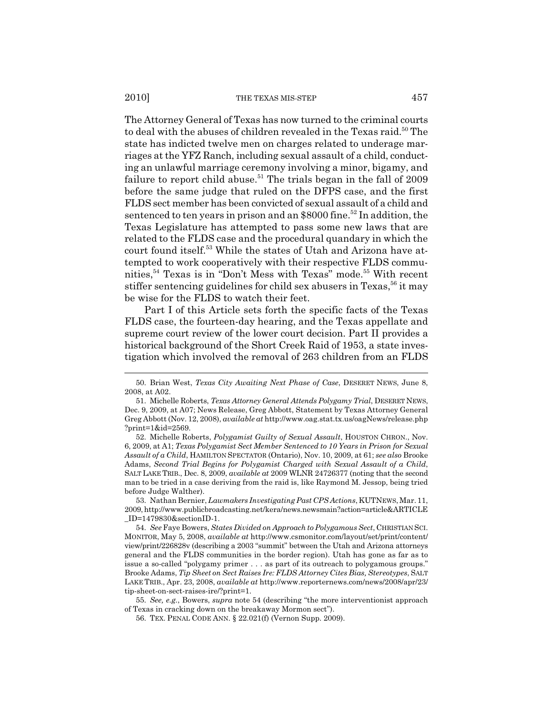The Attorney General of Texas has now turned to the criminal courts to deal with the abuses of children revealed in the Texas raid.<sup>50</sup> The state has indicted twelve men on charges related to underage marriages at the YFZ Ranch, including sexual assault of a child, conducting an unlawful marriage ceremony involving a minor, bigamy, and failure to report child abuse.<sup>51</sup> The trials began in the fall of  $2009$ before the same judge that ruled on the DFPS case, and the first FLDS sect member has been convicted of sexual assault of a child and sentenced to ten years in prison and an  $$8000$  fine.<sup>52</sup> In addition, the Texas Legislature has attempted to pass some new laws that are related to the FLDS case and the procedural quandary in which the court found itself.53 While the states of Utah and Arizona have attempted to work cooperatively with their respective FLDS communities,<sup>54</sup> Texas is in "Don't Mess with Texas" mode.<sup>55</sup> With recent stiffer sentencing guidelines for child sex abusers in Texas,  $56$  it may be wise for the FLDS to watch their feet.

Part I of this Article sets forth the specific facts of the Texas FLDS case, the fourteen-day hearing, and the Texas appellate and supreme court review of the lower court decision. Part II provides a historical background of the Short Creek Raid of 1953, a state investigation which involved the removal of 263 children from an FLDS

53. Nathan Bernier, *Lawmakers Investigating Past CPS Actions*, KUTNEWS, Mar. 11, 2009, http://www.publicbroadcasting.net/kera/news.newsmain?action=article&ARTICLE  $\_ID = 1479830$ &sectionID-1.

55. *See, e.g.*, Bowers, *supra* note 54 (describing "the more interventionist approach of Texas in cracking down on the breakaway Mormon sect").

56. TEX. PENAL CODE ANN. § 22.021(f) (Vernon Supp. 2009).

<sup>50.</sup> Brian West, *Texas City Awaiting Next Phase of Case*, DESERET NEWS, June 8, 2008, at A02.

<sup>51.</sup> Michelle Roberts, *Texas Attorney General Attends Polygamy Trial*, DESERET NEWS, Dec. 9, 2009, at A07; News Release, Greg Abbott, Statement by Texas Attorney General Greg Abbott (Nov. 12, 2008), *available at* http://www.oag.stat.tx.us/oagNews/release.php ?print=1&id=2569.

<sup>52.</sup> Michelle Roberts, *Polygamist Guilty of Sexual Assault*, HOUSTON CHRON., Nov. 6, 2009, at A1; *Texas Polygamist Sect Member Sentenced to 10 Years in Prison for Sexual Assault of a Child*, HAMILTON SPECTATOR (Ontario), Nov. 10, 2009, at 61; *see also* Brooke Adams, *Second Trial Begins for Polygamist Charged with Sexual Assault of a Child*, SALT LAKE TRIB., Dec. 8, 2009, *available at* 2009 WLNR 24726377 (noting that the second man to be tried in a case deriving from the raid is, like Raymond M. Jessop, being tried before Judge Walther).

<sup>54.</sup> *See* Faye Bowers, *States Divided on Approach to Polygamous Sect*, CHRISTIAN SCI. MONITOR, May 5, 2008, *available at* http://www.csmonitor.com/layout/set/print/content/ view/print/226828v (describing a 2003 "summit" between the Utah and Arizona attorneys general and the FLDS communities in the border region). Utah has gone as far as to issue a so-called "polygamy primer . . . as part of its outreach to polygamous groups." Brooke Adams, *Tip Sheet on Sect Raises Ire: FLDS Attorney Cites Bias, Stereotypes*, SALT LAKE TRIB., Apr. 23, 2008, *available at* http://www.reporternews.com/news/2008/apr/23/ tip-sheet-on-sect-raises-ire/?print=1.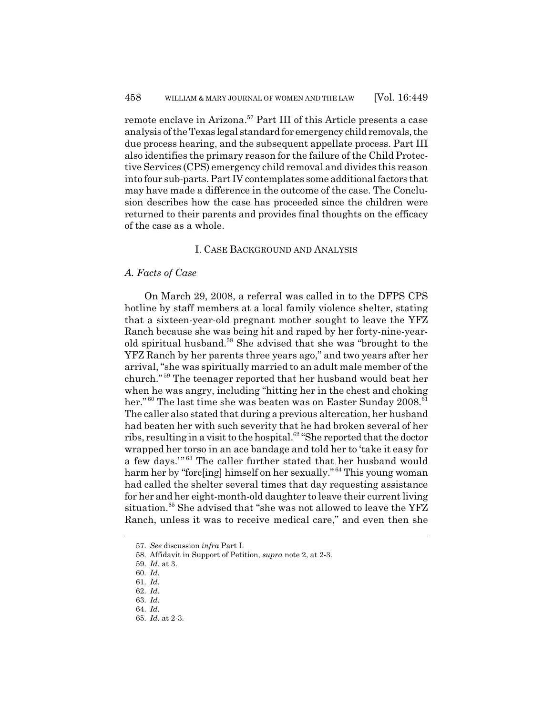remote enclave in Arizona.<sup>57</sup> Part III of this Article presents a case analysis of the Texas legal standard for emergency child removals, the due process hearing, and the subsequent appellate process. Part III also identifies the primary reason for the failure of the Child Protective Services (CPS) emergency child removal and divides this reason into four sub-parts. Part IV contemplates some additional factors that may have made a difference in the outcome of the case. The Conclusion describes how the case has proceeded since the children were returned to their parents and provides final thoughts on the efficacy of the case as a whole.

## I. CASE BACKGROUND AND ANALYSIS

## *A. Facts of Case*

On March 29, 2008, a referral was called in to the DFPS CPS hotline by staff members at a local family violence shelter, stating that a sixteen-year-old pregnant mother sought to leave the YFZ Ranch because she was being hit and raped by her forty-nine-yearold spiritual husband.58 She advised that she was "brought to the YFZ Ranch by her parents three years ago," and two years after her arrival, "she was spiritually married to an adult male member of the church." 59 The teenager reported that her husband would beat her when he was angry, including "hitting her in the chest and choking her."<sup>60</sup> The last time she was beaten was on Easter Sunday 2008.<sup>61</sup> The caller also stated that during a previous altercation, her husband had beaten her with such severity that he had broken several of her ribs, resulting in a visit to the hospital.<sup>62</sup> "She reported that the doctor wrapped her torso in an ace bandage and told her to 'take it easy for a few days."<sup>63</sup> The caller further stated that her husband would harm her by "forc[ing] himself on her sexually." 64 This young woman had called the shelter several times that day requesting assistance for her and her eight-month-old daughter to leave their current living situation.<sup>65</sup> She advised that "she was not allowed to leave the YFZ Ranch, unless it was to receive medical care," and even then she

<sup>57.</sup> *See* discussion *infra* Part I.

<sup>58.</sup> Affidavit in Support of Petition, *supra* note 2, at 2-3.

<sup>59.</sup> *Id.* at 3.

<sup>60.</sup> *Id.*

<sup>61.</sup> *Id.*

<sup>62.</sup> *Id.*

<sup>63.</sup> *Id.*

<sup>64.</sup> *Id.*

<sup>65.</sup> *Id.* at 2-3.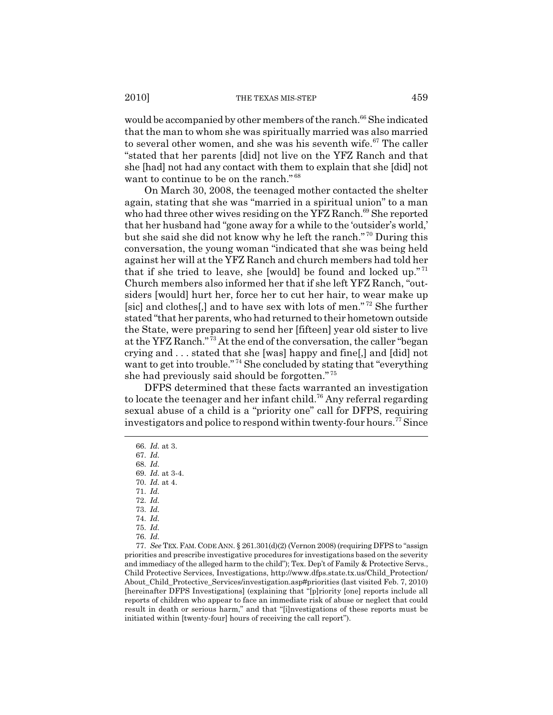would be accompanied by other members of the ranch.<sup>66</sup> She indicated that the man to whom she was spiritually married was also married to several other women, and she was his seventh wife.<sup>67</sup> The caller "stated that her parents [did] not live on the YFZ Ranch and that she [had] not had any contact with them to explain that she [did] not want to continue to be on the ranch."<sup>68</sup>

On March 30, 2008, the teenaged mother contacted the shelter again, stating that she was "married in a spiritual union" to a man who had three other wives residing on the YFZ Ranch.<sup>69</sup> She reported that her husband had "gone away for a while to the 'outsider's world,' but she said she did not know why he left the ranch." 70 During this conversation, the young woman "indicated that she was being held against her will at the YFZ Ranch and church members had told her that if she tried to leave, she [would] be found and locked up."<sup>71</sup> Church members also informed her that if she left YFZ Ranch, "outsiders [would] hurt her, force her to cut her hair, to wear make up [sic] and clothes[,] and to have sex with lots of men."<sup>72</sup> She further stated "that her parents, who had returned to their hometown outside the State, were preparing to send her [fifteen] year old sister to live at the YFZ Ranch." 73 At the end of the conversation, the caller "began crying and . . . stated that she [was] happy and fine[,] and [did] not want to get into trouble."<sup>74</sup> She concluded by stating that "everything" she had previously said should be forgotten." <sup>75</sup>

DFPS determined that these facts warranted an investigation to locate the teenager and her infant child.<sup>76</sup> Any referral regarding sexual abuse of a child is a "priority one" call for DFPS, requiring investigators and police to respond within twenty-four hours.<sup>77</sup> Since

<sup>66.</sup> *Id.* at 3.

<sup>67.</sup> *Id.*

<sup>68.</sup> *Id.* 69. *Id.* at 3-4.

<sup>70.</sup> *Id.* at 4.

<sup>71.</sup> *Id.*

<sup>72.</sup> *Id.*

<sup>73.</sup> *Id.*

<sup>74.</sup> *Id.*

<sup>75.</sup> *Id.*

<sup>76.</sup> *Id.*

<sup>77.</sup> *See* TEX.FAM. CODE ANN. § 261.301(d)(2) (Vernon 2008) (requiring DFPS to "assign priorities and prescribe investigative procedures for investigations based on the severity and immediacy of the alleged harm to the child"); Tex. Dep't of Family & Protective Servs., Child Protective Services, Investigations, http://www.dfps.state.tx.us/Child\_Protection/ About\_Child\_Protective\_Services/investigation.asp#priorities (last visited Feb. 7, 2010) [hereinafter DFPS Investigations] (explaining that "[p]riority [one] reports include all reports of children who appear to face an immediate risk of abuse or neglect that could result in death or serious harm," and that "[i]nvestigations of these reports must be initiated within [twenty-four] hours of receiving the call report").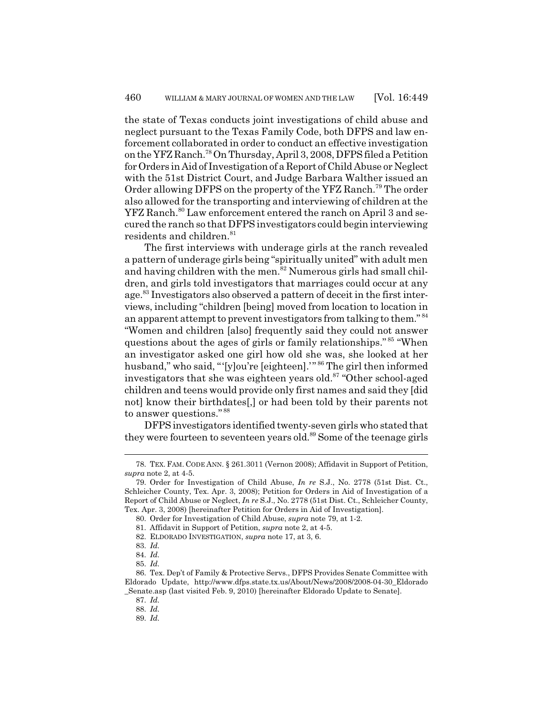the state of Texas conducts joint investigations of child abuse and neglect pursuant to the Texas Family Code, both DFPS and law enforcement collaborated in order to conduct an effective investigation on the YFZ Ranch.78 On Thursday, April 3, 2008, DFPS filed a Petition for Orders in Aid of Investigation of a Report of Child Abuse or Neglect with the 51st District Court, and Judge Barbara Walther issued an Order allowing DFPS on the property of the YFZ Ranch.79 The order also allowed for the transporting and interviewing of children at the YFZ Ranch.<sup>80</sup> Law enforcement entered the ranch on April 3 and secured the ranch so that DFPS investigators could begin interviewing residents and children.<sup>81</sup>

The first interviews with underage girls at the ranch revealed a pattern of underage girls being "spiritually united" with adult men and having children with the men.<sup>82</sup> Numerous girls had small children, and girls told investigators that marriages could occur at any age.<sup>83</sup> Investigators also observed a pattern of deceit in the first interviews, including "children [being] moved from location to location in an apparent attempt to prevent investigators from talking to them." <sup>84</sup> "Women and children [also] frequently said they could not answer questions about the ages of girls or family relationships." 85 "When an investigator asked one girl how old she was, she looked at her husband," who said, "'[y]ou're [eighteen]."<sup>86</sup> The girl then informed investigators that she was eighteen years old.<sup>87</sup> "Other school-aged children and teens would provide only first names and said they [did not] know their birthdates[,] or had been told by their parents not to answer questions." <sup>88</sup>

DFPS investigators identified twenty-seven girls who stated that they were fourteen to seventeen years old.<sup>89</sup> Some of the teenage girls

<sup>78.</sup> TEX. FAM. CODE ANN. § 261.3011 (Vernon 2008); Affidavit in Support of Petition, *supra* note 2, at 4-5.

<sup>79.</sup> Order for Investigation of Child Abuse, *In re* S.J., No. 2778 (51st Dist. Ct., Schleicher County, Tex. Apr. 3, 2008); Petition for Orders in Aid of Investigation of a Report of Child Abuse or Neglect, *In re* S.J., No. 2778 (51st Dist. Ct., Schleicher County, Tex. Apr. 3, 2008) [hereinafter Petition for Orders in Aid of Investigation].

<sup>80.</sup> Order for Investigation of Child Abuse, *supra* note 79, at 1-2.

<sup>81.</sup> Affidavit in Support of Petition, *supra* note 2, at 4-5.

<sup>82.</sup> ELDORADO INVESTIGATION, *supra* note 17, at 3, 6.

<sup>83.</sup> *Id.*

<sup>84.</sup> *Id.*

<sup>85.</sup> *Id.*

<sup>86.</sup> Tex. Dep't of Family & Protective Servs., DFPS Provides Senate Committee with Eldorado Update, http://www.dfps.state.tx.us/About/News/2008/2008-04-30\_Eldorado \_Senate.asp (last visited Feb. 9, 2010) [hereinafter Eldorado Update to Senate].

<sup>87.</sup> *Id.*

<sup>88.</sup> *Id.*

<sup>89.</sup> *Id.*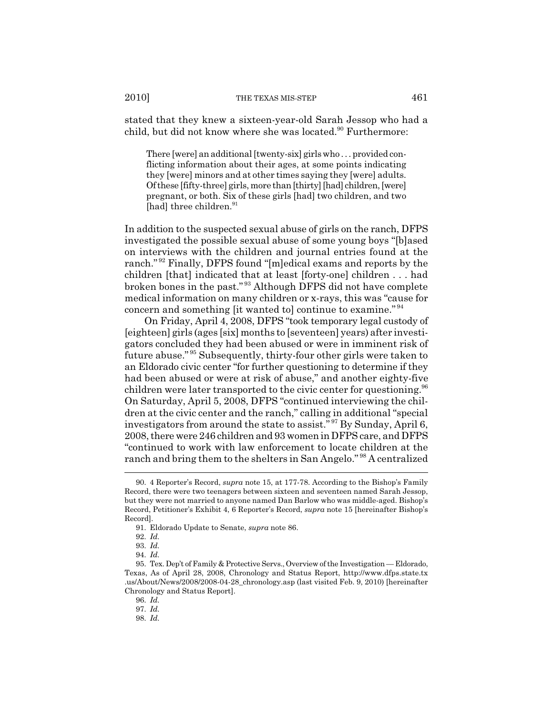stated that they knew a sixteen-year-old Sarah Jessop who had a child, but did not know where she was located.<sup>90</sup> Furthermore:

There [were] an additional [twenty-six] girls who . . . provided conflicting information about their ages, at some points indicating they [were] minors and at other times saying they [were] adults. Of these [fifty-three] girls, more than [thirty] [had] children, [were] pregnant, or both. Six of these girls [had] two children, and two [had] three children.<sup>91</sup>

In addition to the suspected sexual abuse of girls on the ranch, DFPS investigated the possible sexual abuse of some young boys "[b]ased on interviews with the children and journal entries found at the ranch." 92 Finally, DFPS found "[m]edical exams and reports by the children [that] indicated that at least [forty-one] children . . . had broken bones in the past." 93 Although DFPS did not have complete medical information on many children or x-rays, this was "cause for concern and something [it wanted to] continue to examine." <sup>94</sup>

On Friday, April 4, 2008, DFPS "took temporary legal custody of [eighteen] girls (ages [six] months to [seventeen] years) after investigators concluded they had been abused or were in imminent risk of future abuse." 95 Subsequently, thirty-four other girls were taken to an Eldorado civic center "for further questioning to determine if they had been abused or were at risk of abuse," and another eighty-five children were later transported to the civic center for questioning.<sup>96</sup> On Saturday, April 5, 2008, DFPS "continued interviewing the children at the civic center and the ranch," calling in additional "special investigators from around the state to assist." 97 By Sunday, April 6, 2008, there were 246 children and 93 women in DFPS care, and DFPS "continued to work with law enforcement to locate children at the ranch and bring them to the shelters in San Angelo." 98 A centralized

<sup>90. 4</sup> Reporter's Record, *supra* note 15, at 177-78. According to the Bishop's Family Record, there were two teenagers between sixteen and seventeen named Sarah Jessop, but they were not married to anyone named Dan Barlow who was middle-aged. Bishop's Record, Petitioner's Exhibit 4, 6 Reporter's Record, *supra* note 15 [hereinafter Bishop's Record].

<sup>91.</sup> Eldorado Update to Senate, *supra* note 86.

<sup>92.</sup> *Id.*

<sup>93.</sup> *Id.*

<sup>94.</sup> *Id.*

<sup>95.</sup> Tex. Dep't of Family & Protective Servs., Overview of the Investigation — Eldorado, Texas, As of April 28, 2008, Chronology and Status Report, http://www.dfps.state.tx .us/About/News/2008/2008-04-28\_chronology.asp (last visited Feb. 9, 2010) [hereinafter Chronology and Status Report].

<sup>96.</sup> *Id.*

<sup>97.</sup> *Id.*

<sup>98.</sup> *Id.*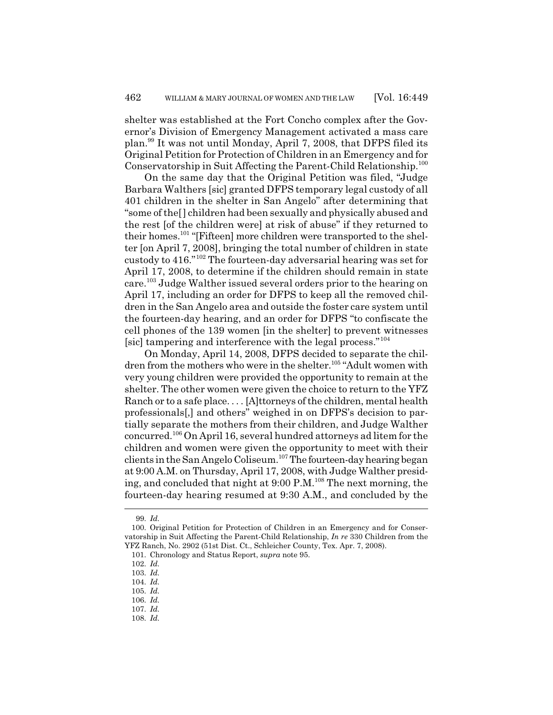shelter was established at the Fort Concho complex after the Governor's Division of Emergency Management activated a mass care plan.99 It was not until Monday, April 7, 2008, that DFPS filed its Original Petition for Protection of Children in an Emergency and for Conservatorship in Suit Affecting the Parent-Child Relationship.100

On the same day that the Original Petition was filed, "Judge Barbara Walthers [sic] granted DFPS temporary legal custody of all 401 children in the shelter in San Angelo" after determining that "some of the[] children had been sexually and physically abused and the rest [of the children were] at risk of abuse" if they returned to their homes.<sup>101</sup> "[Fifteen] more children were transported to the shelter [on April 7, 2008], bringing the total number of children in state custody to 416."102 The fourteen-day adversarial hearing was set for April 17, 2008, to determine if the children should remain in state care.103 Judge Walther issued several orders prior to the hearing on April 17, including an order for DFPS to keep all the removed children in the San Angelo area and outside the foster care system until the fourteen-day hearing, and an order for DFPS "to confiscate the cell phones of the 139 women [in the shelter] to prevent witnesses [sic] tampering and interference with the legal process."<sup>104</sup>

On Monday, April 14, 2008, DFPS decided to separate the children from the mothers who were in the shelter.<sup>105</sup> "Adult women with very young children were provided the opportunity to remain at the shelter. The other women were given the choice to return to the YFZ Ranch or to a safe place. . . . [A]ttorneys of the children, mental health professionals[,] and others" weighed in on DFPS's decision to partially separate the mothers from their children, and Judge Walther concurred.106 On April 16, several hundred attorneys ad litem for the children and women were given the opportunity to meet with their clients in the San Angelo Coliseum.107 The fourteen-day hearing began at 9:00 A.M. on Thursday, April 17, 2008, with Judge Walther presiding, and concluded that night at  $9:00 \text{ P.M.}^{108}$  The next morning, the fourteen-day hearing resumed at 9:30 A.M., and concluded by the

<sup>99.</sup> *Id.*

<sup>100.</sup> Original Petition for Protection of Children in an Emergency and for Conservatorship in Suit Affecting the Parent-Child Relationship, *In re* 330 Children from the YFZ Ranch, No. 2902 (51st Dist. Ct., Schleicher County, Tex. Apr. 7, 2008).

<sup>101.</sup> Chronology and Status Report, *supra* note 95.

<sup>102.</sup> *Id.*

<sup>103.</sup> *Id.*

<sup>104.</sup> *Id.*

<sup>105.</sup> *Id.*

<sup>106.</sup> *Id.*

<sup>107.</sup> *Id.*

<sup>108.</sup> *Id.*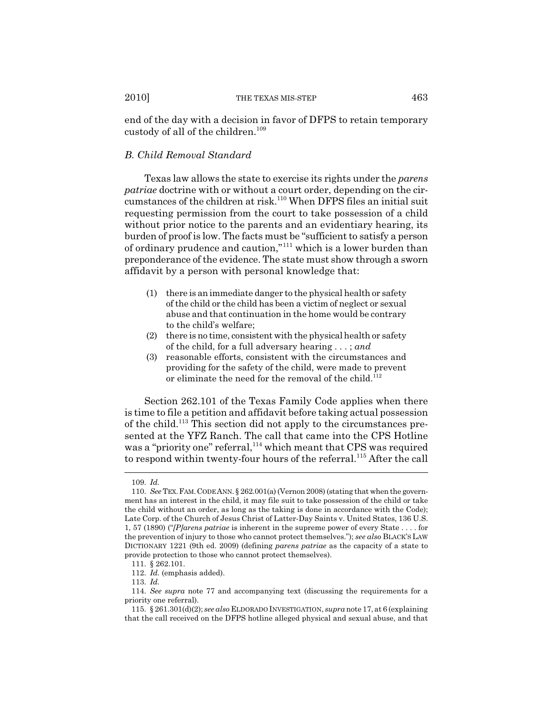end of the day with a decision in favor of DFPS to retain temporary custody of all of the children.<sup>109</sup>

#### *B. Child Removal Standard*

Texas law allows the state to exercise its rights under the *parens patriae* doctrine with or without a court order, depending on the circumstances of the children at risk.<sup>110</sup> When DFPS files an initial suit requesting permission from the court to take possession of a child without prior notice to the parents and an evidentiary hearing, its burden of proof is low. The facts must be "sufficient to satisfy a person of ordinary prudence and caution,"111 which is a lower burden than preponderance of the evidence. The state must show through a sworn affidavit by a person with personal knowledge that:

- (1) there is an immediate danger to the physical health or safety of the child or the child has been a victim of neglect or sexual abuse and that continuation in the home would be contrary to the child's welfare;
- (2) there is no time, consistent with the physical health or safety of the child, for a full adversary hearing . . . ; *and*
- (3) reasonable efforts, consistent with the circumstances and providing for the safety of the child, were made to prevent or eliminate the need for the removal of the child.<sup>112</sup>

Section 262.101 of the Texas Family Code applies when there is time to file a petition and affidavit before taking actual possession of the child.113 This section did not apply to the circumstances presented at the YFZ Ranch. The call that came into the CPS Hotline was a "priority one" referral,<sup>114</sup> which meant that CPS was required to respond within twenty-four hours of the referral.<sup>115</sup> After the call

<sup>109.</sup> *Id.*

<sup>110.</sup> *See* TEX.FAM.CODE ANN. § 262.001(a) (Vernon 2008) (stating that when the government has an interest in the child, it may file suit to take possession of the child or take the child without an order, as long as the taking is done in accordance with the Code); Late Corp. of the Church of Jesus Christ of Latter-Day Saints v. United States, 136 U.S. 1, 57 (1890) ("*[P]arens patriae* is inherent in the supreme power of every State . . . . for the prevention of injury to those who cannot protect themselves."); *see also* BLACK'S LAW DICTIONARY 1221 (9th ed. 2009) (defining *parens patriae* as the capacity of a state to provide protection to those who cannot protect themselves).

<sup>111. § 262.101.</sup>

<sup>112.</sup> *Id.* (emphasis added).

<sup>113.</sup> *Id.*

<sup>114.</sup> *See supra* note 77 and accompanying text (discussing the requirements for a priority one referral).

<sup>115. § 261.301(</sup>d)(2); *see also* ELDORADO INVESTIGATION, *supra* note 17, at 6 (explaining that the call received on the DFPS hotline alleged physical and sexual abuse, and that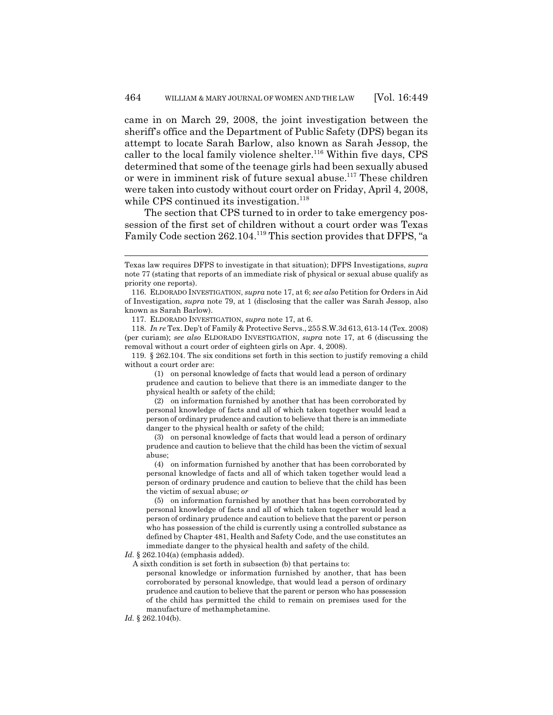came in on March 29, 2008, the joint investigation between the sheriff's office and the Department of Public Safety (DPS) began its attempt to locate Sarah Barlow, also known as Sarah Jessop, the caller to the local family violence shelter.<sup>116</sup> Within five days, CPS determined that some of the teenage girls had been sexually abused or were in imminent risk of future sexual abuse.<sup>117</sup> These children were taken into custody without court order on Friday, April 4, 2008, while CPS continued its investigation.<sup>118</sup>

The section that CPS turned to in order to take emergency possession of the first set of children without a court order was Texas Family Code section 262.104.<sup>119</sup> This section provides that DFPS, "a

119. § 262.104. The six conditions set forth in this section to justify removing a child without a court order are:

(1) on personal knowledge of facts that would lead a person of ordinary prudence and caution to believe that there is an immediate danger to the physical health or safety of the child;

(2) on information furnished by another that has been corroborated by personal knowledge of facts and all of which taken together would lead a person of ordinary prudence and caution to believe that there is an immediate danger to the physical health or safety of the child;

(3) on personal knowledge of facts that would lead a person of ordinary prudence and caution to believe that the child has been the victim of sexual abuse;

(4) on information furnished by another that has been corroborated by personal knowledge of facts and all of which taken together would lead a person of ordinary prudence and caution to believe that the child has been the victim of sexual abuse; *or*

(5) on information furnished by another that has been corroborated by personal knowledge of facts and all of which taken together would lead a person of ordinary prudence and caution to believe that the parent or person who has possession of the child is currently using a controlled substance as defined by Chapter 481, Health and Safety Code, and the use constitutes an immediate danger to the physical health and safety of the child.

*Id.* § 262.104(a) (emphasis added).

A sixth condition is set forth in subsection (b) that pertains to:

personal knowledge or information furnished by another, that has been corroborated by personal knowledge, that would lead a person of ordinary prudence and caution to believe that the parent or person who has possession of the child has permitted the child to remain on premises used for the manufacture of methamphetamine.

Texas law requires DFPS to investigate in that situation); DFPS Investigations, *supra* note 77 (stating that reports of an immediate risk of physical or sexual abuse qualify as priority one reports).

<sup>116.</sup> ELDORADO INVESTIGATION, *supra* note 17, at 6; *see also* Petition for Orders in Aid of Investigation, *supra* note 79, at 1 (disclosing that the caller was Sarah Jessop, also known as Sarah Barlow).

<sup>117.</sup> ELDORADO INVESTIGATION, *supra* note 17, at 6.

<sup>118.</sup> *In re* Tex. Dep't of Family & Protective Servs., 255 S.W.3d 613, 613-14 (Tex. 2008) (per curiam); *see also* ELDORADO INVESTIGATION, *supra* note 17, at 6 (discussing the removal without a court order of eighteen girls on Apr. 4, 2008).

*Id.* § 262.104(b).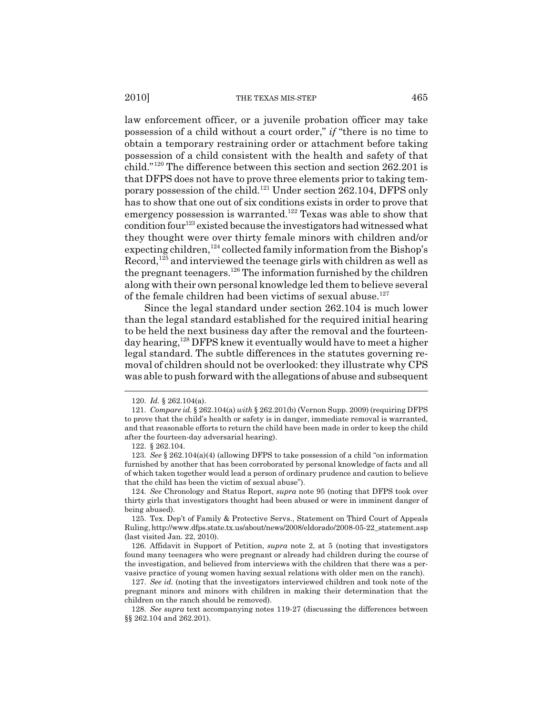law enforcement officer, or a juvenile probation officer may take possession of a child without a court order," *if* "there is no time to obtain a temporary restraining order or attachment before taking possession of a child consistent with the health and safety of that child."120 The difference between this section and section 262.201 is that DFPS does not have to prove three elements prior to taking temporary possession of the child.121 Under section 262.104, DFPS only has to show that one out of six conditions exists in order to prove that emergency possession is warranted.<sup>122</sup> Texas was able to show that condition four<sup>123</sup> existed because the investigators had witnessed what they thought were over thirty female minors with children and/or expecting children,<sup>124</sup> collected family information from the Bishop's  $Record<sub>1</sub><sup>125</sup>$  and interviewed the teenage girls with children as well as the pregnant teenagers.<sup>126</sup> The information furnished by the children along with their own personal knowledge led them to believe several of the female children had been victims of sexual abuse. $127$ 

Since the legal standard under section 262.104 is much lower than the legal standard established for the required initial hearing to be held the next business day after the removal and the fourteenday hearing,<sup>128</sup> DFPS knew it eventually would have to meet a higher legal standard. The subtle differences in the statutes governing removal of children should not be overlooked: they illustrate why CPS was able to push forward with the allegations of abuse and subsequent

<sup>120.</sup> *Id.* § 262.104(a).

<sup>121.</sup> *Compare id.* § 262.104(a) *with* § 262.201(b) (Vernon Supp. 2009) (requiring DFPS to prove that the child's health or safety is in danger, immediate removal is warranted, and that reasonable efforts to return the child have been made in order to keep the child after the fourteen-day adversarial hearing).

<sup>122. § 262.104.</sup>

<sup>123.</sup> *See* § 262.104(a)(4) (allowing DFPS to take possession of a child "on information furnished by another that has been corroborated by personal knowledge of facts and all of which taken together would lead a person of ordinary prudence and caution to believe that the child has been the victim of sexual abuse").

<sup>124.</sup> *See* Chronology and Status Report, *supra* note 95 (noting that DFPS took over thirty girls that investigators thought had been abused or were in imminent danger of being abused).

<sup>125.</sup> Tex. Dep't of Family & Protective Servs., Statement on Third Court of Appeals Ruling, http://www.dfps.state.tx.us/about/news/2008/eldorado/2008-05-22\_statement.asp (last visited Jan. 22, 2010).

<sup>126.</sup> Affidavit in Support of Petition, *supra* note 2, at 5 (noting that investigators found many teenagers who were pregnant or already had children during the course of the investigation, and believed from interviews with the children that there was a pervasive practice of young women having sexual relations with older men on the ranch).

<sup>127.</sup> *See id.* (noting that the investigators interviewed children and took note of the pregnant minors and minors with children in making their determination that the children on the ranch should be removed).

<sup>128.</sup> *See supra* text accompanying notes 119-27 (discussing the differences between §§ 262.104 and 262.201).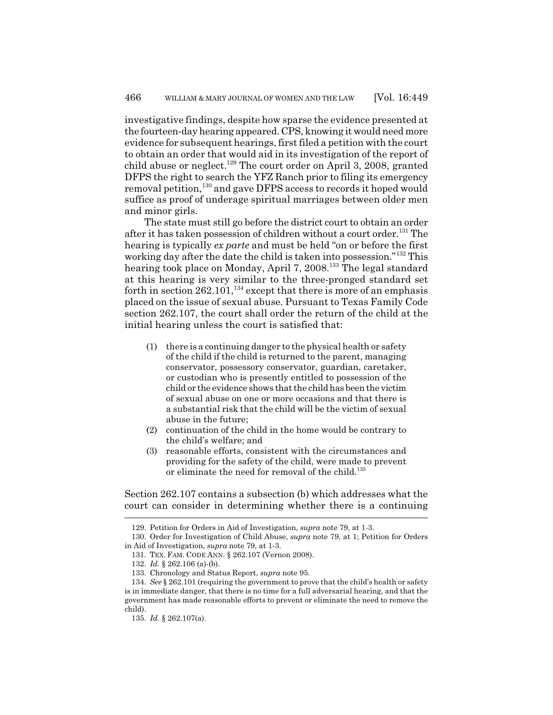investigative findings, despite how sparse the evidence presented at the fourteen-day hearing appeared. CPS, knowing it would need more evidence for subsequent hearings, first filed a petition with the court to obtain an order that would aid in its investigation of the report of child abuse or neglect.<sup>129</sup> The court order on April 3, 2008, granted DFPS the right to search the YFZ Ranch prior to filing its emergency removal petition,<sup>130</sup> and gave DFPS access to records it hoped would suffice as proof of underage spiritual marriages between older men and minor girls.

The state must still go before the district court to obtain an order after it has taken possession of children without a court order.<sup>131</sup> The hearing is typically *ex parte* and must be held "on or before the first working day after the date the child is taken into possession."<sup>132</sup> This hearing took place on Monday, April 7, 2008.<sup>133</sup> The legal standard at this hearing is very similar to the three-pronged standard set forth in section 262.101,<sup>134</sup> except that there is more of an emphasis placed on the issue of sexual abuse. Pursuant to Texas Family Code section 262.107, the court shall order the return of the child at the initial hearing unless the court is satisfied that:

- (1) there is a continuing danger to the physical health or safety of the child if the child is returned to the parent, managing conservator, possessory conservator, guardian, caretaker, or custodian who is presently entitled to possession of the child or the evidence shows that the child has been the victim of sexual abuse on one or more occasions and that there is a substantial risk that the child will be the victim of sexual abuse in the future;
- (2) continuation of the child in the home would be contrary to the child's welfare; and
- (3) reasonable efforts, consistent with the circumstances and providing for the safety of the child, were made to prevent or eliminate the need for removal of the child.<sup>135</sup>

Section 262.107 contains a subsection (b) which addresses what the court can consider in determining whether there is a continuing

<sup>129.</sup> Petition for Orders in Aid of Investigation, *supra* note 79, at 1-3.

<sup>130.</sup> Order for Investigation of Child Abuse, *supra* note 79, at 1; Petition for Orders in Aid of Investigation, *supra* note 79, at 1-3.

<sup>131.</sup> TEX. FAM. CODE ANN. § 262.107 (Vernon 2008).

<sup>132.</sup> *Id.* § 262.106 (a)-(b).

<sup>133.</sup> Chronology and Status Report, *supra* note 95.

<sup>134.</sup> *See* § 262.101 (requiring the government to prove that the child's health or safety is in immediate danger, that there is no time for a full adversarial hearing, and that the government has made reasonable efforts to prevent or eliminate the need to remove the child).

<sup>135.</sup> *Id.* § 262.107(a).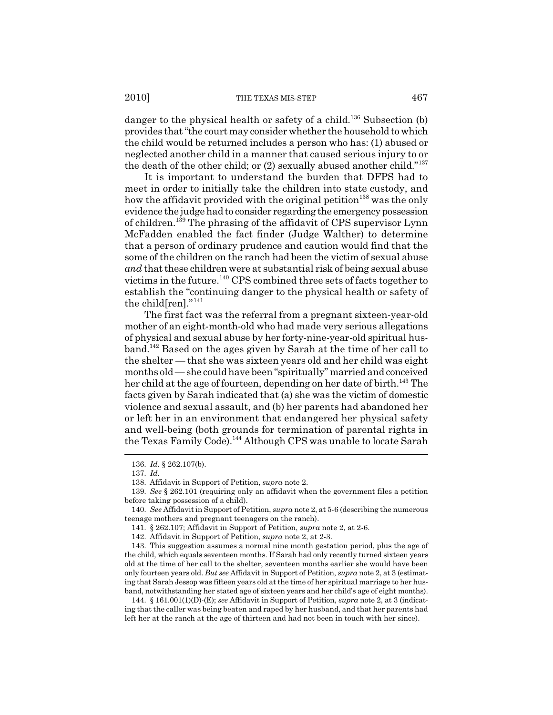danger to the physical health or safety of a child.<sup>136</sup> Subsection (b) provides that "the court may consider whether the household to which the child would be returned includes a person who has: (1) abused or neglected another child in a manner that caused serious injury to or the death of the other child; or (2) sexually abused another child."<sup>137</sup>

It is important to understand the burden that DFPS had to meet in order to initially take the children into state custody, and how the affidavit provided with the original petition<sup>138</sup> was the only evidence the judge had to consider regarding the emergency possession of children.139 The phrasing of the affidavit of CPS supervisor Lynn McFadden enabled the fact finder (Judge Walther) to determine that a person of ordinary prudence and caution would find that the some of the children on the ranch had been the victim of sexual abuse *and* that these children were at substantial risk of being sexual abuse victims in the future.140 CPS combined three sets of facts together to establish the "continuing danger to the physical health or safety of the child[ren]."<sup>141</sup>

The first fact was the referral from a pregnant sixteen-year-old mother of an eight-month-old who had made very serious allegations of physical and sexual abuse by her forty-nine-year-old spiritual husband.142 Based on the ages given by Sarah at the time of her call to the shelter — that she was sixteen years old and her child was eight months old — she could have been "spiritually" married and conceived her child at the age of fourteen, depending on her date of birth.<sup>143</sup> The facts given by Sarah indicated that (a) she was the victim of domestic violence and sexual assault, and (b) her parents had abandoned her or left her in an environment that endangered her physical safety and well-being (both grounds for termination of parental rights in the Texas Family Code).<sup>144</sup> Although CPS was unable to locate Sarah

<sup>136.</sup> *Id.* § 262.107(b).

<sup>137.</sup> *Id.*

<sup>138.</sup> Affidavit in Support of Petition, *supra* note 2.

<sup>139.</sup> *See* § 262.101 (requiring only an affidavit when the government files a petition before taking possession of a child).

<sup>140.</sup> *See* Affidavit in Support of Petition, *supra* note 2, at 5-6 (describing the numerous teenage mothers and pregnant teenagers on the ranch).

<sup>141. § 262.107;</sup> Affidavit in Support of Petition, *supra* note 2, at 2-6.

<sup>142.</sup> Affidavit in Support of Petition, *supra* note 2, at 2-3.

<sup>143.</sup> This suggestion assumes a normal nine month gestation period, plus the age of the child, which equals seventeen months. If Sarah had only recently turned sixteen years old at the time of her call to the shelter, seventeen months earlier she would have been only fourteen years old. *But see* Affidavit in Support of Petition, *supra* note 2, at 3 (estimating that Sarah Jessop was fifteen years old at the time of her spiritual marriage to her husband, notwithstanding her stated age of sixteen years and her child's age of eight months).

<sup>144. § 161.001(1)(</sup>D)-(E); *see* Affidavit in Support of Petition, *supra* note 2, at 3 (indicating that the caller was being beaten and raped by her husband, and that her parents had left her at the ranch at the age of thirteen and had not been in touch with her since).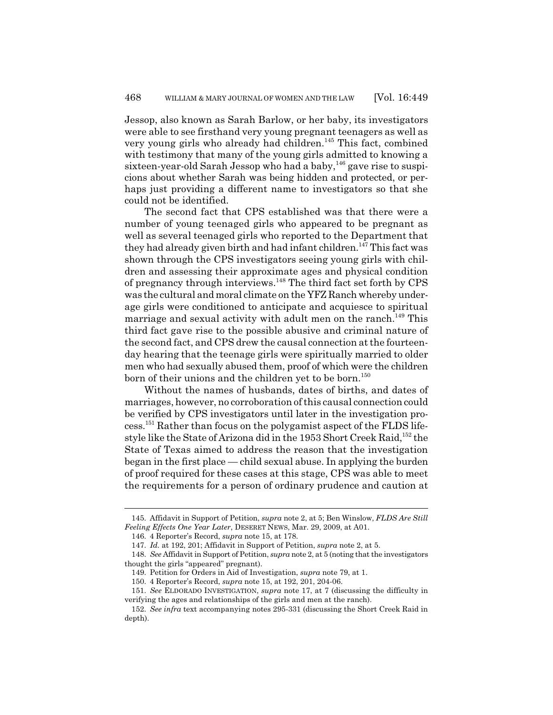Jessop, also known as Sarah Barlow, or her baby, its investigators were able to see firsthand very young pregnant teenagers as well as very young girls who already had children.<sup>145</sup> This fact, combined with testimony that many of the young girls admitted to knowing a sixteen-year-old Sarah Jessop who had a baby,<sup>146</sup> gave rise to suspicions about whether Sarah was being hidden and protected, or perhaps just providing a different name to investigators so that she could not be identified.

The second fact that CPS established was that there were a number of young teenaged girls who appeared to be pregnant as well as several teenaged girls who reported to the Department that they had already given birth and had infant children.<sup>147</sup> This fact was shown through the CPS investigators seeing young girls with children and assessing their approximate ages and physical condition of pregnancy through interviews.148 The third fact set forth by CPS was the cultural and moral climate on the YFZ Ranch whereby underage girls were conditioned to anticipate and acquiesce to spiritual marriage and sexual activity with adult men on the ranch.<sup>149</sup> This third fact gave rise to the possible abusive and criminal nature of the second fact, and CPS drew the causal connection at the fourteenday hearing that the teenage girls were spiritually married to older men who had sexually abused them, proof of which were the children born of their unions and the children yet to be born.<sup>150</sup>

Without the names of husbands, dates of births, and dates of marriages, however, no corroboration of this causal connection could be verified by CPS investigators until later in the investigation process.151 Rather than focus on the polygamist aspect of the FLDS lifestyle like the State of Arizona did in the 1953 Short Creek Raid,152 the State of Texas aimed to address the reason that the investigation began in the first place — child sexual abuse. In applying the burden of proof required for these cases at this stage, CPS was able to meet the requirements for a person of ordinary prudence and caution at

<sup>145.</sup> Affidavit in Support of Petition, *supra* note 2, at 5; Ben Winslow, *FLDS Are Still Feeling Effects One Year Later*, DESERET NEWS, Mar. 29, 2009, at A01.

<sup>146. 4</sup> Reporter's Record, *supra* note 15, at 178.

<sup>147.</sup> *Id.* at 192, 201; Affidavit in Support of Petition, *supra* note 2, at 5.

<sup>148.</sup> *See* Affidavit in Support of Petition, *supra* note 2, at 5 (noting that the investigators thought the girls "appeared" pregnant).

<sup>149.</sup> Petition for Orders in Aid of Investigation, *supra* note 79, at 1.

<sup>150. 4</sup> Reporter's Record, *supra* note 15, at 192, 201, 204-06.

<sup>151.</sup> *See* ELDORADO INVESTIGATION, *supra* note 17, at 7 (discussing the difficulty in verifying the ages and relationships of the girls and men at the ranch).

<sup>152.</sup> *See infra* text accompanying notes 295-331 (discussing the Short Creek Raid in depth).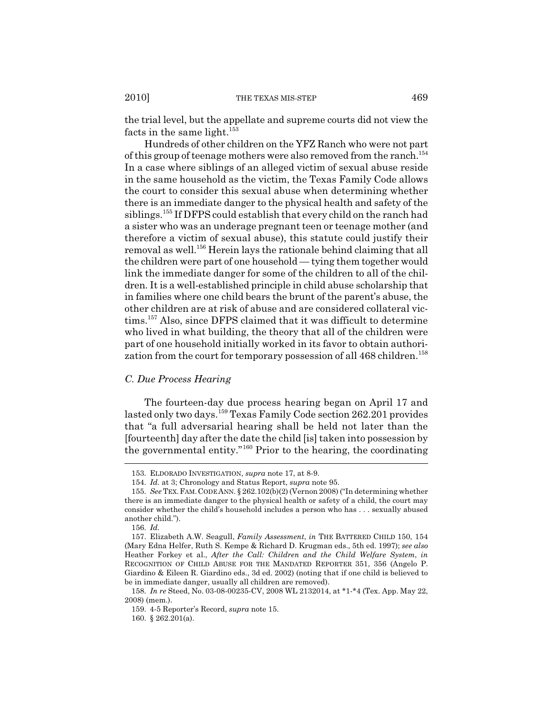the trial level, but the appellate and supreme courts did not view the facts in the same light.<sup>153</sup>

Hundreds of other children on the YFZ Ranch who were not part of this group of teenage mothers were also removed from the ranch.<sup>154</sup> In a case where siblings of an alleged victim of sexual abuse reside in the same household as the victim, the Texas Family Code allows the court to consider this sexual abuse when determining whether there is an immediate danger to the physical health and safety of the siblings.155 If DFPS could establish that every child on the ranch had a sister who was an underage pregnant teen or teenage mother (and therefore a victim of sexual abuse), this statute could justify their removal as well.156 Herein lays the rationale behind claiming that all the children were part of one household — tying them together would link the immediate danger for some of the children to all of the children. It is a well-established principle in child abuse scholarship that in families where one child bears the brunt of the parent's abuse, the other children are at risk of abuse and are considered collateral victims.157 Also, since DFPS claimed that it was difficult to determine who lived in what building, the theory that all of the children were part of one household initially worked in its favor to obtain authorization from the court for temporary possession of all 468 children.<sup>158</sup>

## *C. Due Process Hearing*

The fourteen-day due process hearing began on April 17 and lasted only two days.159 Texas Family Code section 262.201 provides that "a full adversarial hearing shall be held not later than the [fourteenth] day after the date the child [is] taken into possession by the governmental entity."160 Prior to the hearing, the coordinating

<sup>153.</sup> ELDORADO INVESTIGATION, *supra* note 17, at 8-9.

<sup>154.</sup> *Id.* at 3; Chronology and Status Report, *supra* note 95.

<sup>155.</sup> *See* TEX.FAM.CODE ANN. § 262.102(b)(2) (Vernon 2008) ("In determining whether there is an immediate danger to the physical health or safety of a child, the court may consider whether the child's household includes a person who has . . . sexually abused another child.").

<sup>156.</sup> *Id.*

<sup>157.</sup> Elizabeth A.W. Seagull, *Family Assessment*, *in* THE BATTERED CHILD 150, 154 (Mary Edna Helfer, Ruth S. Kempe & Richard D. Krugman eds., 5th ed. 1997); *see also* Heather Forkey et al., *After the Call: Children and the Child Welfare System*, *in* RECOGNITION OF CHILD ABUSE FOR THE MANDATED REPORTER 351, 356 (Angelo P. Giardino & Eileen R. Giardino eds., 3d ed. 2002) (noting that if one child is believed to be in immediate danger, usually all children are removed).

<sup>158.</sup> *In re* Steed, No. 03-08-00235-CV, 2008 WL 2132014, at \*1-\*4 (Tex. App. May 22, 2008) (mem.).

<sup>159. 4-5</sup> Reporter's Record, *supra* note 15.

<sup>160. § 262.201(</sup>a).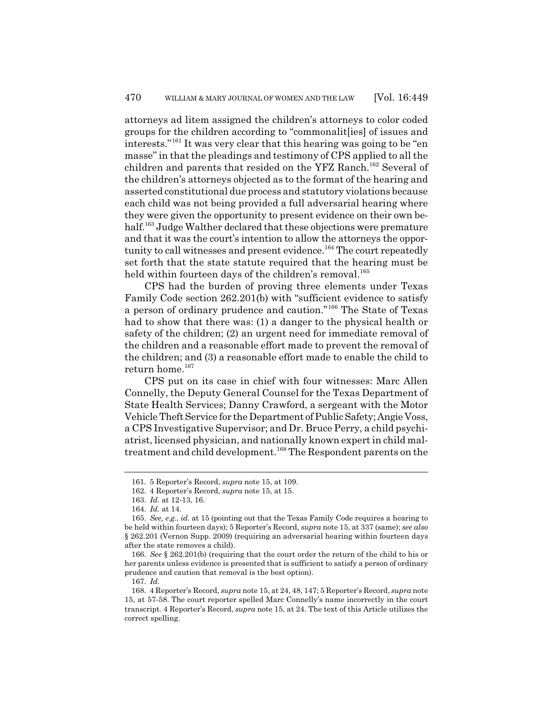attorneys ad litem assigned the children's attorneys to color coded groups for the children according to "commonalit[ies] of issues and interests."161 It was very clear that this hearing was going to be "en masse" in that the pleadings and testimony of CPS applied to all the children and parents that resided on the YFZ Ranch.<sup>162</sup> Several of the children's attorneys objected as to the format of the hearing and asserted constitutional due process and statutory violations because each child was not being provided a full adversarial hearing where they were given the opportunity to present evidence on their own behalf.<sup>163</sup> Judge Walther declared that these objections were premature and that it was the court's intention to allow the attorneys the opportunity to call witnesses and present evidence.<sup>164</sup> The court repeatedly set forth that the state statute required that the hearing must be held within fourteen days of the children's removal.<sup>165</sup>

CPS had the burden of proving three elements under Texas Family Code section 262.201(b) with "sufficient evidence to satisfy a person of ordinary prudence and caution."166 The State of Texas had to show that there was: (1) a danger to the physical health or safety of the children; (2) an urgent need for immediate removal of the children and a reasonable effort made to prevent the removal of the children; and (3) a reasonable effort made to enable the child to return home. $167$ 

CPS put on its case in chief with four witnesses: Marc Allen Connelly, the Deputy General Counsel for the Texas Department of State Health Services; Danny Crawford, a sergeant with the Motor Vehicle Theft Service for the Department of Public Safety; Angie Voss, a CPS Investigative Supervisor; and Dr. Bruce Perry, a child psychiatrist, licensed physician, and nationally known expert in child maltreatment and child development.<sup>168</sup> The Respondent parents on the

<sup>161. 5</sup> Reporter's Record, *supra* note 15, at 109.

<sup>162. 4</sup> Reporter's Record, *supra* note 15, at 15.

<sup>163.</sup> *Id.* at 12-13, 16.

<sup>164.</sup> *Id.* at 14.

<sup>165.</sup> *See, e.g.*, *id.* at 15 (pointing out that the Texas Family Code requires a hearing to be held within fourteen days); 5 Reporter's Record, *supra* note 15, at 337 (same); *see also* § 262.201 (Vernon Supp. 2009) (requiring an adversarial hearing within fourteen days after the state removes a child).

<sup>166.</sup> *See* § 262.201(b) (requiring that the court order the return of the child to his or her parents unless evidence is presented that is sufficient to satisfy a person of ordinary prudence and caution that removal is the best option).

<sup>167.</sup> *Id.*

<sup>168. 4</sup> Reporter's Record, *supra* note 15, at 24, 48, 147; 5 Reporter's Record, *supra* note 15, at 57-58. The court reporter spelled Marc Connelly's name incorrectly in the court transcript. 4 Reporter's Record, *supra* note 15, at 24. The text of this Article utilizes the correct spelling.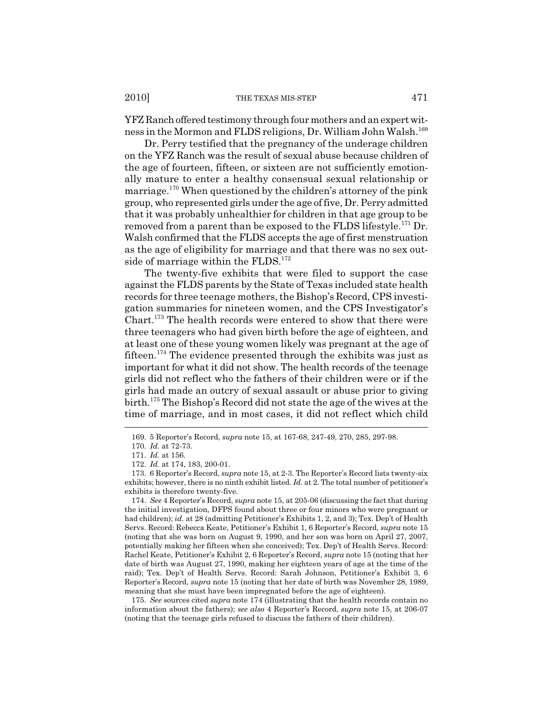YFZ Ranch offered testimony through four mothers and an expert witness in the Mormon and FLDS religions, Dr. William John Walsh.<sup>169</sup>

Dr. Perry testified that the pregnancy of the underage children on the YFZ Ranch was the result of sexual abuse because children of the age of fourteen, fifteen, or sixteen are not sufficiently emotionally mature to enter a healthy consensual sexual relationship or marriage.<sup>170</sup> When questioned by the children's attorney of the pink group, who represented girls under the age of five, Dr. Perry admitted that it was probably unhealthier for children in that age group to be removed from a parent than be exposed to the FLDS lifestyle.<sup>171</sup> Dr. Walsh confirmed that the FLDS accepts the age of first menstruation as the age of eligibility for marriage and that there was no sex outside of marriage within the  $FLDS.<sup>172</sup>$ 

The twenty-five exhibits that were filed to support the case against the FLDS parents by the State of Texas included state health records for three teenage mothers, the Bishop's Record, CPS investigation summaries for nineteen women, and the CPS Investigator's Chart.173 The health records were entered to show that there were three teenagers who had given birth before the age of eighteen, and at least one of these young women likely was pregnant at the age of fifteen.<sup>174</sup> The evidence presented through the exhibits was just as important for what it did not show. The health records of the teenage girls did not reflect who the fathers of their children were or if the girls had made an outcry of sexual assault or abuse prior to giving birth.175 The Bishop's Record did not state the age of the wives at the time of marriage, and in most cases, it did not reflect which child

175. *See* sources cited *supra* note 174 (illustrating that the health records contain no information about the fathers); *see also* 4 Reporter's Record, *supra* note 15, at 206-07 (noting that the teenage girls refused to discuss the fathers of their children).

<sup>169. 5</sup> Reporter's Record, *supra* note 15, at 167-68, 247-49, 270, 285, 297-98.

<sup>170.</sup> *Id.* at 72-73.

<sup>171.</sup> *Id.* at 156.

<sup>172.</sup> *Id.* at 174, 183, 200-01.

<sup>173. 6</sup> Reporter's Record, *supra* note 15, at 2-3. The Reporter's Record lists twenty-six exhibits; however, there is no ninth exhibit listed. *Id.* at 2. The total number of petitioner's exhibits is therefore twenty-five.

<sup>174.</sup> *See* 4 Reporter's Record, *supra* note 15, at 205-06 (discussing the fact that during the initial investigation, DFPS found about three or four minors who were pregnant or had children); *id.* at 28 (admitting Petitioner's Exhibits 1, 2, and 3); Tex. Dep't of Health Servs. Record: Rebecca Keate, Petitioner's Exhibit 1, 6 Reporter's Record, *supra* note 15 (noting that she was born on August 9, 1990, and her son was born on April 27, 2007, potentially making her fifteen when she conceived); Tex. Dep't of Health Servs. Record: Rachel Keate, Petitioner's Exhibit 2, 6 Reporter's Record, *supra* note 15 (noting that her date of birth was August 27, 1990, making her eighteen years of age at the time of the raid); Tex. Dep't of Health Servs. Record: Sarah Johnson, Petitioner's Exhibit 3, 6 Reporter's Record, *supra* note 15 (noting that her date of birth was November 28, 1989, meaning that she must have been impregnated before the age of eighteen).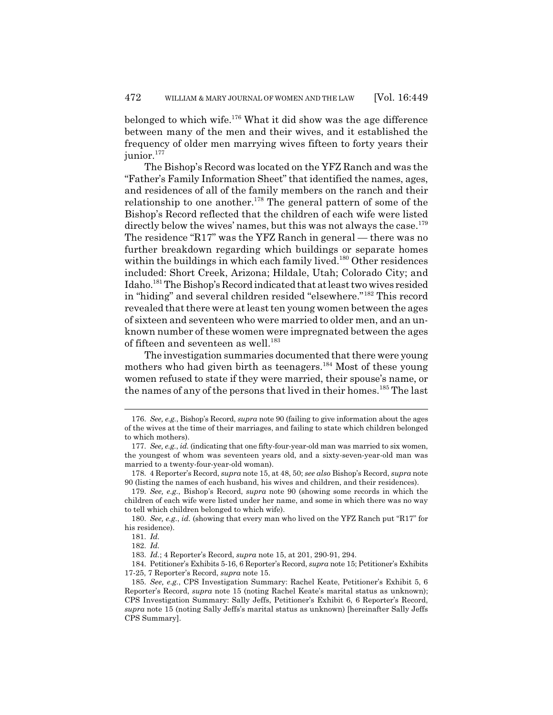belonged to which wife. $176$  What it did show was the age difference between many of the men and their wives, and it established the frequency of older men marrying wives fifteen to forty years their junior.<sup>177</sup>

The Bishop's Record was located on the YFZ Ranch and was the "Father's Family Information Sheet" that identified the names, ages, and residences of all of the family members on the ranch and their relationship to one another.178 The general pattern of some of the Bishop's Record reflected that the children of each wife were listed directly below the wives' names, but this was not always the case.<sup>179</sup> The residence "R17" was the YFZ Ranch in general — there was no further breakdown regarding which buildings or separate homes within the buildings in which each family lived.<sup>180</sup> Other residences included: Short Creek, Arizona; Hildale, Utah; Colorado City; and Idaho.181 The Bishop's Record indicated that at least two wives resided in "hiding" and several children resided "elsewhere."182 This record revealed that there were at least ten young women between the ages of sixteen and seventeen who were married to older men, and an unknown number of these women were impregnated between the ages of fifteen and seventeen as well.<sup>183</sup>

The investigation summaries documented that there were young mothers who had given birth as teenagers.<sup>184</sup> Most of these young women refused to state if they were married, their spouse's name, or the names of any of the persons that lived in their homes.<sup>185</sup> The last

<sup>176.</sup> *See, e.g.*, Bishop's Record, *supra* note 90 (failing to give information about the ages of the wives at the time of their marriages, and failing to state which children belonged to which mothers).

<sup>177.</sup> *See, e.g.*, *id.* (indicating that one fifty-four-year-old man was married to six women, the youngest of whom was seventeen years old, and a sixty-seven-year-old man was married to a twenty-four-year-old woman).

<sup>178. 4</sup> Reporter's Record, *supra* note 15, at 48, 50; *see also* Bishop's Record, *supra* note 90 (listing the names of each husband, his wives and children, and their residences).

<sup>179.</sup> *See, e.g.*, Bishop's Record, *supra* note 90 (showing some records in which the children of each wife were listed under her name, and some in which there was no way to tell which children belonged to which wife).

<sup>180.</sup> *See, e.g.*, *id.* (showing that every man who lived on the YFZ Ranch put "R17" for his residence).

<sup>181.</sup> *Id.*

<sup>182.</sup> *Id.*

<sup>183.</sup> *Id.*; 4 Reporter's Record, *supra* note 15, at 201, 290-91, 294.

<sup>184.</sup> Petitioner's Exhibits 5-16, 6 Reporter's Record, *supra* note 15; Petitioner's Exhibits 17-25, 7 Reporter's Record, *supra* note 15.

<sup>185.</sup> *See, e.g.*, CPS Investigation Summary: Rachel Keate, Petitioner's Exhibit 5, 6 Reporter's Record, *supra* note 15 (noting Rachel Keate's marital status as unknown); CPS Investigation Summary: Sally Jeffs, Petitioner's Exhibit 6, 6 Reporter's Record, *supra* note 15 (noting Sally Jeffs's marital status as unknown) [hereinafter Sally Jeffs CPS Summary].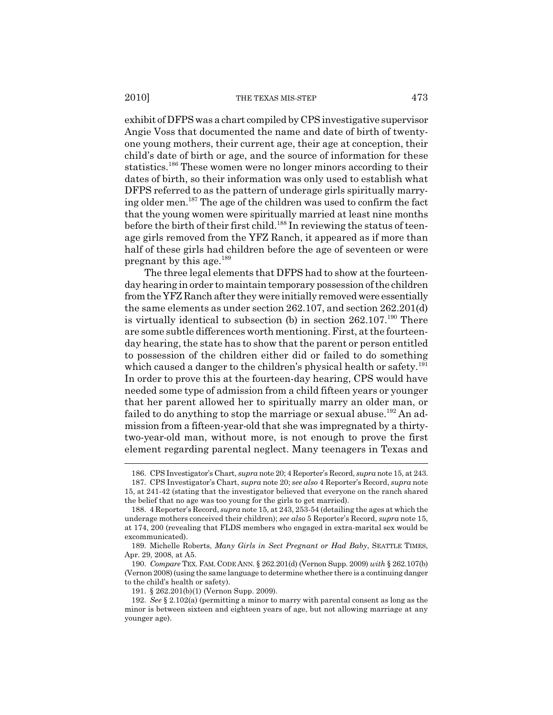exhibit of DFPS was a chart compiled by CPS investigative supervisor Angie Voss that documented the name and date of birth of twentyone young mothers, their current age, their age at conception, their child's date of birth or age, and the source of information for these statistics.<sup>186</sup> These women were no longer minors according to their dates of birth, so their information was only used to establish what DFPS referred to as the pattern of underage girls spiritually marrying older men.187 The age of the children was used to confirm the fact that the young women were spiritually married at least nine months before the birth of their first child.<sup>188</sup> In reviewing the status of teenage girls removed from the YFZ Ranch, it appeared as if more than half of these girls had children before the age of seventeen or were pregnant by this age.189

The three legal elements that DFPS had to show at the fourteenday hearing in order to maintain temporary possession of the children from the YFZ Ranch after they were initially removed were essentially the same elements as under section 262.107, and section 262.201(d) is virtually identical to subsection (b) in section  $262.107<sup>190</sup>$  There are some subtle differences worth mentioning. First, at the fourteenday hearing, the state has to show that the parent or person entitled to possession of the children either did or failed to do something which caused a danger to the children's physical health or safety.<sup>191</sup> In order to prove this at the fourteen-day hearing, CPS would have needed some type of admission from a child fifteen years or younger that her parent allowed her to spiritually marry an older man, or failed to do anything to stop the marriage or sexual abuse.<sup>192</sup> An admission from a fifteen-year-old that she was impregnated by a thirtytwo-year-old man, without more, is not enough to prove the first element regarding parental neglect. Many teenagers in Texas and

<sup>186.</sup> CPS Investigator's Chart, *supra* note 20; 4 Reporter's Record, *supra* note 15, at 243.

<sup>187.</sup> CPS Investigator's Chart, *supra* note 20; *see also* 4 Reporter's Record, *supra* note 15, at 241-42 (stating that the investigator believed that everyone on the ranch shared the belief that no age was too young for the girls to get married).

<sup>188. 4</sup> Reporter's Record, *supra* note 15, at 243, 253-54 (detailing the ages at which the underage mothers conceived their children); *see also* 5 Reporter's Record, *supra* note 15, at 174, 200 (revealing that FLDS members who engaged in extra-marital sex would be excommunicated).

<sup>189.</sup> Michelle Roberts, *Many Girls in Sect Pregnant or Had Baby*, SEATTLE TIMES, Apr. 29, 2008, at A5.

<sup>190.</sup> *Compare* TEX.FAM. CODE ANN. § 262.201(d) (Vernon Supp. 2009) *with* § 262.107(b) (Vernon 2008) (using the same language to determine whether there is a continuing danger to the child's health or safety).

<sup>191. § 262.201(</sup>b)(1) (Vernon Supp. 2009).

<sup>192.</sup> *See* § 2.102(a) (permitting a minor to marry with parental consent as long as the minor is between sixteen and eighteen years of age, but not allowing marriage at any younger age).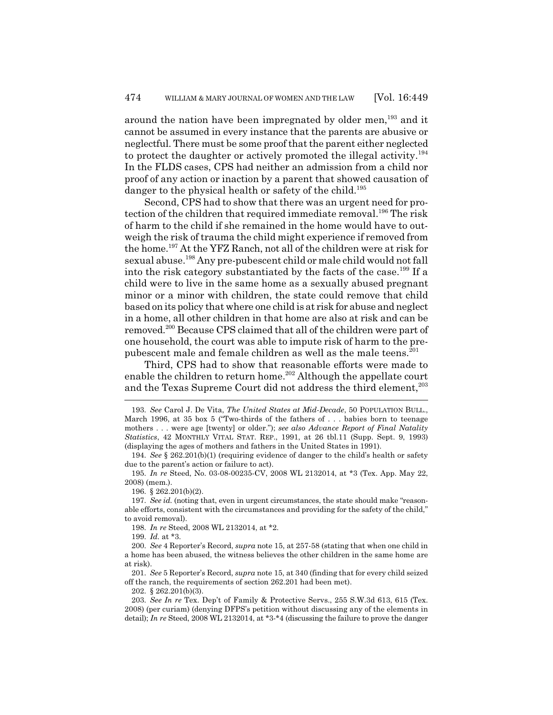around the nation have been impregnated by older men,<sup>193</sup> and it cannot be assumed in every instance that the parents are abusive or neglectful. There must be some proof that the parent either neglected to protect the daughter or actively promoted the illegal activity.<sup>194</sup> In the FLDS cases, CPS had neither an admission from a child nor proof of any action or inaction by a parent that showed causation of danger to the physical health or safety of the child.<sup>195</sup>

Second, CPS had to show that there was an urgent need for protection of the children that required immediate removal.<sup>196</sup> The risk of harm to the child if she remained in the home would have to outweigh the risk of trauma the child might experience if removed from the home.197 At the YFZ Ranch, not all of the children were at risk for sexual abuse.198 Any pre-pubescent child or male child would not fall into the risk category substantiated by the facts of the case.<sup>199</sup> If a child were to live in the same home as a sexually abused pregnant minor or a minor with children, the state could remove that child based on its policy that where one child is at risk for abuse and neglect in a home, all other children in that home are also at risk and can be removed.200 Because CPS claimed that all of the children were part of one household, the court was able to impute risk of harm to the prepubescent male and female children as well as the male teens.<sup>201</sup>

Third, CPS had to show that reasonable efforts were made to enable the children to return home.<sup>202</sup> Although the appellate court and the Texas Supreme Court did not address the third element,<sup>203</sup>

196. § 262.201(b)(2).

197. *See id.* (noting that, even in urgent circumstances, the state should make "reasonable efforts, consistent with the circumstances and providing for the safety of the child," to avoid removal).

198. *In re* Steed, 2008 WL 2132014, at \*2.

199. *Id.* at \*3.

200. *See* 4 Reporter's Record, *supra* note 15, at 257-58 (stating that when one child in a home has been abused, the witness believes the other children in the same home are at risk).

201. *See* 5 Reporter's Record, *supra* note 15, at 340 (finding that for every child seized off the ranch, the requirements of section 262.201 had been met).

202. § 262.201(b)(3).

203. *See In re* Tex. Dep't of Family & Protective Servs., 255 S.W.3d 613, 615 (Tex. 2008) (per curiam) (denying DFPS's petition without discussing any of the elements in detail); *In re* Steed, 2008 WL 2132014, at \*3-\*4 (discussing the failure to prove the danger

<sup>193.</sup> *See* Carol J. De Vita, *The United States at Mid-Decade*, 50 POPULATION BULL., March 1996, at 35 box 5 ("Two-thirds of the fathers of . . . babies born to teenage mothers . . . were age [twenty] or older."); *see also Advance Report of Final Natality Statistics*, 42 MONTHLY VITAL STAT. REP., 1991, at 26 tbl.11 (Supp. Sept. 9, 1993) (displaying the ages of mothers and fathers in the United States in 1991).

<sup>194.</sup> *See* § 262.201(b)(1) (requiring evidence of danger to the child's health or safety due to the parent's action or failure to act).

<sup>195.</sup> *In re* Steed, No. 03-08-00235-CV, 2008 WL 2132014, at \*3 (Tex. App. May 22, 2008) (mem.).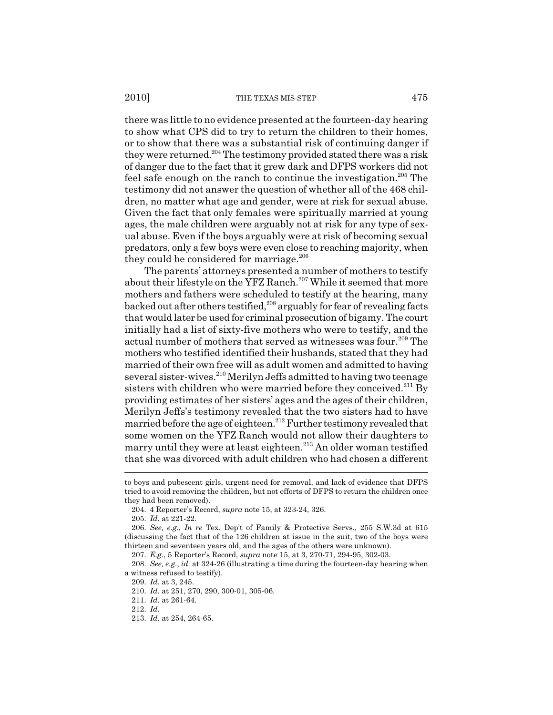there was little to no evidence presented at the fourteen-day hearing to show what CPS did to try to return the children to their homes, or to show that there was a substantial risk of continuing danger if they were returned.<sup>204</sup> The testimony provided stated there was a risk of danger due to the fact that it grew dark and DFPS workers did not feel safe enough on the ranch to continue the investigation.<sup>205</sup> The testimony did not answer the question of whether all of the 468 children, no matter what age and gender, were at risk for sexual abuse. Given the fact that only females were spiritually married at young ages, the male children were arguably not at risk for any type of sexual abuse. Even if the boys arguably were at risk of becoming sexual predators, only a few boys were even close to reaching majority, when they could be considered for marriage.<sup>206</sup>

The parents' attorneys presented a number of mothers to testify about their lifestyle on the YFZ Ranch.<sup>207</sup> While it seemed that more mothers and fathers were scheduled to testify at the hearing, many backed out after others testified, $208$  arguably for fear of revealing facts that would later be used for criminal prosecution of bigamy. The court initially had a list of sixty-five mothers who were to testify, and the actual number of mothers that served as witnesses was four.<sup>209</sup> The mothers who testified identified their husbands, stated that they had married of their own free will as adult women and admitted to having several sister-wives.<sup>210</sup> Merilyn Jeffs admitted to having two teenage sisters with children who were married before they conceived. $^{211}$  By providing estimates of her sisters' ages and the ages of their children, Merilyn Jeffs's testimony revealed that the two sisters had to have married before the age of eighteen.212 Further testimony revealed that some women on the YFZ Ranch would not allow their daughters to marry until they were at least eighteen.<sup>213</sup> An older woman testified that she was divorced with adult children who had chosen a different

to boys and pubescent girls, urgent need for removal, and lack of evidence that DFPS tried to avoid removing the children, but not efforts of DFPS to return the children once they had been removed).

<sup>204. 4</sup> Reporter's Record, *supra* note 15, at 323-24, 326.

<sup>205.</sup> *Id.* at 221-22.

<sup>206.</sup> *See, e.g.*, *In re* Tex. Dep't of Family & Protective Servs., 255 S.W.3d at 615 (discussing the fact that of the 126 children at issue in the suit, two of the boys were thirteen and seventeen years old, and the ages of the others were unknown).

<sup>207.</sup> *E.g.*, 5 Reporter's Record, *supra* note 15, at 3, 270-71, 294-95, 302-03.

<sup>208.</sup> *See, e.g.*, *id.* at 324-26 (illustrating a time during the fourteen-day hearing when a witness refused to testify).

<sup>209.</sup> *Id.* at 3, 245.

<sup>210.</sup> *Id.* at 251, 270, 290, 300-01, 305-06.

<sup>211.</sup> *Id.* at 261-64.

<sup>212.</sup> *Id.*

<sup>213.</sup> *Id.* at 254, 264-65.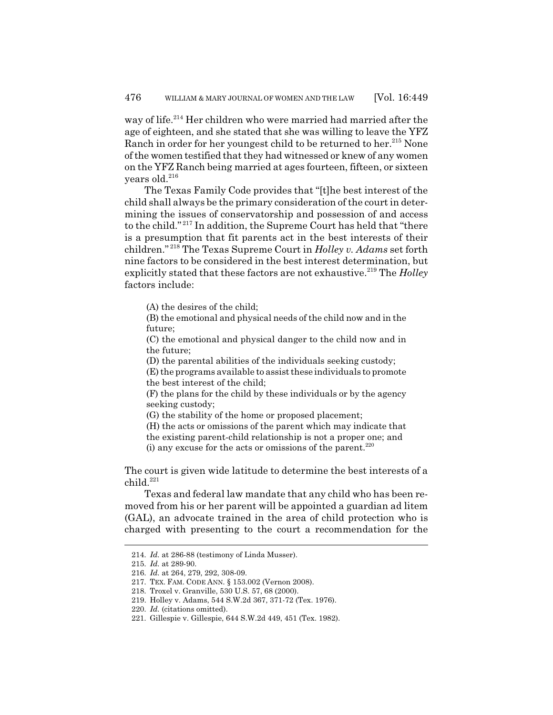way of life.<sup>214</sup> Her children who were married had married after the age of eighteen, and she stated that she was willing to leave the YFZ Ranch in order for her youngest child to be returned to her.<sup>215</sup> None of the women testified that they had witnessed or knew of any women on the YFZ Ranch being married at ages fourteen, fifteen, or sixteen years old.<sup>216</sup>

The Texas Family Code provides that "[t]he best interest of the child shall always be the primary consideration of the court in determining the issues of conservatorship and possession of and access to the child." 217 In addition, the Supreme Court has held that "there is a presumption that fit parents act in the best interests of their children." 218 The Texas Supreme Court in *Holley v. Adams* set forth nine factors to be considered in the best interest determination, but explicitly stated that these factors are not exhaustive.<sup>219</sup> The *Holley* factors include:

(A) the desires of the child;

(B) the emotional and physical needs of the child now and in the future;

(C) the emotional and physical danger to the child now and in the future;

(D) the parental abilities of the individuals seeking custody;

(E) the programs available to assist these individuals to promote the best interest of the child;

(F) the plans for the child by these individuals or by the agency seeking custody;

(G) the stability of the home or proposed placement;

(H) the acts or omissions of the parent which may indicate that

the existing parent-child relationship is not a proper one; and

(i) any excuse for the acts or omissions of the parent. $220$ 

The court is given wide latitude to determine the best interests of a child.221

Texas and federal law mandate that any child who has been removed from his or her parent will be appointed a guardian ad litem (GAL), an advocate trained in the area of child protection who is charged with presenting to the court a recommendation for the

<sup>214.</sup> *Id.* at 286-88 (testimony of Linda Musser).

<sup>215.</sup> *Id.* at 289-90.

<sup>216.</sup> *Id.* at 264, 279, 292, 308-09.

<sup>217.</sup> TEX. FAM. CODE ANN. § 153.002 (Vernon 2008).

<sup>218.</sup> Troxel v. Granville, 530 U.S. 57, 68 (2000).

<sup>219.</sup> Holley v. Adams, 544 S.W.2d 367, 371-72 (Tex. 1976).

<sup>220.</sup> *Id.* (citations omitted).

<sup>221.</sup> Gillespie v. Gillespie, 644 S.W.2d 449, 451 (Tex. 1982).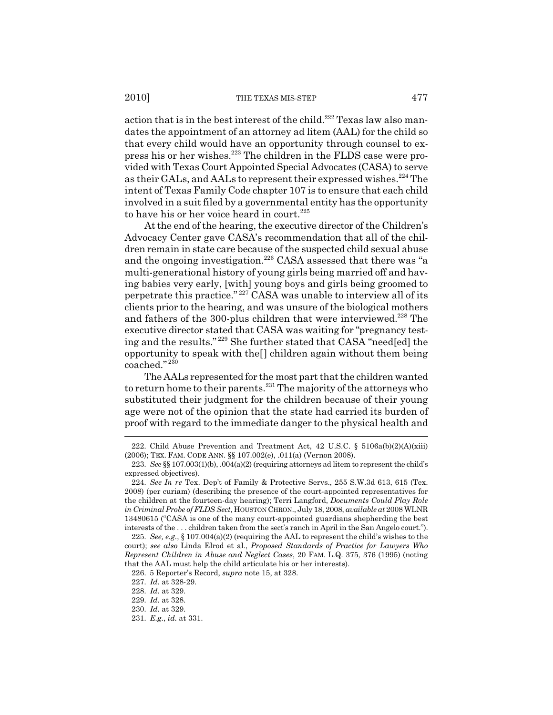action that is in the best interest of the child.<sup>222</sup> Texas law also mandates the appointment of an attorney ad litem (AAL) for the child so that every child would have an opportunity through counsel to express his or her wishes.<sup>223</sup> The children in the FLDS case were provided with Texas Court Appointed Special Advocates (CASA) to serve as their GALs, and AALs to represent their expressed wishes.<sup>224</sup> The intent of Texas Family Code chapter 107 is to ensure that each child involved in a suit filed by a governmental entity has the opportunity to have his or her voice heard in court.<sup>225</sup>

At the end of the hearing, the executive director of the Children's Advocacy Center gave CASA's recommendation that all of the children remain in state care because of the suspected child sexual abuse and the ongoing investigation.<sup>226</sup> CASA assessed that there was "a multi-generational history of young girls being married off and having babies very early, [with] young boys and girls being groomed to perpetrate this practice." 227 CASA was unable to interview all of its clients prior to the hearing, and was unsure of the biological mothers and fathers of the 300-plus children that were interviewed.<sup>228</sup> The executive director stated that CASA was waiting for "pregnancy testing and the results." 229 She further stated that CASA "need[ed] the opportunity to speak with the[] children again without them being coached." <sup>230</sup>

The AALs represented for the most part that the children wanted to return home to their parents.<sup>231</sup> The majority of the attorneys who substituted their judgment for the children because of their young age were not of the opinion that the state had carried its burden of proof with regard to the immediate danger to the physical health and

<sup>222.</sup> Child Abuse Prevention and Treatment Act, 42 U.S.C. § 5106a(b)(2)(A)(xiii) (2006); TEX. FAM. CODE ANN. §§ 107.002(e), .011(a) (Vernon 2008).

<sup>223.</sup> *See* §§ 107.003(1)(b), .004(a)(2) (requiring attorneys ad litem to represent the child's expressed objectives).

<sup>224.</sup> *See In re* Tex. Dep't of Family & Protective Servs., 255 S.W.3d 613, 615 (Tex. 2008) (per curiam) (describing the presence of the court-appointed representatives for the children at the fourteen-day hearing); Terri Langford, *Documents Could Play Role in Criminal Probe of FLDS Sect*, HOUSTON CHRON., July 18, 2008, *available at* 2008 WLNR 13480615 ("CASA is one of the many court-appointed guardians shepherding the best interests of the . . . children taken from the sect's ranch in April in the San Angelo court.").

<sup>225.</sup> *See, e.g.*, § 107.004(a)(2) (requiring the AAL to represent the child's wishes to the court); *see also* Linda Elrod et al., *Proposed Standards of Practice for Lawyers Who Represent Children in Abuse and Neglect Cases*, 20 FAM. L.Q. 375, 376 (1995) (noting that the AAL must help the child articulate his or her interests).

<sup>226. 5</sup> Reporter's Record, *supra* note 15, at 328.

<sup>227.</sup> *Id.* at 328-29.

<sup>228.</sup> *Id.* at 329.

<sup>229.</sup> *Id.* at 328.

<sup>230.</sup> *Id.* at 329.

<sup>231.</sup> *E.g.*, *id.* at 331.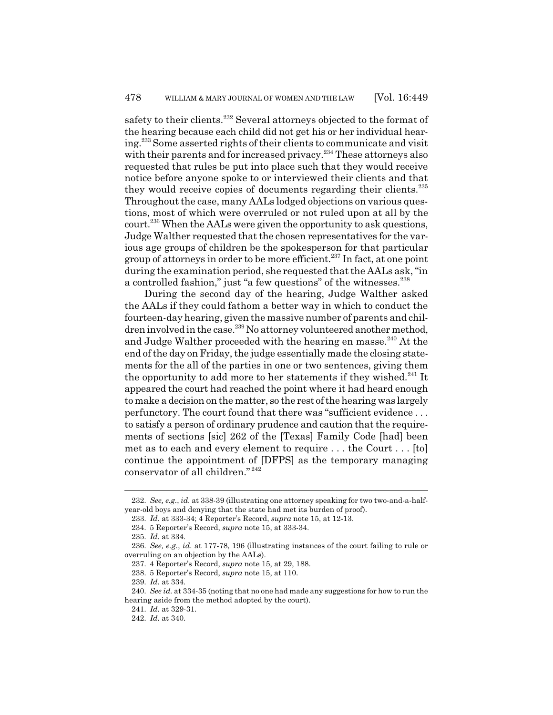safety to their clients.<sup>232</sup> Several attorneys objected to the format of the hearing because each child did not get his or her individual hearing.233 Some asserted rights of their clients to communicate and visit with their parents and for increased privacy.<sup>234</sup> These attorneys also requested that rules be put into place such that they would receive notice before anyone spoke to or interviewed their clients and that they would receive copies of documents regarding their clients.<sup>235</sup> Throughout the case, many AALs lodged objections on various questions, most of which were overruled or not ruled upon at all by the court.236 When the AALs were given the opportunity to ask questions, Judge Walther requested that the chosen representatives for the various age groups of children be the spokesperson for that particular group of attorneys in order to be more efficient.237 In fact, at one point during the examination period, she requested that the AALs ask, "in a controlled fashion," just "a few questions" of the witnesses.<sup>238</sup>

During the second day of the hearing, Judge Walther asked the AALs if they could fathom a better way in which to conduct the fourteen-day hearing, given the massive number of parents and children involved in the case.<sup>239</sup> No attorney volunteered another method, and Judge Walther proceeded with the hearing en masse.<sup>240</sup> At the end of the day on Friday, the judge essentially made the closing statements for the all of the parties in one or two sentences, giving them the opportunity to add more to her statements if they wished. $^{241}$  It appeared the court had reached the point where it had heard enough to make a decision on the matter, so the rest of the hearing was largely perfunctory. The court found that there was "sufficient evidence . . . to satisfy a person of ordinary prudence and caution that the requirements of sections [sic] 262 of the [Texas] Family Code [had] been met as to each and every element to require . . . the Court . . . [to] continue the appointment of [DFPS] as the temporary managing conservator of all children." <sup>242</sup>

<sup>232.</sup> *See, e.g.*, *id.* at 338-39 (illustrating one attorney speaking for two two-and-a-halfyear-old boys and denying that the state had met its burden of proof).

<sup>233.</sup> *Id.* at 333-34; 4 Reporter's Record, *supra* note 15, at 12-13.

<sup>234. 5</sup> Reporter's Record, *supra* note 15, at 333-34.

<sup>235.</sup> *Id.* at 334.

<sup>236.</sup> *See, e.g.*, *id.* at 177-78, 196 (illustrating instances of the court failing to rule or overruling on an objection by the AALs).

<sup>237. 4</sup> Reporter's Record, *supra* note 15, at 29, 188.

<sup>238. 5</sup> Reporter's Record, *supra* note 15, at 110.

<sup>239.</sup> *Id.* at 334.

<sup>240.</sup> *See id.* at 334-35 (noting that no one had made any suggestions for how to run the hearing aside from the method adopted by the court).

<sup>241.</sup> *Id.* at 329-31.

<sup>242.</sup> *Id.* at 340.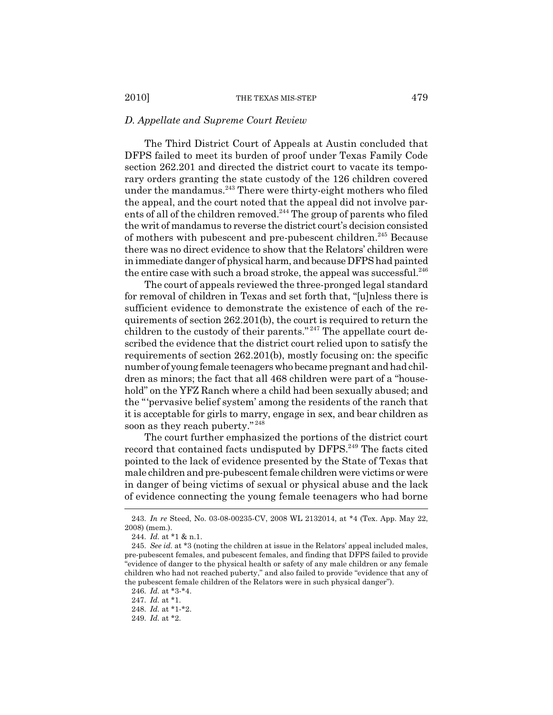#### *D. Appellate and Supreme Court Review*

The Third District Court of Appeals at Austin concluded that DFPS failed to meet its burden of proof under Texas Family Code section 262.201 and directed the district court to vacate its temporary orders granting the state custody of the 126 children covered under the mandamus.<sup>243</sup> There were thirty-eight mothers who filed the appeal, and the court noted that the appeal did not involve parents of all of the children removed.<sup>244</sup> The group of parents who filed the writ of mandamus to reverse the district court's decision consisted of mothers with pubescent and pre-pubescent children.<sup>245</sup> Because there was no direct evidence to show that the Relators' children were in immediate danger of physical harm, and because DFPS had painted the entire case with such a broad stroke, the appeal was successful.<sup>246</sup>

The court of appeals reviewed the three-pronged legal standard for removal of children in Texas and set forth that, "[u]nless there is sufficient evidence to demonstrate the existence of each of the requirements of section 262.201(b), the court is required to return the children to the custody of their parents." 247 The appellate court described the evidence that the district court relied upon to satisfy the requirements of section 262.201(b), mostly focusing on: the specific number of young female teenagers who became pregnant and had children as minors; the fact that all 468 children were part of a "household" on the YFZ Ranch where a child had been sexually abused; and the "'pervasive belief system' among the residents of the ranch that it is acceptable for girls to marry, engage in sex, and bear children as soon as they reach puberty." <sup>248</sup>

The court further emphasized the portions of the district court record that contained facts undisputed by DFPS.<sup>249</sup> The facts cited pointed to the lack of evidence presented by the State of Texas that male children and pre-pubescent female children were victims or were in danger of being victims of sexual or physical abuse and the lack of evidence connecting the young female teenagers who had borne

248. *Id.* at \*1-\*2.

<sup>243.</sup> *In re* Steed, No. 03-08-00235-CV, 2008 WL 2132014, at \*4 (Tex. App. May 22, 2008) (mem.).

<sup>244.</sup> *Id.* at \*1 & n.1.

<sup>245.</sup> *See id.* at \*3 (noting the children at issue in the Relators' appeal included males, pre-pubescent females, and pubescent females, and finding that DFPS failed to provide "evidence of danger to the physical health or safety of any male children or any female children who had not reached puberty," and also failed to provide "evidence that any of the pubescent female children of the Relators were in such physical danger").

<sup>246.</sup> *Id.* at \*3-\*4.

<sup>247.</sup> *Id.* at \*1.

<sup>249.</sup> *Id.* at \*2.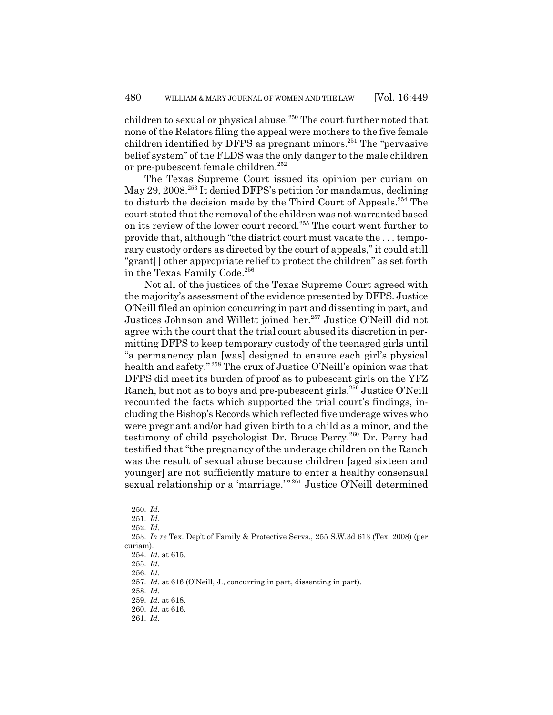children to sexual or physical abuse.<sup>250</sup> The court further noted that none of the Relators filing the appeal were mothers to the five female children identified by DFPS as pregnant minors.<sup>251</sup> The "pervasive" belief system" of the FLDS was the only danger to the male children or pre-pubescent female children.<sup>252</sup>

The Texas Supreme Court issued its opinion per curiam on May 29, 2008.<sup>253</sup> It denied DFPS's petition for mandamus, declining to disturb the decision made by the Third Court of Appeals.<sup>254</sup> The court stated that the removal of the children was not warranted based on its review of the lower court record.<sup>255</sup> The court went further to provide that, although "the district court must vacate the . . . temporary custody orders as directed by the court of appeals," it could still "grant[] other appropriate relief to protect the children" as set forth in the Texas Family Code.<sup>256</sup>

Not all of the justices of the Texas Supreme Court agreed with the majority's assessment of the evidence presented by DFPS. Justice O'Neill filed an opinion concurring in part and dissenting in part, and Justices Johnson and Willett joined her.<sup>257</sup> Justice O'Neill did not agree with the court that the trial court abused its discretion in permitting DFPS to keep temporary custody of the teenaged girls until "a permanency plan [was] designed to ensure each girl's physical health and safety." 258 The crux of Justice O'Neill's opinion was that DFPS did meet its burden of proof as to pubescent girls on the YFZ Ranch, but not as to boys and pre-pubescent girls.259 Justice O'Neill recounted the facts which supported the trial court's findings, including the Bishop's Records which reflected five underage wives who were pregnant and/or had given birth to a child as a minor, and the testimony of child psychologist Dr. Bruce Perry.<sup>260</sup> Dr. Perry had testified that "the pregnancy of the underage children on the Ranch was the result of sexual abuse because children [aged sixteen and younger] are not sufficiently mature to enter a healthy consensual sexual relationship or a 'marriage.'" 261 Justice O'Neill determined

<sup>250.</sup> *Id.*

<sup>251.</sup> *Id.*

<sup>252.</sup> *Id.*

<sup>253.</sup> *In re* Tex. Dep't of Family & Protective Servs., 255 S.W.3d 613 (Tex. 2008) (per curiam).

<sup>254.</sup> *Id.* at 615.

<sup>255.</sup> *Id.*

<sup>256.</sup> *Id.*

<sup>257.</sup> *Id.* at 616 (O'Neill, J., concurring in part, dissenting in part).

<sup>258.</sup> *Id.*

<sup>259.</sup> *Id.* at 618. 260. *Id.* at 616.

<sup>261.</sup> *Id.*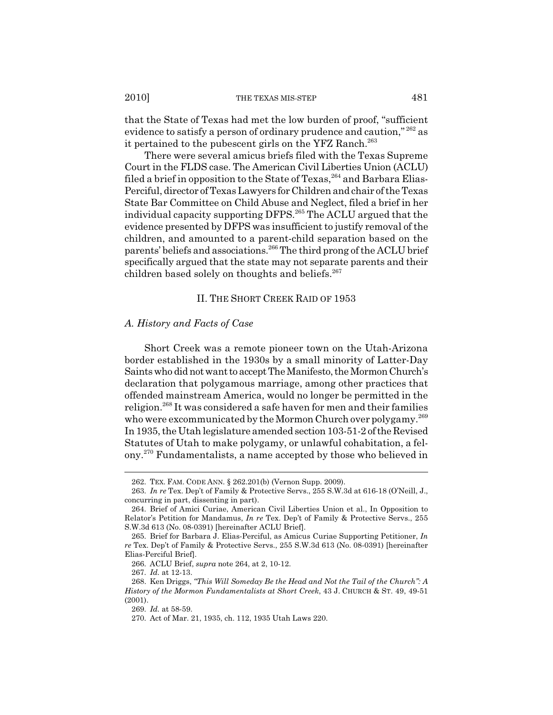that the State of Texas had met the low burden of proof, "sufficient evidence to satisfy a person of ordinary prudence and caution,"  $262$  as it pertained to the pubescent girls on the YFZ Ranch.<sup>263</sup>

There were several amicus briefs filed with the Texas Supreme Court in the FLDS case. The American Civil Liberties Union (ACLU) filed a brief in opposition to the State of Texas,  $264$  and Barbara Elias-Perciful, director of Texas Lawyers for Children and chair of the Texas State Bar Committee on Child Abuse and Neglect, filed a brief in her individual capacity supporting DFPS.<sup>265</sup> The ACLU argued that the evidence presented by DFPS was insufficient to justify removal of the children, and amounted to a parent-child separation based on the parents' beliefs and associations.266 The third prong of the ACLU brief specifically argued that the state may not separate parents and their children based solely on thoughts and beliefs.<sup>267</sup>

## II. THE SHORT CREEK RAID OF 1953

## *A. History and Facts of Case*

Short Creek was a remote pioneer town on the Utah-Arizona border established in the 1930s by a small minority of Latter-Day Saints who did not want to accept The Manifesto, the Mormon Church's declaration that polygamous marriage, among other practices that offended mainstream America, would no longer be permitted in the religion.268 It was considered a safe haven for men and their families who were excommunicated by the Mormon Church over polygamy.<sup>269</sup> In 1935, the Utah legislature amended section 103-51-2 of the Revised Statutes of Utah to make polygamy, or unlawful cohabitation, a felony.270 Fundamentalists, a name accepted by those who believed in

<sup>262.</sup> TEX. FAM. CODE ANN. § 262.201(b) (Vernon Supp. 2009).

<sup>263.</sup> *In re* Tex. Dep't of Family & Protective Servs., 255 S.W.3d at 616-18 (O'Neill, J., concurring in part, dissenting in part).

<sup>264.</sup> Brief of Amici Curiae, American Civil Liberties Union et al., In Opposition to Relator's Petition for Mandamus, *In re* Tex. Dep't of Family & Protective Servs., 255 S.W.3d 613 (No. 08-0391) [hereinafter ACLU Brief].

<sup>265.</sup> Brief for Barbara J. Elias-Perciful, as Amicus Curiae Supporting Petitioner, *In re* Tex. Dep't of Family & Protective Servs., 255 S.W.3d 613 (No. 08-0391) [hereinafter Elias-Perciful Brief].

<sup>266.</sup> ACLU Brief, *supra* note 264, at 2, 10-12.

<sup>267.</sup> *Id.* at 12-13.

<sup>268.</sup> Ken Driggs, *"This Will Someday Be the Head and Not the Tail of the Church": A History of the Mormon Fundamentalists at Short Creek*, 43 J. CHURCH & ST. 49, 49-51 (2001).

<sup>269.</sup> *Id.* at 58-59.

<sup>270.</sup> Act of Mar. 21, 1935, ch. 112, 1935 Utah Laws 220.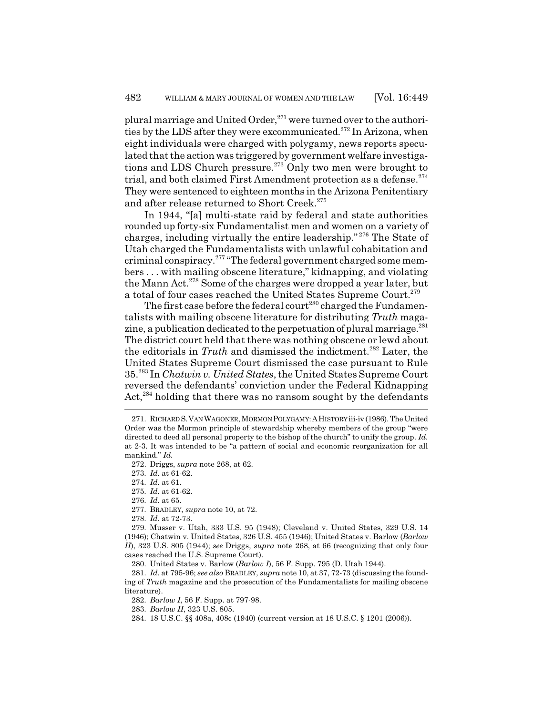plural marriage and United Order, $271$  were turned over to the authorities by the LDS after they were excommunicated.<sup>272</sup> In Arizona, when eight individuals were charged with polygamy, news reports speculated that the action was triggered by government welfare investigations and LDS Church pressure.<sup>273</sup> Only two men were brought to trial, and both claimed First Amendment protection as a defense. $274$ They were sentenced to eighteen months in the Arizona Penitentiary and after release returned to Short Creek.<sup>275</sup>

In 1944, "[a] multi-state raid by federal and state authorities rounded up forty-six Fundamentalist men and women on a variety of charges, including virtually the entire leadership." 276 The State of Utah charged the Fundamentalists with unlawful cohabitation and criminal conspiracy.277 "The federal government charged some members . . . with mailing obscene literature," kidnapping, and violating the Mann Act.<sup>278</sup> Some of the charges were dropped a year later, but a total of four cases reached the United States Supreme Court.<sup>279</sup>

The first case before the federal court<sup>280</sup> charged the Fundamentalists with mailing obscene literature for distributing *Truth* magazine, a publication dedicated to the perpetuation of plural marriage. $^{281}$ The district court held that there was nothing obscene or lewd about the editorials in *Truth* and dismissed the indictment.282 Later, the United States Supreme Court dismissed the case pursuant to Rule 35.283 In *Chatwin v. United States*, the United States Supreme Court reversed the defendants' conviction under the Federal Kidnapping Act,<sup>284</sup> holding that there was no ransom sought by the defendants

272. Driggs, *supra* note 268, at 62.

273. *Id.* at 61-62.

274. *Id.* at 61.

275. *Id.* at 61-62.

277. BRADLEY, *supra* note 10, at 72.

278. *Id.* at 72-73.

279. Musser v. Utah, 333 U.S. 95 (1948); Cleveland v. United States, 329 U.S. 14 (1946); Chatwin v. United States, 326 U.S. 455 (1946); United States v. Barlow (*Barlow II*), 323 U.S. 805 (1944); *see* Driggs, *supra* note 268, at 66 (recognizing that only four cases reached the U.S. Supreme Court).

280. United States v. Barlow (*Barlow I*), 56 F. Supp. 795 (D. Utah 1944).

281. *Id.* at 795-96; *see also* BRADLEY, *supra* note 10, at 37, 72-73 (discussing the founding of *Truth* magazine and the prosecution of the Fundamentalists for mailing obscene literature).

282. *Barlow I*, 56 F. Supp. at 797-98.

283. *Barlow II*, 323 U.S. 805.

284. 18 U.S.C. §§ 408a, 408c (1940) (current version at 18 U.S.C. § 1201 (2006)).

<sup>271.</sup> RICHARD S.VAN WAGONER, MORMON POLYGAMY:AHISTORY iii-iv (1986). The United Order was the Mormon principle of stewardship whereby members of the group "were directed to deed all personal property to the bishop of the church" to unify the group. *Id.* at 2-3. It was intended to be "a pattern of social and economic reorganization for all mankind." *Id.*

<sup>276.</sup> *Id.* at 65.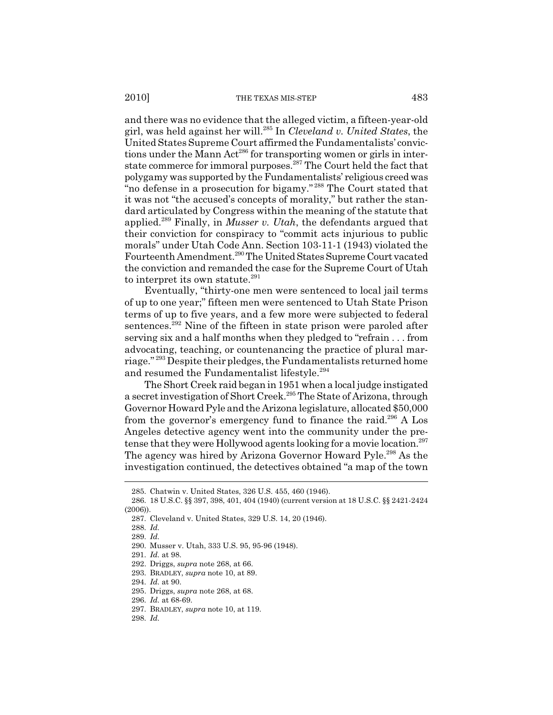and there was no evidence that the alleged victim, a fifteen-year-old girl, was held against her will.285 In *Cleveland v. United States*, the United States Supreme Court affirmed the Fundamentalists' convictions under the Mann Act<sup>286</sup> for transporting women or girls in interstate commerce for immoral purposes.<sup>287</sup> The Court held the fact that polygamy was supported by the Fundamentalists' religious creed was "no defense in a prosecution for bigamy." 288 The Court stated that it was not "the accused's concepts of morality," but rather the standard articulated by Congress within the meaning of the statute that applied.289 Finally, in *Musser v. Utah*, the defendants argued that their conviction for conspiracy to "commit acts injurious to public morals" under Utah Code Ann. Section 103-11-1 (1943) violated the Fourteenth Amendment.<sup>290</sup> The United States Supreme Court vacated the conviction and remanded the case for the Supreme Court of Utah to interpret its own statute. $291$ 

Eventually, "thirty-one men were sentenced to local jail terms of up to one year;" fifteen men were sentenced to Utah State Prison terms of up to five years, and a few more were subjected to federal sentences.<sup>292</sup> Nine of the fifteen in state prison were paroled after serving six and a half months when they pledged to "refrain . . . from advocating, teaching, or countenancing the practice of plural marriage." 293 Despite their pledges, the Fundamentalists returned home and resumed the Fundamentalist lifestyle.<sup>294</sup>

The Short Creek raid began in 1951 when a local judge instigated a secret investigation of Short Creek.295 The State of Arizona, through Governor Howard Pyle and the Arizona legislature, allocated \$50,000 from the governor's emergency fund to finance the raid.<sup>296</sup> A Los Angeles detective agency went into the community under the pretense that they were Hollywood agents looking for a movie location.<sup>297</sup> The agency was hired by Arizona Governor Howard Pyle.<sup>298</sup> As the investigation continued, the detectives obtained "a map of the town

288. *Id.*

<sup>285.</sup> Chatwin v. United States, 326 U.S. 455, 460 (1946).

<sup>286. 18</sup> U.S.C. §§ 397, 398, 401, 404 (1940) (current version at 18 U.S.C. §§ 2421-2424 (2006)).

<sup>287.</sup> Cleveland v. United States, 329 U.S. 14, 20 (1946).

<sup>289.</sup> *Id.*

<sup>290.</sup> Musser v. Utah, 333 U.S. 95, 95-96 (1948).

<sup>291.</sup> *Id.* at 98.

<sup>292.</sup> Driggs, *supra* note 268, at 66.

<sup>293.</sup> BRADLEY, *supra* note 10, at 89.

<sup>294.</sup> *Id.* at 90.

<sup>295.</sup> Driggs, *supra* note 268, at 68.

<sup>296.</sup> *Id.* at 68-69.

<sup>297.</sup> BRADLEY, *supra* note 10, at 119.

<sup>298.</sup> *Id.*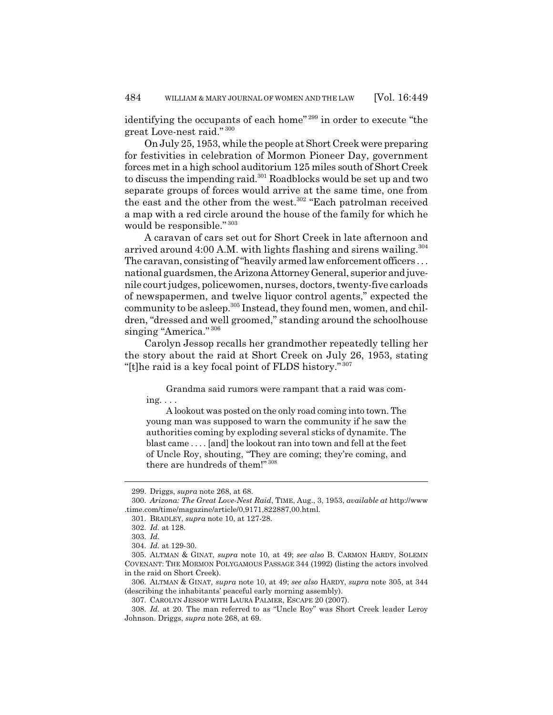identifying the occupants of each home"<sup>299</sup> in order to execute "the great Love-nest raid." <sup>300</sup>

On July 25, 1953, while the people at Short Creek were preparing for festivities in celebration of Mormon Pioneer Day, government forces met in a high school auditorium 125 miles south of Short Creek to discuss the impending raid.301 Roadblocks would be set up and two separate groups of forces would arrive at the same time, one from the east and the other from the west.<sup>302</sup> "Each patrolman received a map with a red circle around the house of the family for which he would be responsible." <sup>303</sup>

A caravan of cars set out for Short Creek in late afternoon and arrived around 4:00 A.M. with lights flashing and sirens wailing.<sup>304</sup> The caravan, consisting of "heavily armed law enforcement officers . . . national guardsmen, the Arizona Attorney General, superior and juvenile court judges, policewomen, nurses, doctors, twenty-five carloads of newspapermen, and twelve liquor control agents," expected the community to be asleep.<sup>305</sup> Instead, they found men, women, and children, "dressed and well groomed," standing around the schoolhouse singing "America." 306

Carolyn Jessop recalls her grandmother repeatedly telling her the story about the raid at Short Creek on July 26, 1953, stating "[t]he raid is a key focal point of FLDS history." <sup>307</sup>

Grandma said rumors were rampant that a raid was coming. . . .

A lookout was posted on the only road coming into town. The young man was supposed to warn the community if he saw the authorities coming by exploding several sticks of dynamite. The blast came . . . . [and] the lookout ran into town and fell at the feet of Uncle Roy, shouting, "They are coming; they're coming, and there are hundreds of them!" <sup>308</sup>

<sup>299.</sup> Driggs, *supra* note 268, at 68.

<sup>300.</sup> *Arizona: The Great Love-Nest Raid*, TIME, Aug., 3, 1953, *available at* http://www .time.com/time/magazine/article/0,9171,822887,00.html.

<sup>301.</sup> BRADLEY, *supra* note 10, at 127-28.

<sup>302.</sup> *Id.* at 128.

<sup>303.</sup> *Id.*

<sup>304.</sup> *Id.* at 129-30.

<sup>305.</sup> ALTMAN & GINAT, *supra* note 10, at 49; *see also* B. CARMON HARDY, SOLEMN COVENANT: THE MORMON POLYGAMOUS PASSAGE 344 (1992) (listing the actors involved in the raid on Short Creek).

<sup>306.</sup> ALTMAN & GINAT, *supra* note 10, at 49; *see also* HARDY, *supra* note 305, at 344 (describing the inhabitants' peaceful early morning assembly).

<sup>307.</sup> CAROLYN JESSOP WITH LAURA PALMER, ESCAPE 20 (2007).

<sup>308.</sup> *Id.* at 20. The man referred to as "Uncle Roy" was Short Creek leader Leroy Johnson. Driggs, *supra* note 268, at 69.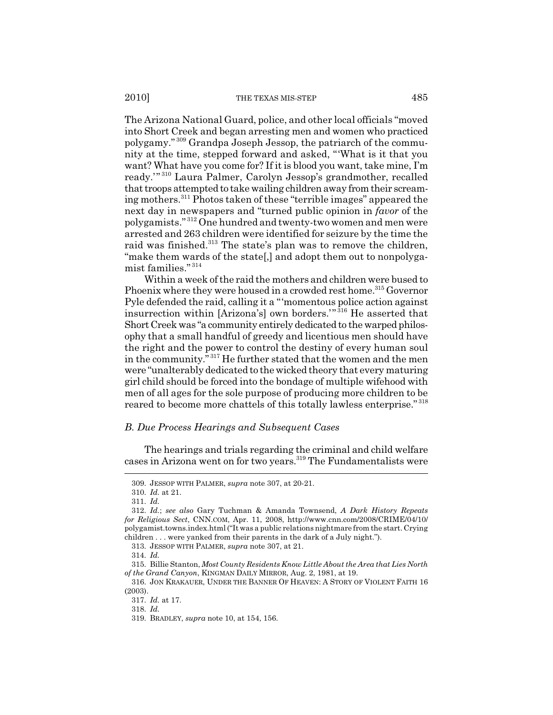#### 2010] THE TEXAS MIS-STEP 485

The Arizona National Guard, police, and other local officials "moved into Short Creek and began arresting men and women who practiced polygamy." 309 Grandpa Joseph Jessop, the patriarch of the community at the time, stepped forward and asked, "'What is it that you want? What have you come for? If it is blood you want, take mine, I'm ready.'" 310 Laura Palmer, Carolyn Jessop's grandmother, recalled that troops attempted to take wailing children away from their screaming mothers.311 Photos taken of these "terrible images" appeared the next day in newspapers and "turned public opinion in *favor* of the polygamists." 312 One hundred and twenty-two women and men were arrested and 263 children were identified for seizure by the time the raid was finished.<sup>313</sup> The state's plan was to remove the children, "make them wards of the state[,] and adopt them out to nonpolygamist families." <sup>314</sup>

Within a week of the raid the mothers and children were bused to Phoenix where they were housed in a crowded rest home.<sup>315</sup> Governor Pyle defended the raid, calling it a "'momentous police action against insurrection within [Arizona's] own borders.'" 316 He asserted that Short Creek was "a community entirely dedicated to the warped philosophy that a small handful of greedy and licentious men should have the right and the power to control the destiny of every human soul in the community." 317 He further stated that the women and the men were "unalterably dedicated to the wicked theory that every maturing girl child should be forced into the bondage of multiple wifehood with men of all ages for the sole purpose of producing more children to be reared to become more chattels of this totally lawless enterprise." <sup>318</sup>

### *B. Due Process Hearings and Subsequent Cases*

The hearings and trials regarding the criminal and child welfare cases in Arizona went on for two years.319 The Fundamentalists were

<sup>309.</sup> JESSOP WITH PALMER, *supra* note 307, at 20-21.

<sup>310.</sup> *Id.* at 21.

<sup>311.</sup> *Id.*

<sup>312.</sup> *Id.*; *see also* Gary Tuchman & Amanda Townsend, *A Dark History Repeats for Religious Sect*, CNN.COM, Apr. 11, 2008, http://www.cnn.com/2008/CRIME/04/10/ polygamist.towns.index.html ("It was a public relations nightmare from the start. Crying children . . . were yanked from their parents in the dark of a July night.").

<sup>313.</sup> JESSOP WITH PALMER, *supra* note 307, at 21.

<sup>314.</sup> *Id.*

<sup>315.</sup> Billie Stanton, *Most County Residents Know Little About the Area that Lies North of the Grand Canyon*, KINGMAN DAILY MIRROR, Aug. 2, 1981, at 19.

<sup>316.</sup> JON KRAKAUER, UNDER THE BANNER OF HEAVEN: A STORY OF VIOLENT FAITH 16 (2003).

<sup>317.</sup> *Id.* at 17.

<sup>318.</sup> *Id.*

<sup>319.</sup> BRADLEY, *supra* note 10, at 154, 156.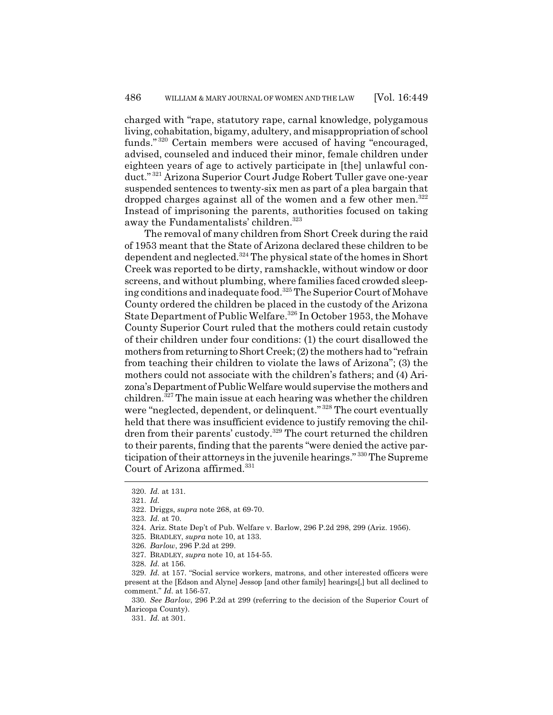charged with "rape, statutory rape, carnal knowledge, polygamous living, cohabitation, bigamy, adultery, and misappropriation of school funds." 320 Certain members were accused of having "encouraged, advised, counseled and induced their minor, female children under eighteen years of age to actively participate in [the] unlawful conduct." 321 Arizona Superior Court Judge Robert Tuller gave one-year suspended sentences to twenty-six men as part of a plea bargain that dropped charges against all of the women and a few other men.<sup>322</sup> Instead of imprisoning the parents, authorities focused on taking away the Fundamentalists' children.<sup>323</sup>

The removal of many children from Short Creek during the raid of 1953 meant that the State of Arizona declared these children to be dependent and neglected.<sup>324</sup> The physical state of the homes in Short Creek was reported to be dirty, ramshackle, without window or door screens, and without plumbing, where families faced crowded sleeping conditions and inadequate food.<sup>325</sup> The Superior Court of Mohave County ordered the children be placed in the custody of the Arizona State Department of Public Welfare.<sup>326</sup> In October 1953, the Mohave County Superior Court ruled that the mothers could retain custody of their children under four conditions: (1) the court disallowed the mothers from returning to Short Creek; (2) the mothers had to "refrain from teaching their children to violate the laws of Arizona"; (3) the mothers could not associate with the children's fathers; and (4) Arizona's Department of Public Welfare would supervise the mothers and children.327 The main issue at each hearing was whether the children were "neglected, dependent, or delinquent." <sup>328</sup> The court eventually held that there was insufficient evidence to justify removing the children from their parents' custody.<sup>329</sup> The court returned the children to their parents, finding that the parents "were denied the active participation of their attorneys in the juvenile hearings." 330 The Supreme Court of Arizona affirmed. $331$ 

<sup>320.</sup> *Id.* at 131.

<sup>321.</sup> *Id.*

<sup>322.</sup> Driggs, *supra* note 268, at 69-70.

<sup>323.</sup> *Id.* at 70.

<sup>324.</sup> Ariz. State Dep't of Pub. Welfare v. Barlow, 296 P.2d 298, 299 (Ariz. 1956).

<sup>325.</sup> BRADLEY, *supra* note 10, at 133.

<sup>326.</sup> *Barlow*, 296 P.2d at 299.

<sup>327.</sup> BRADLEY, *supra* note 10, at 154-55.

<sup>328.</sup> *Id.* at 156.

<sup>329.</sup> *Id.* at 157. "Social service workers, matrons, and other interested officers were present at the [Edson and Alyne] Jessop [and other family] hearings[,] but all declined to comment." *Id.* at 156-57.

<sup>330.</sup> *See Barlow*, 296 P.2d at 299 (referring to the decision of the Superior Court of Maricopa County).

<sup>331.</sup> *Id.* at 301.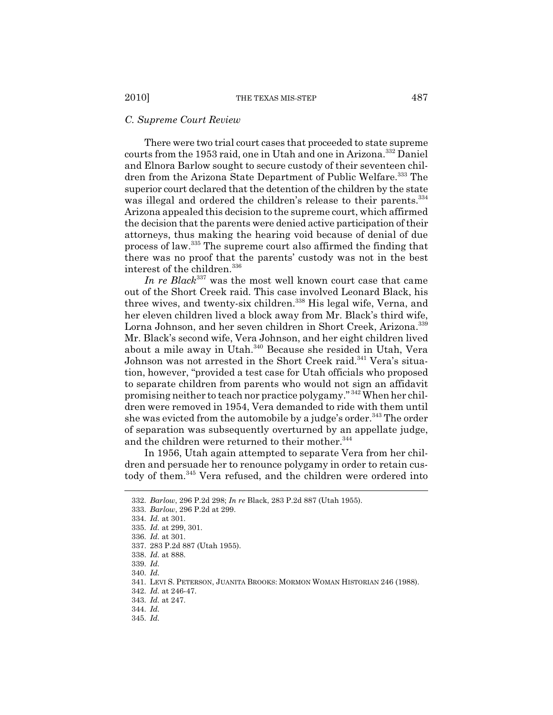# *C. Supreme Court Review*

There were two trial court cases that proceeded to state supreme courts from the 1953 raid, one in Utah and one in Arizona.<sup>332</sup> Daniel and Elnora Barlow sought to secure custody of their seventeen children from the Arizona State Department of Public Welfare.<sup>333</sup> The superior court declared that the detention of the children by the state was illegal and ordered the children's release to their parents.<sup>334</sup> Arizona appealed this decision to the supreme court, which affirmed the decision that the parents were denied active participation of their attorneys, thus making the hearing void because of denial of due process of law.335 The supreme court also affirmed the finding that there was no proof that the parents' custody was not in the best interest of the children.<sup>336</sup>

*In re Black*337 was the most well known court case that came out of the Short Creek raid. This case involved Leonard Black, his three wives, and twenty-six children.<sup>338</sup> His legal wife, Verna, and her eleven children lived a block away from Mr. Black's third wife, Lorna Johnson, and her seven children in Short Creek, Arizona.<sup>339</sup> Mr. Black's second wife, Vera Johnson, and her eight children lived about a mile away in Utah.<sup>340</sup> Because she resided in Utah, Vera Johnson was not arrested in the Short Creek raid.<sup>341</sup> Vera's situation, however, "provided a test case for Utah officials who proposed to separate children from parents who would not sign an affidavit promising neither to teach nor practice polygamy." 342 When her children were removed in 1954, Vera demanded to ride with them until she was evicted from the automobile by a judge's order.<sup>343</sup> The order of separation was subsequently overturned by an appellate judge, and the children were returned to their mother.<sup>344</sup>

In 1956, Utah again attempted to separate Vera from her children and persuade her to renounce polygamy in order to retain custody of them.<sup>345</sup> Vera refused, and the children were ordered into

345. *Id.*

<sup>332.</sup> *Barlow*, 296 P.2d 298; *In re* Black, 283 P.2d 887 (Utah 1955).

<sup>333.</sup> *Barlow*, 296 P.2d at 299.

<sup>334.</sup> *Id.* at 301.

<sup>335.</sup> *Id.* at 299, 301.

<sup>336.</sup> *Id.* at 301.

<sup>337. 283</sup> P.2d 887 (Utah 1955).

<sup>338.</sup> *Id.* at 888.

<sup>339.</sup> *Id.*

<sup>340.</sup> *Id.*

<sup>341.</sup> LEVI S. PETERSON, JUANITA BROOKS: MORMON WOMAN HISTORIAN 246 (1988).

<sup>342.</sup> *Id.* at 246-47.

<sup>343.</sup> *Id.* at 247.

<sup>344.</sup> *Id.*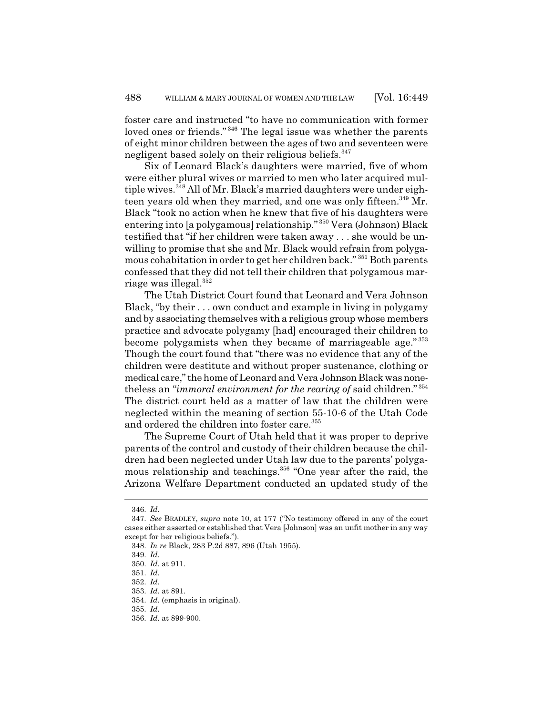foster care and instructed "to have no communication with former loved ones or friends."<sup>346</sup> The legal issue was whether the parents of eight minor children between the ages of two and seventeen were negligent based solely on their religious beliefs.<sup>347</sup>

Six of Leonard Black's daughters were married, five of whom were either plural wives or married to men who later acquired multiple wives.  $348$  All of Mr. Black's married daughters were under eighteen years old when they married, and one was only fifteen.<sup>349</sup> Mr. Black "took no action when he knew that five of his daughters were entering into [a polygamous] relationship." 350 Vera (Johnson) Black testified that "if her children were taken away . . . she would be unwilling to promise that she and Mr. Black would refrain from polygamous cohabitation in order to get her children back." 351 Both parents confessed that they did not tell their children that polygamous marriage was illegal.352

The Utah District Court found that Leonard and Vera Johnson Black, "by their . . . own conduct and example in living in polygamy and by associating themselves with a religious group whose members practice and advocate polygamy [had] encouraged their children to become polygamists when they became of marriageable age." 353 Though the court found that "there was no evidence that any of the children were destitute and without proper sustenance, clothing or medical care," the home of Leonard and Vera Johnson Black was nonetheless an "*immoral environment for the rearing of* said children." <sup>354</sup> The district court held as a matter of law that the children were neglected within the meaning of section 55-10-6 of the Utah Code and ordered the children into foster care.<sup>355</sup>

The Supreme Court of Utah held that it was proper to deprive parents of the control and custody of their children because the children had been neglected under Utah law due to the parents' polygamous relationship and teachings.<sup>356</sup> "One year after the raid, the Arizona Welfare Department conducted an updated study of the

<sup>346.</sup> *Id.*

<sup>347.</sup> *See* BRADLEY, *supra* note 10, at 177 ("No testimony offered in any of the court cases either asserted or established that Vera [Johnson] was an unfit mother in any way except for her religious beliefs.").

<sup>348.</sup> *In re* Black, 283 P.2d 887, 896 (Utah 1955).

<sup>349.</sup> *Id.*

<sup>350.</sup> *Id.* at 911.

<sup>351.</sup> *Id.*

<sup>352.</sup> *Id.*

<sup>353.</sup> *Id.* at 891.

<sup>354.</sup> *Id.* (emphasis in original).

<sup>355.</sup> *Id.*

<sup>356.</sup> *Id.* at 899-900.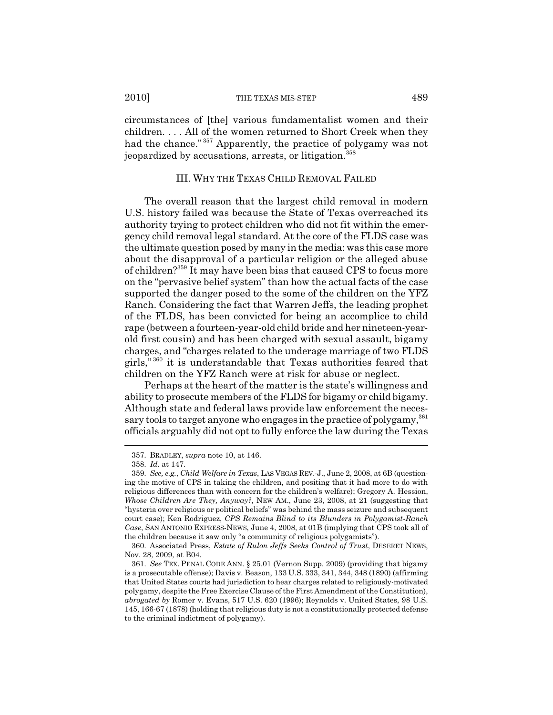circumstances of [the] various fundamentalist women and their children. . . . All of the women returned to Short Creek when they had the chance." 357 Apparently, the practice of polygamy was not jeopardized by accusations, arrests, or litigation.<sup>358</sup>

### III. WHY THE TEXAS CHILD REMOVAL FAILED

The overall reason that the largest child removal in modern U.S. history failed was because the State of Texas overreached its authority trying to protect children who did not fit within the emergency child removal legal standard. At the core of the FLDS case was the ultimate question posed by many in the media: was this case more about the disapproval of a particular religion or the alleged abuse of children?359 It may have been bias that caused CPS to focus more on the "pervasive belief system" than how the actual facts of the case supported the danger posed to the some of the children on the YFZ Ranch. Considering the fact that Warren Jeffs, the leading prophet of the FLDS, has been convicted for being an accomplice to child rape (between a fourteen-year-old child bride and her nineteen-yearold first cousin) and has been charged with sexual assault, bigamy charges, and "charges related to the underage marriage of two FLDS girls," 360 it is understandable that Texas authorities feared that children on the YFZ Ranch were at risk for abuse or neglect.

Perhaps at the heart of the matter is the state's willingness and ability to prosecute members of the FLDS for bigamy or child bigamy. Although state and federal laws provide law enforcement the necessary tools to target anyone who engages in the practice of polygamy,<sup>361</sup> officials arguably did not opt to fully enforce the law during the Texas

<sup>357.</sup> BRADLEY, *supra* note 10, at 146.

<sup>358.</sup> *Id.* at 147.

<sup>359.</sup> *See, e.g.*, *Child Welfare in Texas*, LAS VEGAS REV.-J., June 2, 2008, at 6B (questioning the motive of CPS in taking the children, and positing that it had more to do with religious differences than with concern for the children's welfare); Gregory A. Hession, *Whose Children Are They, Anyway?*, NEW AM., June 23, 2008, at 21 (suggesting that "hysteria over religious or political beliefs" was behind the mass seizure and subsequent court case); Ken Rodriguez, *CPS Remains Blind to its Blunders in Polygamist-Ranch Case*, SAN ANTONIO EXPRESS-NEWS, June 4, 2008, at 01B (implying that CPS took all of the children because it saw only "a community of religious polygamists").

<sup>360.</sup> Associated Press, *Estate of Rulon Jeffs Seeks Control of Trust*, DESERET NEWS, Nov. 28, 2009, at B04.

<sup>361.</sup> *See* TEX. PENAL CODE ANN. § 25.01 (Vernon Supp. 2009) (providing that bigamy is a prosecutable offense); Davis v. Beason, 133 U.S. 333, 341, 344, 348 (1890) (affirming that United States courts had jurisdiction to hear charges related to religiously-motivated polygamy, despite the Free Exercise Clause of the First Amendment of the Constitution), *abrogated by* Romer v. Evans, 517 U.S. 620 (1996); Reynolds v. United States, 98 U.S. 145, 166-67 (1878) (holding that religious duty is not a constitutionally protected defense to the criminal indictment of polygamy).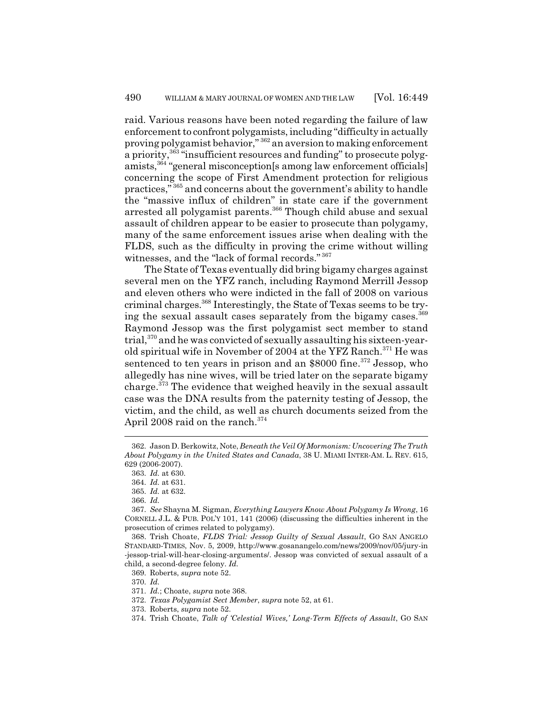raid. Various reasons have been noted regarding the failure of law enforcement to confront polygamists, including "difficulty in actually proving polygamist behavior," 362 an aversion to making enforcement a priority,<sup>363</sup> "insufficient resources and funding" to prosecute polygamists,364 "general misconception[s among law enforcement officials] concerning the scope of First Amendment protection for religious practices," 365 and concerns about the government's ability to handle the "massive influx of children" in state care if the government arrested all polygamist parents.<sup>366</sup> Though child abuse and sexual assault of children appear to be easier to prosecute than polygamy, many of the same enforcement issues arise when dealing with the FLDS, such as the difficulty in proving the crime without willing witnesses, and the "lack of formal records." <sup>367</sup>

The State of Texas eventually did bring bigamy charges against several men on the YFZ ranch, including Raymond Merrill Jessop and eleven others who were indicted in the fall of 2008 on various criminal charges.368 Interestingly, the State of Texas seems to be trying the sexual assault cases separately from the bigamy cases.<sup>369</sup> Raymond Jessop was the first polygamist sect member to stand trial,370 and he was convicted of sexually assaulting his sixteen-yearold spiritual wife in November of 2004 at the YFZ Ranch.<sup>371</sup> He was sentenced to ten years in prison and an \$8000 fine.<sup>372</sup> Jessop, who allegedly has nine wives, will be tried later on the separate bigamy charge.<sup>373</sup> The evidence that weighed heavily in the sexual assault case was the DNA results from the paternity testing of Jessop, the victim, and the child, as well as church documents seized from the April 2008 raid on the ranch.<sup>374</sup>

<sup>362.</sup> Jason D. Berkowitz, Note, *Beneath the Veil Of Mormonism: Uncovering The Truth About Polygamy in the United States and Canada*, 38 U. MIAMI INTER-AM. L. REV. 615, 629 (2006-2007).

<sup>363.</sup> *Id.* at 630.

<sup>364.</sup> *Id.* at 631.

<sup>365.</sup> *Id.* at 632.

<sup>366.</sup> *Id.*

<sup>367.</sup> *See* Shayna M. Sigman, *Everything Lawyers Know About Polygamy Is Wrong*, 16 CORNELL J.L. & PUB. POL'Y 101, 141 (2006) (discussing the difficulties inherent in the prosecution of crimes related to polygamy).

<sup>368.</sup> Trish Choate, *FLDS Trial: Jessop Guilty of Sexual Assault*, GO SAN ANGELO STANDARD-TIMES, Nov. 5, 2009, http://www.gosanangelo.com/news/2009/nov/05/jury-in -jessop-trial-will-hear-closing-arguments/. Jessop was convicted of sexual assault of a child, a second-degree felony. *Id.*

<sup>369.</sup> Roberts, *supra* note 52.

<sup>370.</sup> *Id.*

<sup>371.</sup> *Id.*; Choate, *supra* note 368.

<sup>372.</sup> *Texas Polygamist Sect Member*, *supra* note 52, at 61.

<sup>373.</sup> Roberts, *supra* note 52.

<sup>374.</sup> Trish Choate, *Talk of 'Celestial Wives,' Long-Term Effects of Assault*, GO SAN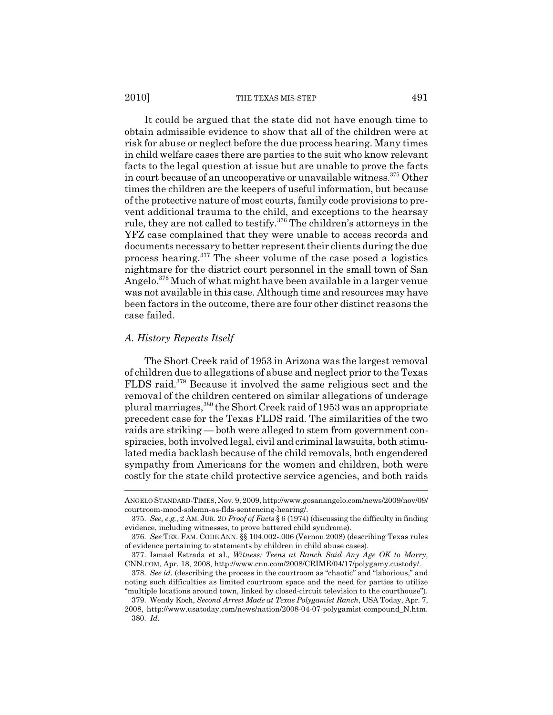#### 2010] THE TEXAS MIS-STEP 491

It could be argued that the state did not have enough time to obtain admissible evidence to show that all of the children were at risk for abuse or neglect before the due process hearing. Many times in child welfare cases there are parties to the suit who know relevant facts to the legal question at issue but are unable to prove the facts in court because of an uncooperative or unavailable witness.375 Other times the children are the keepers of useful information, but because of the protective nature of most courts, family code provisions to prevent additional trauma to the child, and exceptions to the hearsay rule, they are not called to testify.<sup>376</sup> The children's attorneys in the YFZ case complained that they were unable to access records and documents necessary to better represent their clients during the due process hearing.377 The sheer volume of the case posed a logistics nightmare for the district court personnel in the small town of San Angelo.<sup>378</sup> Much of what might have been available in a larger venue was not available in this case. Although time and resources may have been factors in the outcome, there are four other distinct reasons the case failed.

# *A. History Repeats Itself*

The Short Creek raid of 1953 in Arizona was the largest removal of children due to allegations of abuse and neglect prior to the Texas FLDS raid.379 Because it involved the same religious sect and the removal of the children centered on similar allegations of underage plural marriages,  $380$  the Short Creek raid of 1953 was an appropriate precedent case for the Texas FLDS raid. The similarities of the two raids are striking — both were alleged to stem from government conspiracies, both involved legal, civil and criminal lawsuits, both stimulated media backlash because of the child removals, both engendered sympathy from Americans for the women and children, both were costly for the state child protective service agencies, and both raids

ANGELO STANDARD-TIMES, Nov. 9, 2009, http://www.gosanangelo.com/news/2009/nov/09/ courtroom-mood-solemn-as-flds-sentencing-hearing/.

<sup>375.</sup> *See, e.g.*, 2 AM. JUR. 2D *Proof of Facts* § 6 (1974) (discussing the difficulty in finding evidence, including witnesses, to prove battered child syndrome).

<sup>376.</sup> *See* TEX. FAM. CODE ANN. §§ 104.002-.006 (Vernon 2008) (describing Texas rules of evidence pertaining to statements by children in child abuse cases).

<sup>377.</sup> Ismael Estrada et al., *Witness: Teens at Ranch Said Any Age OK to Marry*, CNN.COM, Apr. 18, 2008, http://www.cnn.com/2008/CRIME/04/17/polygamy.custody/.

<sup>378.</sup> *See id.* (describing the process in the courtroom as "chaotic" and "laborious," and noting such difficulties as limited courtroom space and the need for parties to utilize "multiple locations around town, linked by closed-circuit television to the courthouse").

<sup>379.</sup> Wendy Koch, *Second Arrest Made at Texas Polygamist Ranch*, USA Today, Apr. 7,

<sup>2008,</sup> http://www.usatoday.com/news/nation/2008-04-07-polygamist-compound\_N.htm. 380. *Id.*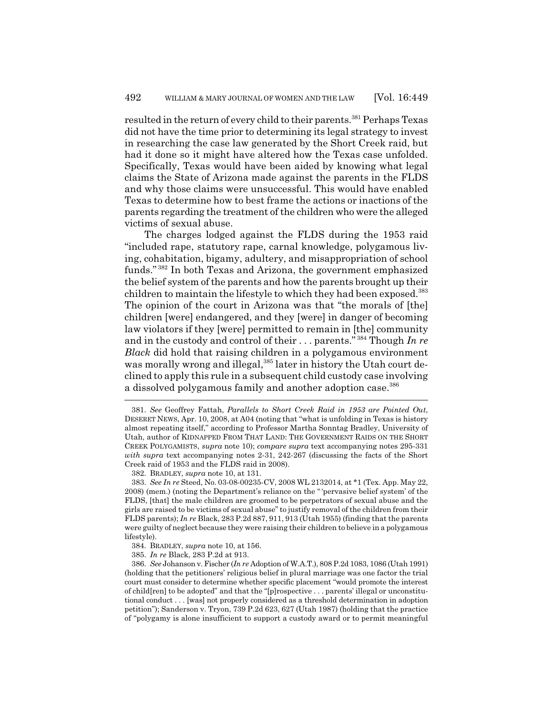resulted in the return of every child to their parents.<sup>381</sup> Perhaps Texas did not have the time prior to determining its legal strategy to invest in researching the case law generated by the Short Creek raid, but had it done so it might have altered how the Texas case unfolded. Specifically, Texas would have been aided by knowing what legal claims the State of Arizona made against the parents in the FLDS and why those claims were unsuccessful. This would have enabled Texas to determine how to best frame the actions or inactions of the parents regarding the treatment of the children who were the alleged victims of sexual abuse.

The charges lodged against the FLDS during the 1953 raid "included rape, statutory rape, carnal knowledge, polygamous living, cohabitation, bigamy, adultery, and misappropriation of school funds." 382 In both Texas and Arizona, the government emphasized the belief system of the parents and how the parents brought up their children to maintain the lifestyle to which they had been exposed.<sup>383</sup> The opinion of the court in Arizona was that "the morals of [the] children [were] endangered, and they [were] in danger of becoming law violators if they [were] permitted to remain in [the] community and in the custody and control of their . . . parents." 384 Though *In re Black* did hold that raising children in a polygamous environment was morally wrong and illegal,<sup>385</sup> later in history the Utah court declined to apply this rule in a subsequent child custody case involving a dissolved polygamous family and another adoption case.<sup>386</sup>

<sup>381.</sup> *See* Geoffrey Fattah, *Parallels to Short Creek Raid in 1953 are Pointed Out*, DESERET NEWS, Apr. 10, 2008, at A04 (noting that "what is unfolding in Texas is history almost repeating itself," according to Professor Martha Sonntag Bradley, University of Utah, author of KIDNAPPED FROM THAT LAND: THE GOVERNMENT RAIDS ON THE SHORT CREEK POLYGAMISTS, *supra* note 10); *compare supra* text accompanying notes 295-331 *with supra* text accompanying notes 2-31, 242-267 (discussing the facts of the Short Creek raid of 1953 and the FLDS raid in 2008).

<sup>382.</sup> BRADLEY, *supra* note 10, at 131.

<sup>383.</sup> *See In re* Steed, No. 03-08-00235-CV, 2008 WL 2132014, at \*1 (Tex. App. May 22, 2008) (mem.) (noting the Department's reliance on the " 'pervasive belief system' of the FLDS, [that] the male children are groomed to be perpetrators of sexual abuse and the girls are raised to be victims of sexual abuse" to justify removal of the children from their FLDS parents); *In re* Black, 283 P.2d 887, 911, 913 (Utah 1955) (finding that the parents were guilty of neglect because they were raising their children to believe in a polygamous lifestyle).

<sup>384.</sup> BRADLEY, *supra* note 10, at 156.

<sup>385.</sup> *In re* Black, 283 P.2d at 913.

<sup>386.</sup> *See* Johanson v. Fischer (*In re* Adoption of W.A.T.), 808 P.2d 1083, 1086 (Utah 1991) (holding that the petitioners' religious belief in plural marriage was one factor the trial court must consider to determine whether specific placement "would promote the interest of child[ren] to be adopted" and that the "[p]rospective . . . parents' illegal or unconstitutional conduct . . . [was] not properly considered as a threshold determination in adoption petition"); Sanderson v. Tryon, 739 P.2d 623, 627 (Utah 1987) (holding that the practice of "polygamy is alone insufficient to support a custody award or to permit meaningful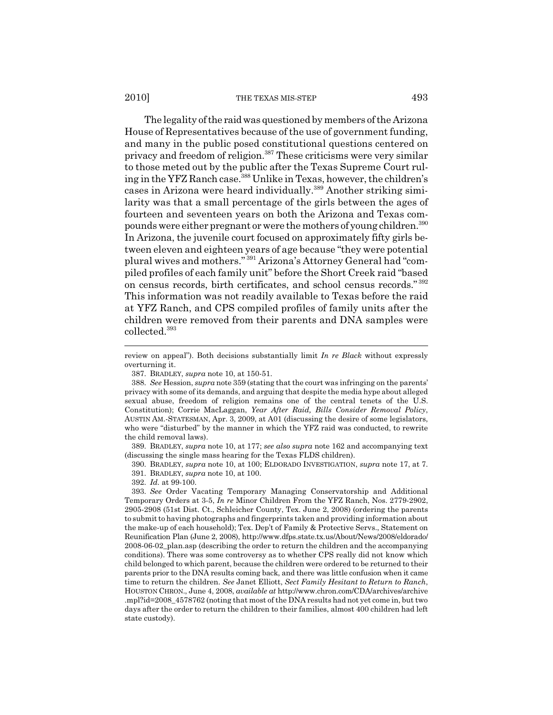#### 2010] THE TEXAS MIS-STEP 493

The legality of the raid was questioned by members of the Arizona House of Representatives because of the use of government funding, and many in the public posed constitutional questions centered on privacy and freedom of religion.387 These criticisms were very similar to those meted out by the public after the Texas Supreme Court ruling in the YFZ Ranch case.<sup>388</sup> Unlike in Texas, however, the children's cases in Arizona were heard individually.389 Another striking similarity was that a small percentage of the girls between the ages of fourteen and seventeen years on both the Arizona and Texas compounds were either pregnant or were the mothers of young children.390 In Arizona, the juvenile court focused on approximately fifty girls between eleven and eighteen years of age because "they were potential plural wives and mothers." 391 Arizona's Attorney General had "compiled profiles of each family unit" before the Short Creek raid "based on census records, birth certificates, and school census records." <sup>392</sup> This information was not readily available to Texas before the raid at YFZ Ranch, and CPS compiled profiles of family units after the children were removed from their parents and DNA samples were collected.393

387. BRADLEY, *supra* note 10, at 150-51.

389. BRADLEY, *supra* note 10, at 177; *see also supra* note 162 and accompanying text (discussing the single mass hearing for the Texas FLDS children).

390. BRADLEY, *supra* note 10, at 100; ELDORADO INVESTIGATION, *supra* note 17, at 7. 391. BRADLEY, *supra* note 10, at 100.

392. *Id.* at 99-100.

393. *See* Order Vacating Temporary Managing Conservatorship and Additional Temporary Orders at 3-5, *In re* Minor Children From the YFZ Ranch, Nos. 2779-2902, 2905-2908 (51st Dist. Ct., Schleicher County, Tex. June 2, 2008) (ordering the parents to submit to having photographs and fingerprints taken and providing information about the make-up of each household); Tex. Dep't of Family & Protective Servs., Statement on Reunification Plan (June 2, 2008), http://www.dfps.state.tx.us/About/News/2008/eldorado/ 2008-06-02\_plan.asp (describing the order to return the children and the accompanying conditions). There was some controversy as to whether CPS really did not know which child belonged to which parent, because the children were ordered to be returned to their parents prior to the DNA results coming back, and there was little confusion when it came time to return the children. *See* Janet Elliott, *Sect Family Hesitant to Return to Ranch*, HOUSTON CHRON., June 4, 2008, *available at* http://www.chron.com/CDA/archives/archive .mpl?id=2008\_4578762 (noting that most of the DNA results had not yet come in, but two days after the order to return the children to their families, almost 400 children had left state custody).

review on appeal"). Both decisions substantially limit *In re Black* without expressly overturning it.

<sup>388.</sup> *See* Hession, *supra* note 359 (stating that the court was infringing on the parents' privacy with some of its demands, and arguing that despite the media hype about alleged sexual abuse, freedom of religion remains one of the central tenets of the U.S. Constitution); Corrie MacLaggan, *Year After Raid, Bills Consider Removal Policy*, AUSTIN AM.-STATESMAN, Apr. 3, 2009, at A01 (discussing the desire of some legislators, who were "disturbed" by the manner in which the YFZ raid was conducted, to rewrite the child removal laws).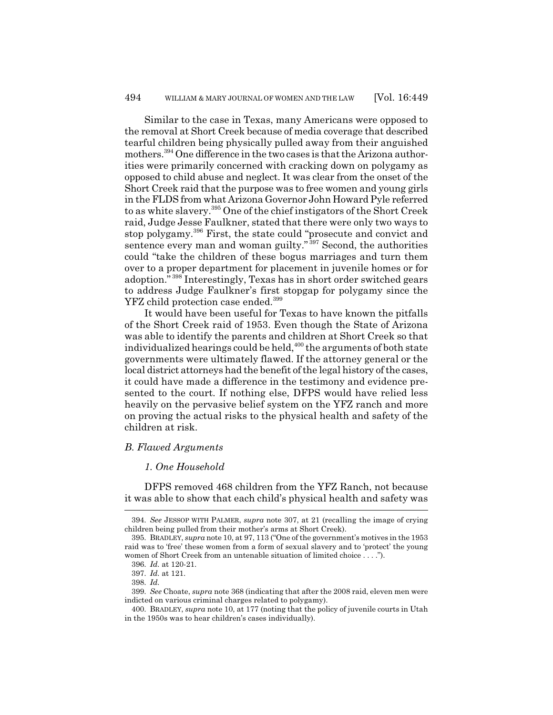Similar to the case in Texas, many Americans were opposed to the removal at Short Creek because of media coverage that described tearful children being physically pulled away from their anguished mothers.394 One difference in the two cases is that the Arizona authorities were primarily concerned with cracking down on polygamy as opposed to child abuse and neglect. It was clear from the onset of the Short Creek raid that the purpose was to free women and young girls in the FLDS from what Arizona Governor John Howard Pyle referred to as white slavery.<sup>395</sup> One of the chief instigators of the Short Creek raid, Judge Jesse Faulkner, stated that there were only two ways to stop polygamy.396 First, the state could "prosecute and convict and sentence every man and woman guilty."<sup>397</sup> Second, the authorities could "take the children of these bogus marriages and turn them over to a proper department for placement in juvenile homes or for adoption." 398 Interestingly, Texas has in short order switched gears to address Judge Faulkner's first stopgap for polygamy since the YFZ child protection case ended.<sup>399</sup>

It would have been useful for Texas to have known the pitfalls of the Short Creek raid of 1953. Even though the State of Arizona was able to identify the parents and children at Short Creek so that individualized hearings could be held,400 the arguments of both state governments were ultimately flawed. If the attorney general or the local district attorneys had the benefit of the legal history of the cases, it could have made a difference in the testimony and evidence presented to the court. If nothing else, DFPS would have relied less heavily on the pervasive belief system on the YFZ ranch and more on proving the actual risks to the physical health and safety of the children at risk.

## *B. Flawed Arguments*

# *1. One Household*

DFPS removed 468 children from the YFZ Ranch, not because it was able to show that each child's physical health and safety was

<sup>394.</sup> *See* JESSOP WITH PALMER, *supra* note 307, at 21 (recalling the image of crying children being pulled from their mother's arms at Short Creek).

<sup>395.</sup> BRADLEY, *supra* note 10, at 97, 113 ("One of the government's motives in the 1953 raid was to 'free' these women from a form of sexual slavery and to 'protect' the young women of Short Creek from an untenable situation of limited choice . . . .").

<sup>396.</sup> *Id.* at 120-21.

<sup>397.</sup> *Id.* at 121.

<sup>398.</sup> *Id.*

<sup>399.</sup> *See* Choate, *supra* note 368 (indicating that after the 2008 raid, eleven men were indicted on various criminal charges related to polygamy).

<sup>400.</sup> BRADLEY, *supra* note 10, at 177 (noting that the policy of juvenile courts in Utah in the 1950s was to hear children's cases individually).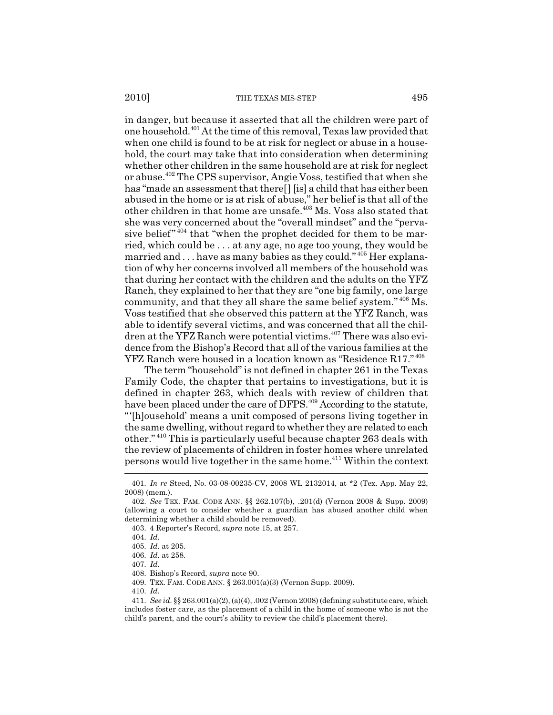2010] THE TEXAS MIS-STEP 495

in danger, but because it asserted that all the children were part of one household.401 At the time of this removal, Texas law provided that when one child is found to be at risk for neglect or abuse in a household, the court may take that into consideration when determining whether other children in the same household are at risk for neglect or abuse.402 The CPS supervisor, Angie Voss, testified that when she has "made an assessment that there[] [is] a child that has either been abused in the home or is at risk of abuse," her belief is that all of the other children in that home are unsafe.<sup>403</sup> Ms. Voss also stated that she was very concerned about the "overall mindset" and the "pervasive belief"  $404$  that "when the prophet decided for them to be married, which could be . . . at any age, no age too young, they would be married and . . . have as many babies as they could." 405 Her explanation of why her concerns involved all members of the household was that during her contact with the children and the adults on the YFZ Ranch, they explained to her that they are "one big family, one large community, and that they all share the same belief system." 406 Ms. Voss testified that she observed this pattern at the YFZ Ranch, was able to identify several victims, and was concerned that all the children at the YFZ Ranch were potential victims.<sup>407</sup> There was also evidence from the Bishop's Record that all of the various families at the YFZ Ranch were housed in a location known as "Residence R17." <sup>408</sup>

The term "household" is not defined in chapter 261 in the Texas Family Code, the chapter that pertains to investigations, but it is defined in chapter 263, which deals with review of children that have been placed under the care of DFPS.<sup>409</sup> According to the statute, "'[h]ousehold' means a unit composed of persons living together in the same dwelling, without regard to whether they are related to each other." 410 This is particularly useful because chapter 263 deals with the review of placements of children in foster homes where unrelated persons would live together in the same home.<sup>411</sup> Within the context

<sup>401.</sup> *In re* Steed, No. 03-08-00235-CV, 2008 WL 2132014, at \*2 (Tex. App. May 22, 2008) (mem.).

<sup>402.</sup> *See* TEX. FAM. CODE ANN. §§ 262.107(b), .201(d) (Vernon 2008 & Supp. 2009) (allowing a court to consider whether a guardian has abused another child when determining whether a child should be removed).

<sup>403. 4</sup> Reporter's Record, *supra* note 15, at 257.

<sup>404.</sup> *Id.*

<sup>405.</sup> *Id.* at 205.

<sup>406.</sup> *Id.* at 258.

<sup>407.</sup> *Id.*

<sup>408.</sup> Bishop's Record, *supra* note 90.

<sup>409.</sup> TEX. FAM. CODE ANN. § 263.001(a)(3) (Vernon Supp. 2009).

<sup>410.</sup> *Id.*

<sup>411.</sup> *See id.* §§ 263.001(a)(2), (a)(4), .002 (Vernon 2008) (defining substitute care, which includes foster care, as the placement of a child in the home of someone who is not the child's parent, and the court's ability to review the child's placement there).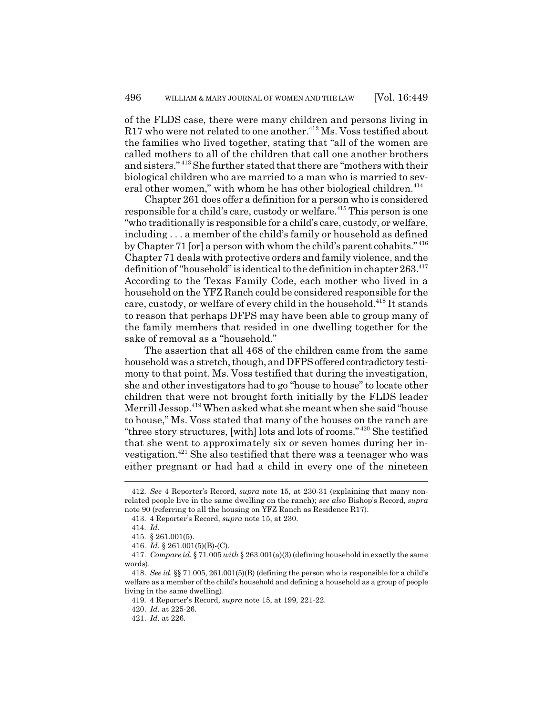of the FLDS case, there were many children and persons living in  $R17$  who were not related to one another.<sup>412</sup> Ms. Voss testified about the families who lived together, stating that "all of the women are called mothers to all of the children that call one another brothers and sisters." 413 She further stated that there are "mothers with their biological children who are married to a man who is married to several other women," with whom he has other biological children.<sup>414</sup>

Chapter 261 does offer a definition for a person who is considered responsible for a child's care, custody or welfare.415 This person is one "who traditionally is responsible for a child's care, custody, or welfare, including . . . a member of the child's family or household as defined by Chapter 71 [or] a person with whom the child's parent cohabits." <sup>416</sup> Chapter 71 deals with protective orders and family violence, and the definition of "household" is identical to the definition in chapter  $263.<sup>417</sup>$ According to the Texas Family Code, each mother who lived in a household on the YFZ Ranch could be considered responsible for the care, custody, or welfare of every child in the household.<sup>418</sup> It stands to reason that perhaps DFPS may have been able to group many of the family members that resided in one dwelling together for the sake of removal as a "household."

The assertion that all 468 of the children came from the same household was a stretch, though, and DFPS offered contradictory testimony to that point. Ms. Voss testified that during the investigation, she and other investigators had to go "house to house" to locate other children that were not brought forth initially by the FLDS leader Merrill Jessop.419 When asked what she meant when she said "house to house," Ms. Voss stated that many of the houses on the ranch are "three story structures, [with] lots and lots of rooms." 420 She testified that she went to approximately six or seven homes during her investigation.<sup>421</sup> She also testified that there was a teenager who was either pregnant or had had a child in every one of the nineteen

<sup>412.</sup> *See* 4 Reporter's Record, *supra* note 15, at 230-31 (explaining that many nonrelated people live in the same dwelling on the ranch); *see also* Bishop's Record, *supra* note 90 (referring to all the housing on YFZ Ranch as Residence R17).

<sup>413. 4</sup> Reporter's Record, *supra* note 15, at 230.

<sup>414.</sup> *Id.*

<sup>415. § 261.001(5).</sup>

<sup>416.</sup> *Id.* § 261.001(5)(B)-(C).

<sup>417.</sup> *Compare id.* § 71.005 *with* § 263.001(a)(3) (defining household in exactly the same words).

<sup>418.</sup> *See id.* §§ 71.005, 261.001(5)(B) (defining the person who is responsible for a child's welfare as a member of the child's household and defining a household as a group of people living in the same dwelling).

<sup>419. 4</sup> Reporter's Record, *supra* note 15, at 199, 221-22.

<sup>420.</sup> *Id.* at 225-26.

<sup>421.</sup> *Id.* at 226.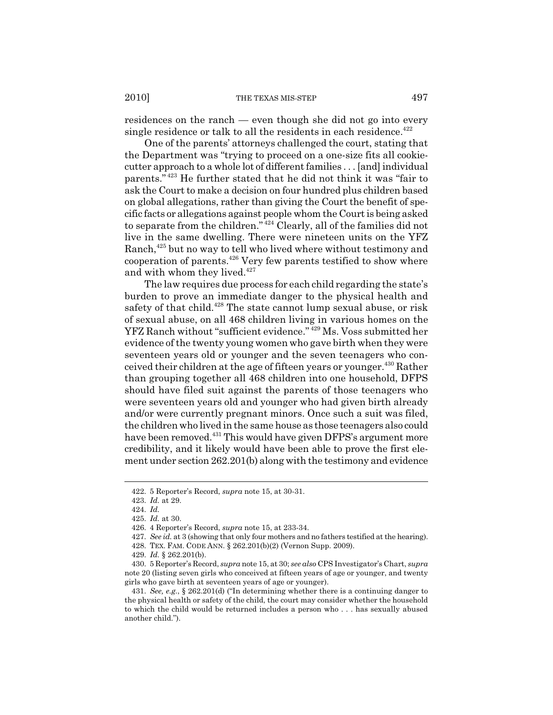residences on the ranch — even though she did not go into every single residence or talk to all the residents in each residence.<sup> $422$ </sup>

One of the parents' attorneys challenged the court, stating that the Department was "trying to proceed on a one-size fits all cookiecutter approach to a whole lot of different families . . . [and] individual parents." 423 He further stated that he did not think it was "fair to ask the Court to make a decision on four hundred plus children based on global allegations, rather than giving the Court the benefit of specific facts or allegations against people whom the Court is being asked to separate from the children." 424 Clearly, all of the families did not live in the same dwelling. There were nineteen units on the YFZ Ranch,<sup>425</sup> but no way to tell who lived where without testimony and cooperation of parents.426 Very few parents testified to show where and with whom they lived.  $\rm ^{427}$ 

The law requires due process for each child regarding the state's burden to prove an immediate danger to the physical health and safety of that child.<sup>428</sup> The state cannot lump sexual abuse, or risk of sexual abuse, on all 468 children living in various homes on the YFZ Ranch without "sufficient evidence." 429 Ms. Voss submitted her evidence of the twenty young women who gave birth when they were seventeen years old or younger and the seven teenagers who conceived their children at the age of fifteen years or younger.<sup>430</sup> Rather than grouping together all 468 children into one household, DFPS should have filed suit against the parents of those teenagers who were seventeen years old and younger who had given birth already and/or were currently pregnant minors. Once such a suit was filed, the children who lived in the same house as those teenagers also could have been removed.<sup>431</sup> This would have given DFPS's argument more credibility, and it likely would have been able to prove the first element under section 262.201(b) along with the testimony and evidence

<sup>422. 5</sup> Reporter's Record, *supra* note 15, at 30-31.

<sup>423.</sup> *Id.* at 29.

<sup>424.</sup> *Id.*

<sup>425.</sup> *Id.* at 30.

<sup>426. 4</sup> Reporter's Record, *supra* note 15, at 233-34.

<sup>427.</sup> *See id.* at 3 (showing that only four mothers and no fathers testified at the hearing).

<sup>428.</sup> TEX. FAM. CODE ANN. § 262.201(b)(2) (Vernon Supp. 2009).

<sup>429.</sup> *Id.* § 262.201(b).

<sup>430. 5</sup> Reporter's Record, *supra* note 15, at 30; *see also* CPS Investigator's Chart, *supra* note 20 (listing seven girls who conceived at fifteen years of age or younger, and twenty girls who gave birth at seventeen years of age or younger).

<sup>431.</sup> *See, e.g.*, § 262.201(d) ("In determining whether there is a continuing danger to the physical health or safety of the child, the court may consider whether the household to which the child would be returned includes a person who . . . has sexually abused another child.").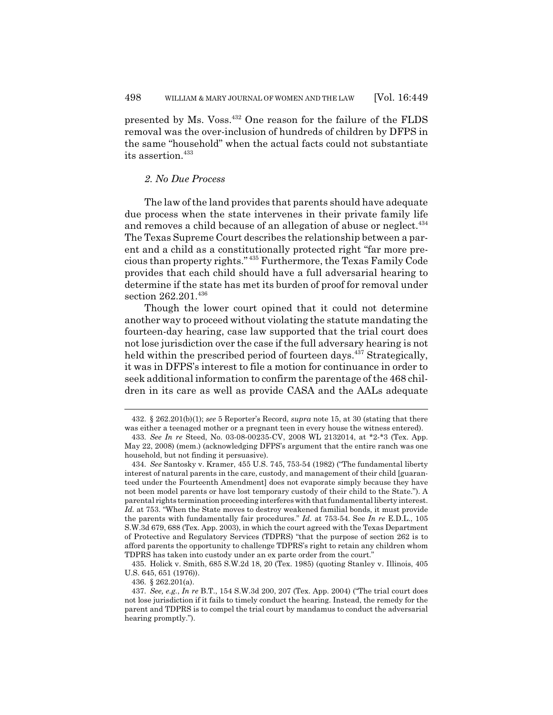presented by Ms. Voss.432 One reason for the failure of the FLDS removal was the over-inclusion of hundreds of children by DFPS in the same "household" when the actual facts could not substantiate its assertion.<sup>433</sup>

### *2. No Due Process*

The law of the land provides that parents should have adequate due process when the state intervenes in their private family life and removes a child because of an allegation of abuse or neglect.<sup>434</sup> The Texas Supreme Court describes the relationship between a parent and a child as a constitutionally protected right "far more precious than property rights." 435 Furthermore, the Texas Family Code provides that each child should have a full adversarial hearing to determine if the state has met its burden of proof for removal under section 262.201.436

Though the lower court opined that it could not determine another way to proceed without violating the statute mandating the fourteen-day hearing, case law supported that the trial court does not lose jurisdiction over the case if the full adversary hearing is not held within the prescribed period of fourteen days.<sup>437</sup> Strategically, it was in DFPS's interest to file a motion for continuance in order to seek additional information to confirm the parentage of the 468 children in its care as well as provide CASA and the AALs adequate

436. § 262.201(a).

<sup>432. § 262.201(</sup>b)(1); *see* 5 Reporter's Record, *supra* note 15, at 30 (stating that there was either a teenaged mother or a pregnant teen in every house the witness entered).

<sup>433.</sup> *See In re* Steed, No. 03-08-00235-CV, 2008 WL 2132014, at \*2-\*3 (Tex. App. May 22, 2008) (mem.) (acknowledging DFPS's argument that the entire ranch was one household, but not finding it persuasive).

<sup>434.</sup> *See* Santosky v. Kramer, 455 U.S. 745, 753-54 (1982) ("The fundamental liberty interest of natural parents in the care, custody, and management of their child [guaranteed under the Fourteenth Amendment] does not evaporate simply because they have not been model parents or have lost temporary custody of their child to the State."). A parental rights termination proceeding interferes with that fundamental liberty interest. *Id.* at 753. "When the State moves to destroy weakened familial bonds, it must provide the parents with fundamentally fair procedures." *Id.* at 753-54. See *In re* E.D.L., 105 S.W.3d 679, 688 (Tex. App. 2003), in which the court agreed with the Texas Department of Protective and Regulatory Services (TDPRS) "that the purpose of section 262 is to afford parents the opportunity to challenge TDPRS's right to retain any children whom TDPRS has taken into custody under an ex parte order from the court."

<sup>435.</sup> Holick v. Smith, 685 S.W.2d 18, 20 (Tex. 1985) (quoting Stanley v. Illinois, 405 U.S. 645, 651 (1976)).

<sup>437.</sup> *See, e.g.*, *In re* B.T., 154 S.W.3d 200, 207 (Tex. App. 2004) ("The trial court does not lose jurisdiction if it fails to timely conduct the hearing. Instead, the remedy for the parent and TDPRS is to compel the trial court by mandamus to conduct the adversarial hearing promptly.").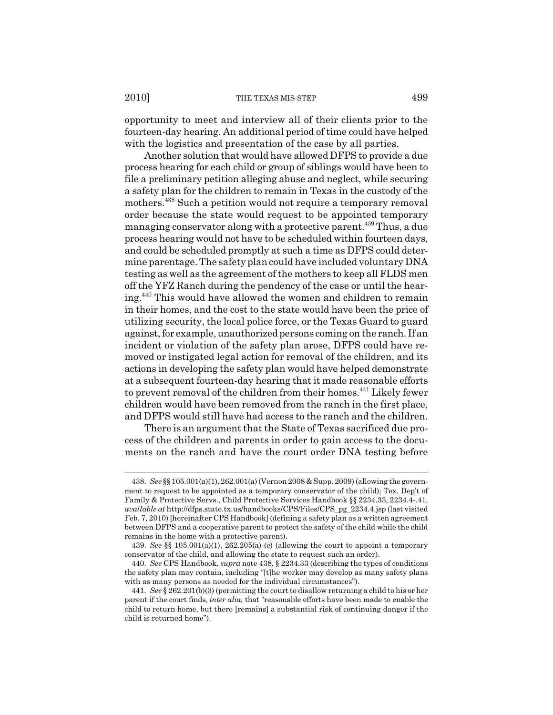2010] THE TEXAS MIS-STEP 499

opportunity to meet and interview all of their clients prior to the fourteen-day hearing. An additional period of time could have helped with the logistics and presentation of the case by all parties.

Another solution that would have allowed DFPS to provide a due process hearing for each child or group of siblings would have been to file a preliminary petition alleging abuse and neglect, while securing a safety plan for the children to remain in Texas in the custody of the mothers.438 Such a petition would not require a temporary removal order because the state would request to be appointed temporary managing conservator along with a protective parent.<sup>439</sup> Thus, a due process hearing would not have to be scheduled within fourteen days, and could be scheduled promptly at such a time as DFPS could determine parentage. The safety plan could have included voluntary DNA testing as well as the agreement of the mothers to keep all FLDS men off the YFZ Ranch during the pendency of the case or until the hearing.440 This would have allowed the women and children to remain in their homes, and the cost to the state would have been the price of utilizing security, the local police force, or the Texas Guard to guard against, for example, unauthorized persons coming on the ranch. If an incident or violation of the safety plan arose, DFPS could have removed or instigated legal action for removal of the children, and its actions in developing the safety plan would have helped demonstrate at a subsequent fourteen-day hearing that it made reasonable efforts to prevent removal of the children from their homes.<sup>441</sup> Likely fewer children would have been removed from the ranch in the first place, and DFPS would still have had access to the ranch and the children.

There is an argument that the State of Texas sacrificed due process of the children and parents in order to gain access to the documents on the ranch and have the court order DNA testing before

<sup>438.</sup> *See* §§ 105.001(a)(1), 262.001(a) (Vernon 2008 & Supp. 2009) (allowing the government to request to be appointed as a temporary conservator of the child); Tex. Dep't of Family & Protective Servs., Child Protective Services Handbook §§ 2234.33, 2234.4-.41, *available at* http://dfps.state.tx.us/handbooks/CPS/Files/CPS\_pg\_2234.4.jsp (last visited Feb. 7, 2010) [hereinafter CPS Handbook] (defining a safety plan as a written agreement between DFPS and a cooperative parent to protect the safety of the child while the child remains in the home with a protective parent).

<sup>439.</sup> *See* §§ 105.001(a)(1), 262.205(a)-(e) (allowing the court to appoint a temporary conservator of the child, and allowing the state to request such an order).

<sup>440.</sup> *See* CPS Handbook, *supra* note 438, § 2234.33 (describing the types of conditions the safety plan may contain, including "[t]he worker may develop as many safety plans with as many persons as needed for the individual circumstances").

<sup>441.</sup> *See* § 262.201(b)(3) (permitting the court to disallow returning a child to his or her parent if the court finds, *inter alia*, that "reasonable efforts have been made to enable the child to return home, but there [remains] a substantial risk of continuing danger if the child is returned home").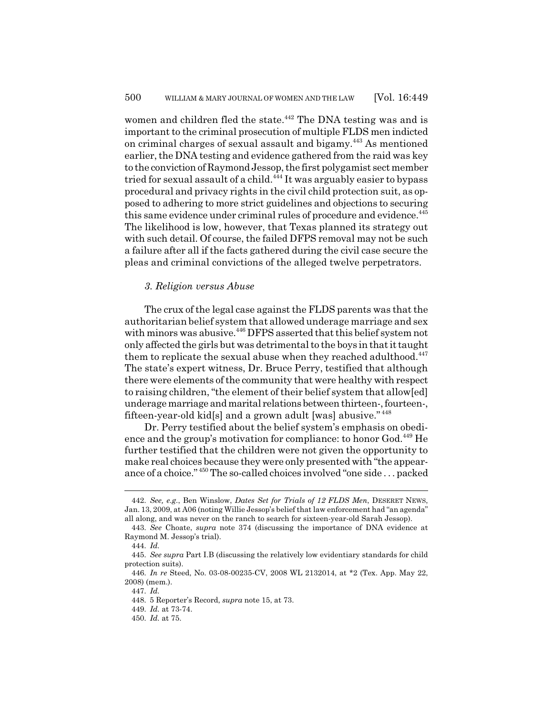women and children fled the state.<sup>442</sup> The DNA testing was and is important to the criminal prosecution of multiple FLDS men indicted on criminal charges of sexual assault and bigamy.443 As mentioned earlier, the DNA testing and evidence gathered from the raid was key to the conviction of Raymond Jessop, the first polygamist sect member tried for sexual assault of a child.<sup> $444$ </sup> It was arguably easier to bypass procedural and privacy rights in the civil child protection suit, as opposed to adhering to more strict guidelines and objections to securing this same evidence under criminal rules of procedure and evidence.<sup>445</sup> The likelihood is low, however, that Texas planned its strategy out with such detail. Of course, the failed DFPS removal may not be such a failure after all if the facts gathered during the civil case secure the pleas and criminal convictions of the alleged twelve perpetrators.

# *3. Religion versus Abuse*

The crux of the legal case against the FLDS parents was that the authoritarian belief system that allowed underage marriage and sex with minors was abusive.<sup>446</sup> DFPS asserted that this belief system not only affected the girls but was detrimental to the boys in that it taught them to replicate the sexual abuse when they reached adulthood.<sup>447</sup> The state's expert witness, Dr. Bruce Perry, testified that although there were elements of the community that were healthy with respect to raising children, "the element of their belief system that allow[ed] underage marriage and marital relations between thirteen-, fourteen-, fifteen-year-old kid[s] and a grown adult [was] abusive." <sup>448</sup>

Dr. Perry testified about the belief system's emphasis on obedience and the group's motivation for compliance: to honor God.<sup>449</sup> He further testified that the children were not given the opportunity to make real choices because they were only presented with "the appearance of a choice." 450 The so-called choices involved "one side . . . packed

<sup>442.</sup> *See, e.g.*, Ben Winslow, *Dates Set for Trials of 12 FLDS Men*, DESERET NEWS, Jan. 13, 2009, at A06 (noting Willie Jessop's belief that law enforcement had "an agenda" all along, and was never on the ranch to search for sixteen-year-old Sarah Jessop).

<sup>443.</sup> *See* Choate, *supra* note 374 (discussing the importance of DNA evidence at Raymond M. Jessop's trial).

<sup>444.</sup> *Id.*

<sup>445.</sup> *See supra* Part I.B (discussing the relatively low evidentiary standards for child protection suits).

<sup>446.</sup> *In re* Steed, No. 03-08-00235-CV, 2008 WL 2132014, at \*2 (Tex. App. May 22, 2008) (mem.).

<sup>447.</sup> *Id.*

<sup>448. 5</sup> Reporter's Record, *supra* note 15, at 73.

<sup>449.</sup> *Id.* at 73-74.

<sup>450.</sup> *Id.* at 75.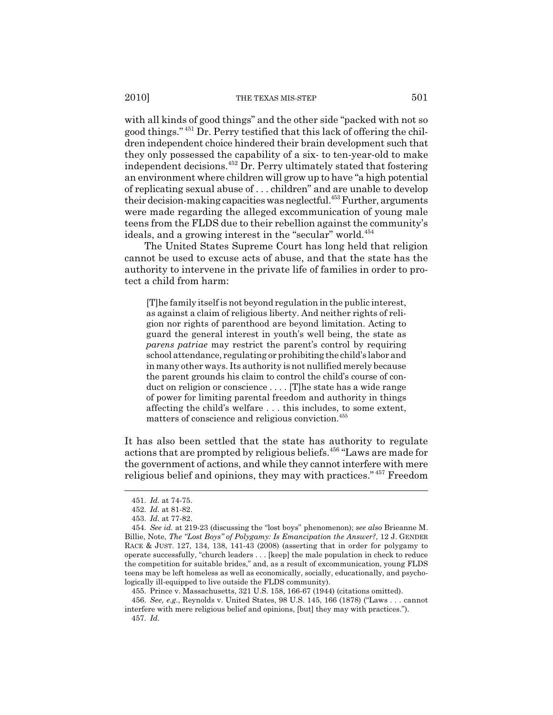with all kinds of good things" and the other side "packed with not so good things." 451 Dr. Perry testified that this lack of offering the children independent choice hindered their brain development such that they only possessed the capability of a six- to ten-year-old to make independent decisions.452 Dr. Perry ultimately stated that fostering an environment where children will grow up to have "a high potential of replicating sexual abuse of . . . children" and are unable to develop their decision-making capacities was neglectful.<sup>453</sup> Further, arguments were made regarding the alleged excommunication of young male teens from the FLDS due to their rebellion against the community's ideals, and a growing interest in the "secular" world.<sup>454</sup>

The United States Supreme Court has long held that religion cannot be used to excuse acts of abuse, and that the state has the authority to intervene in the private life of families in order to protect a child from harm:

[T]he family itself is not beyond regulation in the public interest, as against a claim of religious liberty. And neither rights of religion nor rights of parenthood are beyond limitation. Acting to guard the general interest in youth's well being, the state as *parens patriae* may restrict the parent's control by requiring school attendance, regulating or prohibiting the child's labor and in many other ways. Its authority is not nullified merely because the parent grounds his claim to control the child's course of conduct on religion or conscience . . . . [T]he state has a wide range of power for limiting parental freedom and authority in things affecting the child's welfare . . . this includes, to some extent, matters of conscience and religious conviction.<sup>455</sup>

It has also been settled that the state has authority to regulate actions that are prompted by religious beliefs.456 "Laws are made for the government of actions, and while they cannot interfere with mere religious belief and opinions, they may with practices." 457 Freedom

455. Prince v. Massachusetts, 321 U.S. 158, 166-67 (1944) (citations omitted).

456. *See, e.g.*, Reynolds v. United States, 98 U.S. 145, 166 (1878) ("Laws . . . cannot interfere with mere religious belief and opinions, [but] they may with practices."). 457. *Id.*

<sup>451.</sup> *Id.* at 74-75.

<sup>452.</sup> *Id.* at 81-82.

<sup>453.</sup> *Id.* at 77-82.

<sup>454.</sup> *See id.* at 219-23 (discussing the "lost boys" phenomenon); *see also* Brieanne M. Billie, Note, *The "Lost Boys" of Polygamy: Is Emancipation the Answer?*, 12 J. GENDER RACE & JUST. 127, 134, 138, 141-43 (2008) (asserting that in order for polygamy to operate successfully, "church leaders . . . [keep] the male population in check to reduce the competition for suitable brides," and, as a result of excommunication, young FLDS teens may be left homeless as well as economically, socially, educationally, and psychologically ill-equipped to live outside the FLDS community).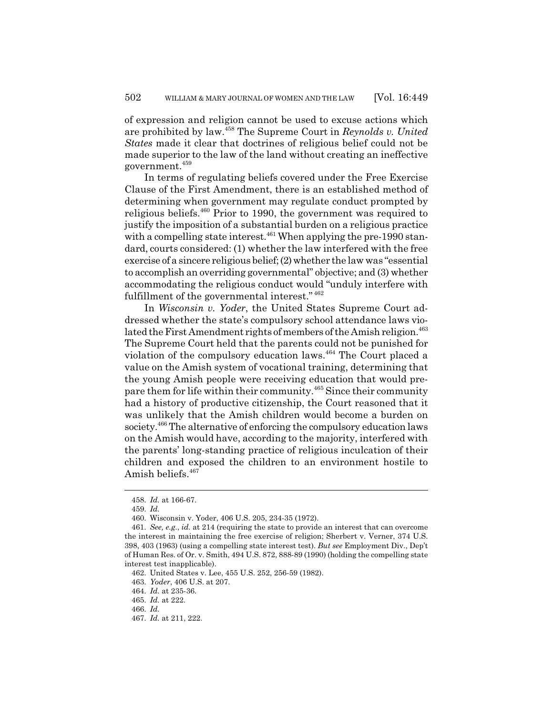of expression and religion cannot be used to excuse actions which are prohibited by law.458 The Supreme Court in *Reynolds v. United States* made it clear that doctrines of religious belief could not be made superior to the law of the land without creating an ineffective government.459

In terms of regulating beliefs covered under the Free Exercise Clause of the First Amendment, there is an established method of determining when government may regulate conduct prompted by religious beliefs.460 Prior to 1990, the government was required to justify the imposition of a substantial burden on a religious practice with a compelling state interest.<sup>461</sup> When applying the pre-1990 standard, courts considered: (1) whether the law interfered with the free exercise of a sincere religious belief; (2) whether the law was "essential to accomplish an overriding governmental" objective; and (3) whether accommodating the religious conduct would "unduly interfere with fulfillment of the governmental interest."  $462$ 

In *Wisconsin v. Yoder*, the United States Supreme Court addressed whether the state's compulsory school attendance laws violated the First Amendment rights of members of the Amish religion.<sup>463</sup> The Supreme Court held that the parents could not be punished for violation of the compulsory education laws.<sup>464</sup> The Court placed a value on the Amish system of vocational training, determining that the young Amish people were receiving education that would prepare them for life within their community.<sup>465</sup> Since their community had a history of productive citizenship, the Court reasoned that it was unlikely that the Amish children would become a burden on society.<sup>466</sup> The alternative of enforcing the compulsory education laws on the Amish would have, according to the majority, interfered with the parents' long-standing practice of religious inculcation of their children and exposed the children to an environment hostile to Amish beliefs.<sup>467</sup>

<sup>458.</sup> *Id.* at 166-67.

<sup>459.</sup> *Id.*

<sup>460.</sup> Wisconsin v. Yoder, 406 U.S. 205, 234-35 (1972).

<sup>461.</sup> *See, e.g.*, *id.* at 214 (requiring the state to provide an interest that can overcome the interest in maintaining the free exercise of religion; Sherbert v. Verner, 374 U.S. 398, 403 (1963) (using a compelling state interest test). *But see* Employment Div., Dep't of Human Res. of Or. v. Smith, 494 U.S. 872, 888-89 (1990) (holding the compelling state interest test inapplicable).

<sup>462.</sup> United States v. Lee, 455 U.S. 252, 256-59 (1982).

<sup>463.</sup> *Yoder*, 406 U.S. at 207.

<sup>464.</sup> *Id.* at 235-36.

<sup>465.</sup> *Id.* at 222.

<sup>466.</sup> *Id.*

<sup>467.</sup> *Id.* at 211, 222.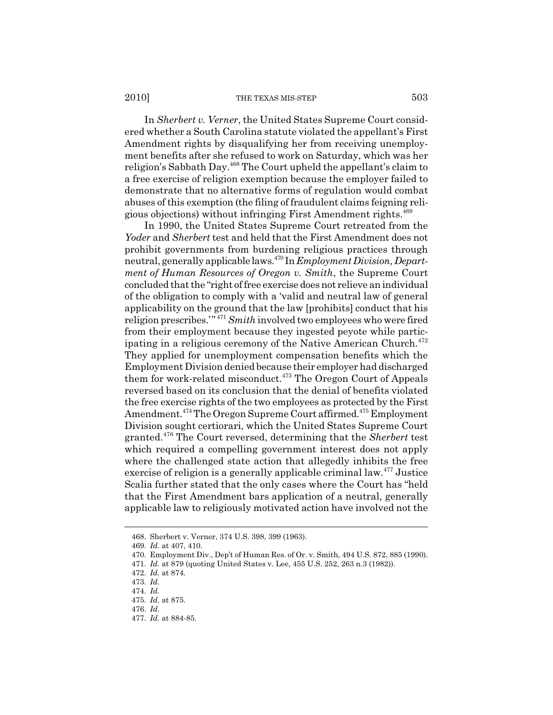#### 2010] THE TEXAS MIS-STEP 503

In *Sherbert v. Verner*, the United States Supreme Court considered whether a South Carolina statute violated the appellant's First Amendment rights by disqualifying her from receiving unemployment benefits after she refused to work on Saturday, which was her religion's Sabbath Day.468 The Court upheld the appellant's claim to a free exercise of religion exemption because the employer failed to demonstrate that no alternative forms of regulation would combat abuses of this exemption (the filing of fraudulent claims feigning religious objections) without infringing First Amendment rights.<sup>469</sup>

In 1990, the United States Supreme Court retreated from the *Yoder* and *Sherbert* test and held that the First Amendment does not prohibit governments from burdening religious practices through neutral, generally applicable laws.470 In *Employment Division, Department of Human Resources of Oregon v. Smith*, the Supreme Court concluded that the "right of free exercise does not relieve an individual of the obligation to comply with a 'valid and neutral law of general applicability on the ground that the law [prohibits] conduct that his religion prescribes.'" <sup>471</sup> *Smith* involved two employees who were fired from their employment because they ingested peyote while participating in a religious ceremony of the Native American Church.<sup>472</sup> They applied for unemployment compensation benefits which the Employment Division denied because their employer had discharged them for work-related misconduct.<sup>473</sup> The Oregon Court of Appeals reversed based on its conclusion that the denial of benefits violated the free exercise rights of the two employees as protected by the First Amendment.<sup>474</sup> The Oregon Supreme Court affirmed.<sup>475</sup> Employment Division sought certiorari, which the United States Supreme Court granted.476 The Court reversed, determining that the *Sherbert* test which required a compelling government interest does not apply where the challenged state action that allegedly inhibits the free exercise of religion is a generally applicable criminal law.477 Justice Scalia further stated that the only cases where the Court has "held that the First Amendment bars application of a neutral, generally applicable law to religiously motivated action have involved not the

<sup>468.</sup> Sherbert v. Verner, 374 U.S. 398, 399 (1963).

<sup>469.</sup> *Id.* at 407, 410.

<sup>470.</sup> Employment Div., Dep't of Human Res. of Or. v. Smith, 494 U.S. 872, 885 (1990).

<sup>471.</sup> *Id.* at 879 (quoting United States v. Lee, 455 U.S. 252, 263 n.3 (1982)).

<sup>472.</sup> *Id.* at 874.

<sup>473.</sup> *Id.*

<sup>474.</sup> *Id.*

<sup>475.</sup> *Id.* at 875.

<sup>476.</sup> *Id.*

<sup>477.</sup> *Id.* at 884-85.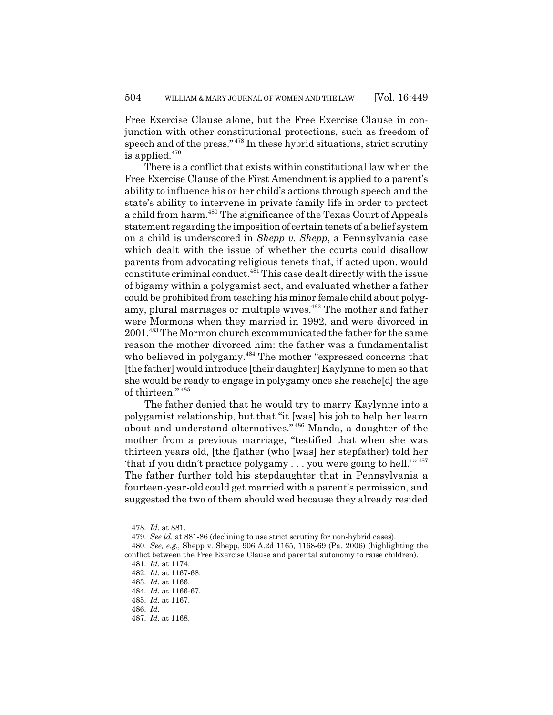Free Exercise Clause alone, but the Free Exercise Clause in conjunction with other constitutional protections, such as freedom of speech and of the press." 478 In these hybrid situations, strict scrutiny is applied. $479$ 

There is a conflict that exists within constitutional law when the Free Exercise Clause of the First Amendment is applied to a parent's ability to influence his or her child's actions through speech and the state's ability to intervene in private family life in order to protect a child from harm.<sup>480</sup> The significance of the Texas Court of Appeals statement regarding the imposition of certain tenets of a belief system on a child is underscored in *Shepp v. Shepp*, a Pennsylvania case which dealt with the issue of whether the courts could disallow parents from advocating religious tenets that, if acted upon, would constitute criminal conduct.481 This case dealt directly with the issue of bigamy within a polygamist sect, and evaluated whether a father could be prohibited from teaching his minor female child about polygamy, plural marriages or multiple wives.<sup>482</sup> The mother and father were Mormons when they married in 1992, and were divorced in 2001.483 The Mormon church excommunicated the father for the same reason the mother divorced him: the father was a fundamentalist who believed in polygamy.<sup>484</sup> The mother "expressed concerns that [the father] would introduce [their daughter] Kaylynne to men so that she would be ready to engage in polygamy once she reache[d] the age of thirteen." <sup>485</sup>

The father denied that he would try to marry Kaylynne into a polygamist relationship, but that "it [was] his job to help her learn about and understand alternatives." 486 Manda, a daughter of the mother from a previous marriage, "testified that when she was thirteen years old, [the f]ather (who [was] her stepfather) told her 'that if you didn't practice polygamy . . . you were going to hell.'" <sup>487</sup> The father further told his stepdaughter that in Pennsylvania a fourteen-year-old could get married with a parent's permission, and suggested the two of them should wed because they already resided

<sup>478.</sup> *Id.* at 881.

<sup>479.</sup> *See id.* at 881-86 (declining to use strict scrutiny for non-hybrid cases).

<sup>480.</sup> *See, e.g.*, Shepp v. Shepp, 906 A.2d 1165, 1168-69 (Pa. 2006) (highlighting the conflict between the Free Exercise Clause and parental autonomy to raise children).

<sup>481.</sup> *Id.* at 1174.

<sup>482.</sup> *Id.* at 1167-68.

<sup>483.</sup> *Id.* at 1166.

<sup>484.</sup> *Id.* at 1166-67.

<sup>485.</sup> *Id.* at 1167.

<sup>486.</sup> *Id.*

<sup>487.</sup> *Id.* at 1168.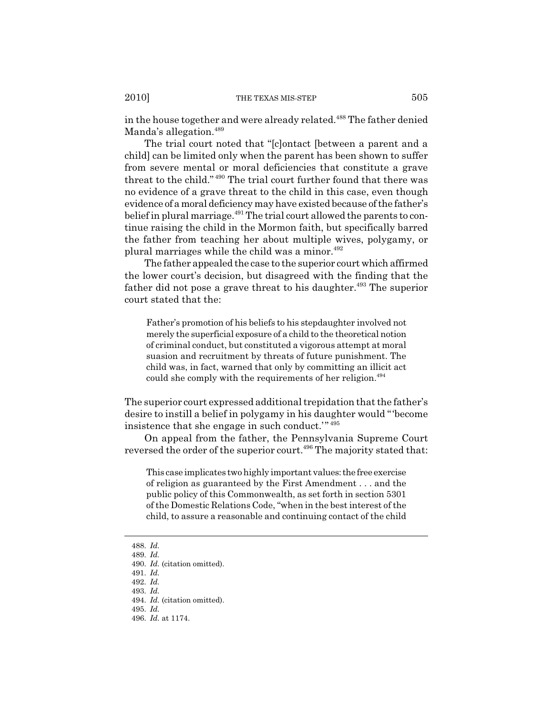in the house together and were already related.<sup>488</sup> The father denied Manda's allegation.<sup>489</sup>

The trial court noted that "[c]ontact [between a parent and a child] can be limited only when the parent has been shown to suffer from severe mental or moral deficiencies that constitute a grave threat to the child." 490 The trial court further found that there was no evidence of a grave threat to the child in this case, even though evidence of a moral deficiency may have existed because of the father's belief in plural marriage.<sup> $491$ </sup> The trial court allowed the parents to continue raising the child in the Mormon faith, but specifically barred the father from teaching her about multiple wives, polygamy, or plural marriages while the child was a minor. $492$ 

The father appealed the case to the superior court which affirmed the lower court's decision, but disagreed with the finding that the father did not pose a grave threat to his daughter.<sup>493</sup> The superior court stated that the:

Father's promotion of his beliefs to his stepdaughter involved not merely the superficial exposure of a child to the theoretical notion of criminal conduct, but constituted a vigorous attempt at moral suasion and recruitment by threats of future punishment. The child was, in fact, warned that only by committing an illicit act could she comply with the requirements of her religion.<sup>494</sup>

The superior court expressed additional trepidation that the father's desire to instill a belief in polygamy in his daughter would "'become insistence that she engage in such conduct.'" <sup>495</sup>

On appeal from the father, the Pennsylvania Supreme Court reversed the order of the superior court.<sup>496</sup> The majority stated that:

This case implicates two highly important values: the free exercise of religion as guaranteed by the First Amendment . . . and the public policy of this Commonwealth, as set forth in section 5301 of the Domestic Relations Code, "when in the best interest of the child, to assure a reasonable and continuing contact of the child

<sup>488.</sup> *Id.*

<sup>489.</sup> *Id.*

<sup>490.</sup> *Id.* (citation omitted).

<sup>491.</sup> *Id.*

<sup>492.</sup> *Id.*

<sup>493.</sup> *Id.*

<sup>494.</sup> *Id.* (citation omitted).

<sup>495.</sup> *Id.*

<sup>496.</sup> *Id.* at 1174.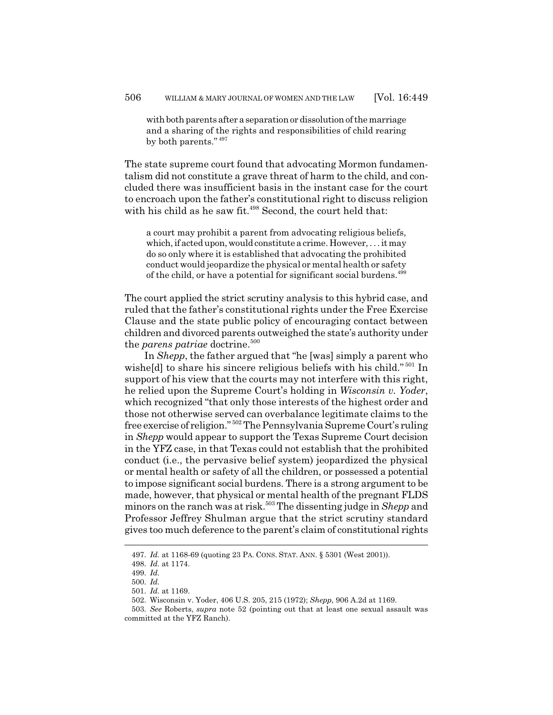with both parents after a separation or dissolution of the marriage and a sharing of the rights and responsibilities of child rearing by both parents." <sup>497</sup>

The state supreme court found that advocating Mormon fundamentalism did not constitute a grave threat of harm to the child, and concluded there was insufficient basis in the instant case for the court to encroach upon the father's constitutional right to discuss religion with his child as he saw fit.<sup>498</sup> Second, the court held that:

a court may prohibit a parent from advocating religious beliefs, which, if acted upon, would constitute a crime. However, . . . it may do so only where it is established that advocating the prohibited conduct would jeopardize the physical or mental health or safety of the child, or have a potential for significant social burdens.<sup>499</sup>

The court applied the strict scrutiny analysis to this hybrid case, and ruled that the father's constitutional rights under the Free Exercise Clause and the state public policy of encouraging contact between children and divorced parents outweighed the state's authority under the *parens patriae* doctrine.<sup>500</sup>

In *Shepp*, the father argued that "he [was] simply a parent who wishe[d] to share his sincere religious beliefs with his child." 501 In support of his view that the courts may not interfere with this right, he relied upon the Supreme Court's holding in *Wisconsin v. Yoder*, which recognized "that only those interests of the highest order and those not otherwise served can overbalance legitimate claims to the free exercise of religion." 502 The Pennsylvania Supreme Court's ruling in *Shepp* would appear to support the Texas Supreme Court decision in the YFZ case, in that Texas could not establish that the prohibited conduct (i.e., the pervasive belief system) jeopardized the physical or mental health or safety of all the children, or possessed a potential to impose significant social burdens. There is a strong argument to be made, however, that physical or mental health of the pregnant FLDS minors on the ranch was at risk.<sup>503</sup> The dissenting judge in *Shepp* and Professor Jeffrey Shulman argue that the strict scrutiny standard gives too much deference to the parent's claim of constitutional rights

<sup>497.</sup> *Id.* at 1168-69 (quoting 23 PA. CONS. STAT. ANN. § 5301 (West 2001)).

<sup>498.</sup> *Id.* at 1174.

<sup>499.</sup> *Id.*

<sup>500.</sup> *Id.*

<sup>501.</sup> *Id.* at 1169.

<sup>502.</sup> Wisconsin v. Yoder, 406 U.S. 205, 215 (1972); *Shepp*, 906 A.2d at 1169.

<sup>503.</sup> *See* Roberts, *supra* note 52 (pointing out that at least one sexual assault was committed at the YFZ Ranch).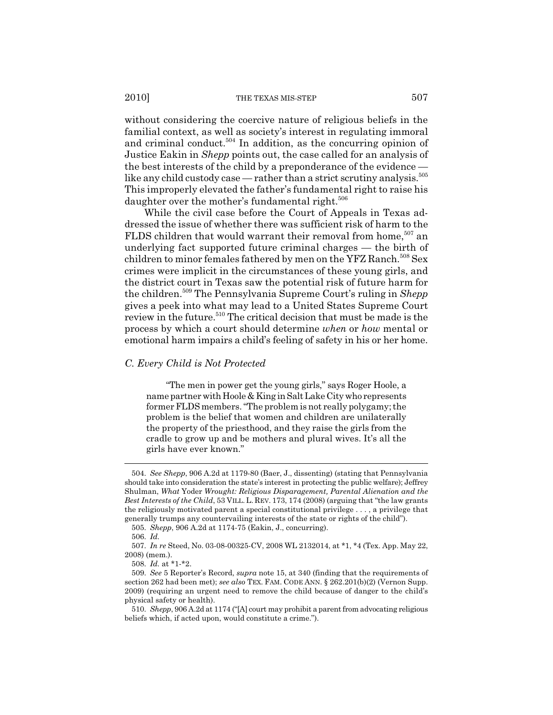without considering the coercive nature of religious beliefs in the familial context, as well as society's interest in regulating immoral and criminal conduct.<sup>504</sup> In addition, as the concurring opinion of Justice Eakin in *Shepp* points out, the case called for an analysis of the best interests of the child by a preponderance of the evidence like any child custody case — rather than a strict scrutiny analysis. $505$ This improperly elevated the father's fundamental right to raise his daughter over the mother's fundamental right.<sup>506</sup>

While the civil case before the Court of Appeals in Texas addressed the issue of whether there was sufficient risk of harm to the FLDS children that would warrant their removal from home,<sup>507</sup> an underlying fact supported future criminal charges — the birth of children to minor females fathered by men on the YFZ Ranch.<sup>508</sup> Sex crimes were implicit in the circumstances of these young girls, and the district court in Texas saw the potential risk of future harm for the children.509 The Pennsylvania Supreme Court's ruling in *Shepp* gives a peek into what may lead to a United States Supreme Court review in the future.<sup>510</sup> The critical decision that must be made is the process by which a court should determine *when* or *how* mental or emotional harm impairs a child's feeling of safety in his or her home.

# *C. Every Child is Not Protected*

"The men in power get the young girls," says Roger Hoole, a name partner with Hoole & King in Salt Lake City who represents former FLDS members. "The problem is not really polygamy; the problem is the belief that women and children are unilaterally the property of the priesthood, and they raise the girls from the cradle to grow up and be mothers and plural wives. It's all the girls have ever known."

<sup>504.</sup> *See Shepp*, 906 A.2d at 1179-80 (Baer, J., dissenting) (stating that Pennsylvania should take into consideration the state's interest in protecting the public welfare); Jeffrey Shulman, *What* Yoder *Wrought: Religious Disparagement, Parental Alienation and the Best Interests of the Child*, 53 VILL.L. REV. 173, 174 (2008) (arguing that "the law grants the religiously motivated parent a special constitutional privilege . . . , a privilege that generally trumps any countervailing interests of the state or rights of the child").

<sup>505.</sup> *Shepp*, 906 A.2d at 1174-75 (Eakin, J., concurring).

<sup>506.</sup> *Id.*

<sup>507.</sup> *In re* Steed, No. 03-08-00325-CV, 2008 WL 2132014, at \*1, \*4 (Tex. App. May 22, 2008) (mem.).

<sup>508.</sup> *Id.* at \*1-\*2.

<sup>509.</sup> *See* 5 Reporter's Record, *supra* note 15, at 340 (finding that the requirements of section 262 had been met); *see also* TEX. FAM. CODE ANN. § 262.201(b)(2) (Vernon Supp. 2009) (requiring an urgent need to remove the child because of danger to the child's physical safety or health).

<sup>510.</sup> *Shepp*, 906 A.2d at 1174 ("[A] court may prohibit a parent from advocating religious beliefs which, if acted upon, would constitute a crime.").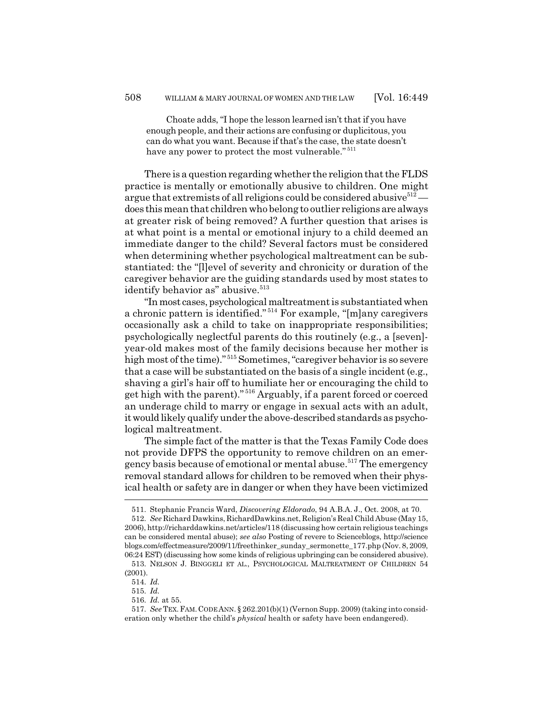Choate adds, "I hope the lesson learned isn't that if you have enough people, and their actions are confusing or duplicitous, you can do what you want. Because if that's the case, the state doesn't have any power to protect the most vulnerable."  $511$ 

There is a question regarding whether the religion that the FLDS practice is mentally or emotionally abusive to children. One might argue that extremists of all religions could be considered abusive $512$ does this mean that children who belong to outlier religions are always at greater risk of being removed? A further question that arises is at what point is a mental or emotional injury to a child deemed an immediate danger to the child? Several factors must be considered when determining whether psychological maltreatment can be substantiated: the "[l]evel of severity and chronicity or duration of the caregiver behavior are the guiding standards used by most states to identify behavior as" abusive.<sup>513</sup>

"In most cases, psychological maltreatment is substantiated when a chronic pattern is identified." 514 For example, "[m]any caregivers occasionally ask a child to take on inappropriate responsibilities; psychologically neglectful parents do this routinely (e.g., a [seven] year-old makes most of the family decisions because her mother is high most of the time)."<sup>515</sup> Sometimes, "caregiver behavior is so severe that a case will be substantiated on the basis of a single incident (e.g., shaving a girl's hair off to humiliate her or encouraging the child to get high with the parent)." 516 Arguably, if a parent forced or coerced an underage child to marry or engage in sexual acts with an adult, it would likely qualify under the above-described standards as psychological maltreatment.

The simple fact of the matter is that the Texas Family Code does not provide DFPS the opportunity to remove children on an emergency basis because of emotional or mental abuse.<sup>517</sup> The emergency removal standard allows for children to be removed when their physical health or safety are in danger or when they have been victimized

<sup>511.</sup> Stephanie Francis Ward, *Discovering Eldorado*, 94 A.B.A. J., Oct. 2008, at 70.

<sup>512.</sup> *See* Richard Dawkins, RichardDawkins.net, Religion's Real Child Abuse (May 15, 2006), http://richarddawkins.net/articles/118 (discussing how certain religious teachings can be considered mental abuse); *see also* Posting of revere to Scienceblogs, http://science blogs.com/effectmeasure/2009/11/freethinker\_sunday\_sermonette\_177.php (Nov. 8, 2009, 06:24 EST) (discussing how some kinds of religious upbringing can be considered abusive).

<sup>513.</sup> NELSON J. BINGGELI ET AL., PSYCHOLOGICAL MALTREATMENT OF CHILDREN 54 (2001).

<sup>514.</sup> *Id.*

<sup>515.</sup> *Id.*

<sup>516.</sup> *Id.* at 55.

<sup>517.</sup> *See* TEX.FAM.CODE ANN. § 262.201(b)(1) (Vernon Supp. 2009) (taking into consideration only whether the child's *physical* health or safety have been endangered).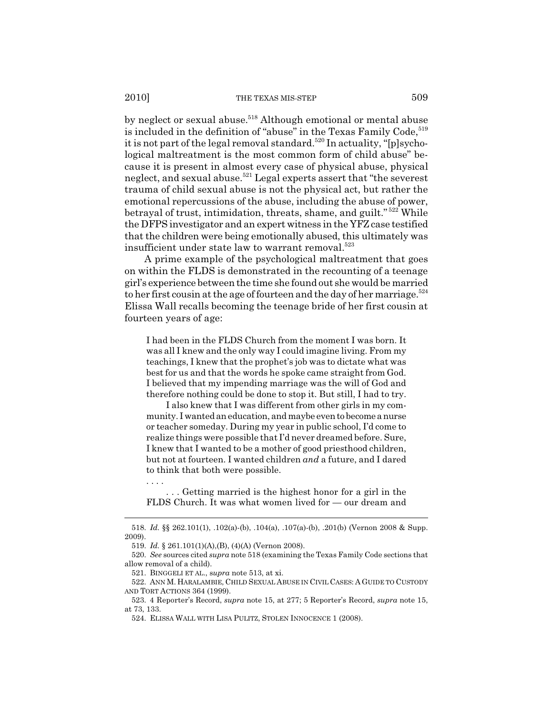by neglect or sexual abuse.<sup>518</sup> Although emotional or mental abuse is included in the definition of "abuse" in the Texas Family Code,<sup>519</sup> it is not part of the legal removal standard.<sup>520</sup> In actuality, " $[p]$ sychological maltreatment is the most common form of child abuse" because it is present in almost every case of physical abuse, physical neglect, and sexual abuse.<sup>521</sup> Legal experts assert that "the severest" trauma of child sexual abuse is not the physical act, but rather the emotional repercussions of the abuse, including the abuse of power, betrayal of trust, intimidation, threats, shame, and guilt." 522 While the DFPS investigator and an expert witness in the YFZ case testified that the children were being emotionally abused, this ultimately was insufficient under state law to warrant removal.<sup>523</sup>

A prime example of the psychological maltreatment that goes on within the FLDS is demonstrated in the recounting of a teenage girl's experience between the time she found out she would be married to her first cousin at the age of fourteen and the day of her marriage.<sup>524</sup> Elissa Wall recalls becoming the teenage bride of her first cousin at fourteen years of age:

I had been in the FLDS Church from the moment I was born. It was all I knew and the only way I could imagine living. From my teachings, I knew that the prophet's job was to dictate what was best for us and that the words he spoke came straight from God. I believed that my impending marriage was the will of God and therefore nothing could be done to stop it. But still, I had to try.

I also knew that I was different from other girls in my community. I wanted an education, and maybe even to become a nurse or teacher someday. During my year in public school, I'd come to realize things were possible that I'd never dreamed before. Sure, I knew that I wanted to be a mother of good priesthood children, but not at fourteen. I wanted children *and* a future, and I dared to think that both were possible.

. . . Getting married is the highest honor for a girl in the FLDS Church. It was what women lived for — our dream and

. . . .

<sup>518.</sup> *Id.* §§ 262.101(1), .102(a)-(b), .104(a), .107(a)-(b), .201(b) (Vernon 2008 & Supp. 2009).

<sup>519.</sup> *Id.* § 261.101(1)(A),(B), (4)(A) (Vernon 2008).

<sup>520.</sup> *See* sources cited *supra* note 518 (examining the Texas Family Code sections that allow removal of a child).

<sup>521.</sup> BINGGELI ET AL., s*upra* note 513, at xi.

<sup>522.</sup> ANN M. HARALAMBIE, CHILD SEXUAL ABUSE IN CIVIL CASES: A GUIDE TO CUSTODY AND TORT ACTIONS 364 (1999).

<sup>523. 4</sup> Reporter's Record, *supra* note 15, at 277; 5 Reporter's Record, *supra* note 15, at 73, 133.

<sup>524.</sup> ELISSA WALL WITH LISA PULITZ, STOLEN INNOCENCE 1 (2008).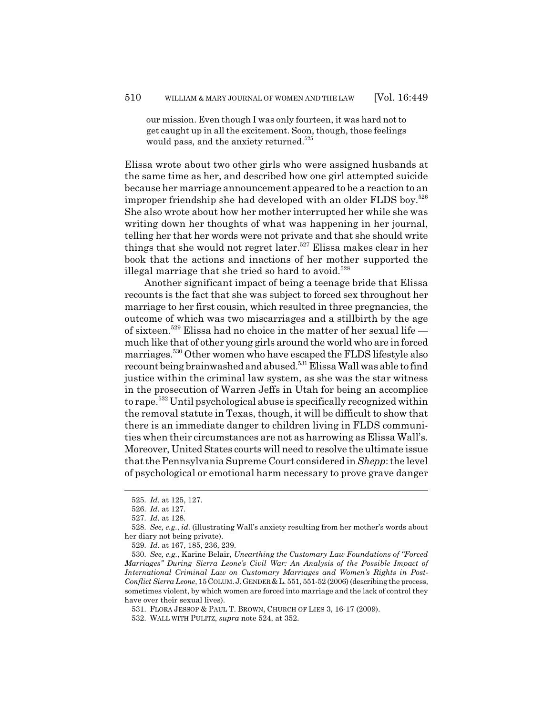our mission. Even though I was only fourteen, it was hard not to get caught up in all the excitement. Soon, though, those feelings would pass, and the anxiety returned.<sup>525</sup>

Elissa wrote about two other girls who were assigned husbands at the same time as her, and described how one girl attempted suicide because her marriage announcement appeared to be a reaction to an improper friendship she had developed with an older FLDS boy.<sup>526</sup> She also wrote about how her mother interrupted her while she was writing down her thoughts of what was happening in her journal, telling her that her words were not private and that she should write things that she would not regret later.<sup>527</sup> Elissa makes clear in her book that the actions and inactions of her mother supported the illegal marriage that she tried so hard to avoid.<sup>528</sup>

Another significant impact of being a teenage bride that Elissa recounts is the fact that she was subject to forced sex throughout her marriage to her first cousin, which resulted in three pregnancies, the outcome of which was two miscarriages and a stillbirth by the age of sixteen.529 Elissa had no choice in the matter of her sexual life much like that of other young girls around the world who are in forced marriages.530 Other women who have escaped the FLDS lifestyle also recount being brainwashed and abused.<sup>531</sup> Elissa Wall was able to find justice within the criminal law system, as she was the star witness in the prosecution of Warren Jeffs in Utah for being an accomplice to rape.532 Until psychological abuse is specifically recognized within the removal statute in Texas, though, it will be difficult to show that there is an immediate danger to children living in FLDS communities when their circumstances are not as harrowing as Elissa Wall's. Moreover, United States courts will need to resolve the ultimate issue that the Pennsylvania Supreme Court considered in *Shepp*: the level of psychological or emotional harm necessary to prove grave danger

<sup>525.</sup> *Id.* at 125, 127.

<sup>526.</sup> *Id.* at 127.

<sup>527.</sup> *Id.* at 128.

<sup>528.</sup> *See, e.g.*, *id.* (illustrating Wall's anxiety resulting from her mother's words about her diary not being private).

<sup>529.</sup> *Id.* at 167, 185, 236, 239.

<sup>530.</sup> *See, e.g.*, Karine Belair, *Unearthing the Customary Law Foundations of "Forced Marriages" During Sierra Leone's Civil War: An Analysis of the Possible Impact of International Criminal Law on Customary Marriages and Women's Rights in Post-Conflict Sierra Leone*, 15COLUM.J.GENDER &L. 551, 551-52 (2006) (describing the process, sometimes violent, by which women are forced into marriage and the lack of control they have over their sexual lives).

<sup>531.</sup> FLORA JESSOP & PAUL T. BROWN, CHURCH OF LIES 3, 16-17 (2009).

<sup>532.</sup> WALL WITH PULITZ, *supra* note 524, at 352.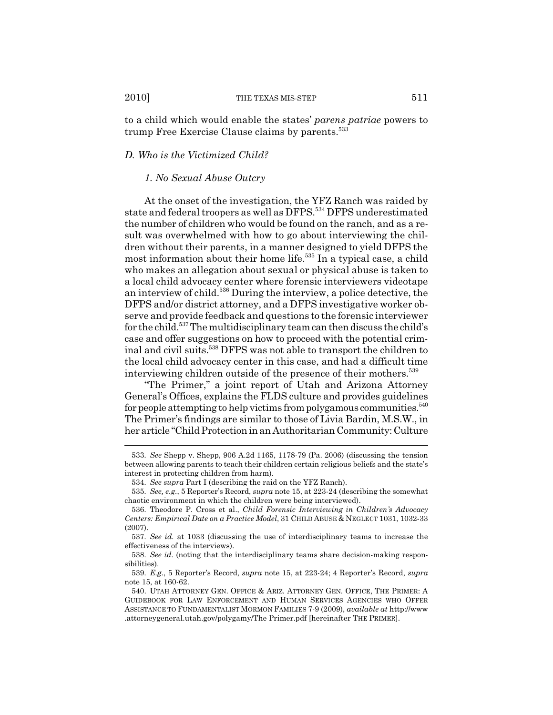to a child which would enable the states' *parens patriae* powers to trump Free Exercise Clause claims by parents.<sup>533</sup>

## *D. Who is the Victimized Child?*

### *1. No Sexual Abuse Outcry*

At the onset of the investigation, the YFZ Ranch was raided by state and federal troopers as well as DFPS.534 DFPS underestimated the number of children who would be found on the ranch, and as a result was overwhelmed with how to go about interviewing the children without their parents, in a manner designed to yield DFPS the most information about their home life.<sup>535</sup> In a typical case, a child who makes an allegation about sexual or physical abuse is taken to a local child advocacy center where forensic interviewers videotape an interview of child.536 During the interview, a police detective, the DFPS and/or district attorney, and a DFPS investigative worker observe and provide feedback and questions to the forensic interviewer for the child.537 The multidisciplinary team can then discuss the child's case and offer suggestions on how to proceed with the potential criminal and civil suits.538 DFPS was not able to transport the children to the local child advocacy center in this case, and had a difficult time interviewing children outside of the presence of their mothers.<sup>539</sup>

"The Primer," a joint report of Utah and Arizona Attorney General's Offices, explains the FLDS culture and provides guidelines for people attempting to help victims from polygamous communities. $540$ The Primer's findings are similar to those of Livia Bardin, M.S.W., in her article "Child Protection in an Authoritarian Community: Culture

<sup>533.</sup> *See* Shepp v. Shepp, 906 A.2d 1165, 1178-79 (Pa. 2006) (discussing the tension between allowing parents to teach their children certain religious beliefs and the state's interest in protecting children from harm).

<sup>534.</sup> *See supra* Part I (describing the raid on the YFZ Ranch).

<sup>535.</sup> *See, e.g.*, 5 Reporter's Record, *supra* note 15, at 223-24 (describing the somewhat chaotic environment in which the children were being interviewed).

<sup>536.</sup> Theodore P. Cross et al., *Child Forensic Interviewing in Children's Advocacy Centers: Empirical Date on a Practice Model*, 31 CHILD ABUSE & NEGLECT 1031, 1032-33 (2007).

<sup>537.</sup> *See id.* at 1033 (discussing the use of interdisciplinary teams to increase the effectiveness of the interviews).

<sup>538.</sup> *See id.* (noting that the interdisciplinary teams share decision-making responsibilities).

<sup>539.</sup> *E.g.*, 5 Reporter's Record, *supra* note 15, at 223-24; 4 Reporter's Record, *supra* note 15, at 160-62.

<sup>540.</sup> UTAH ATTORNEY GEN. OFFICE & ARIZ. ATTORNEY GEN. OFFICE, THE PRIMER: A GUIDEBOOK FOR LAW ENFORCEMENT AND HUMAN SERVICES AGENCIES WHO OFFER ASSISTANCE TO FUNDAMENTALIST MORMON FAMILIES 7-9 (2009), *available at* http://www .attorneygeneral.utah.gov/polygamy/The Primer.pdf [hereinafter THE PRIMER].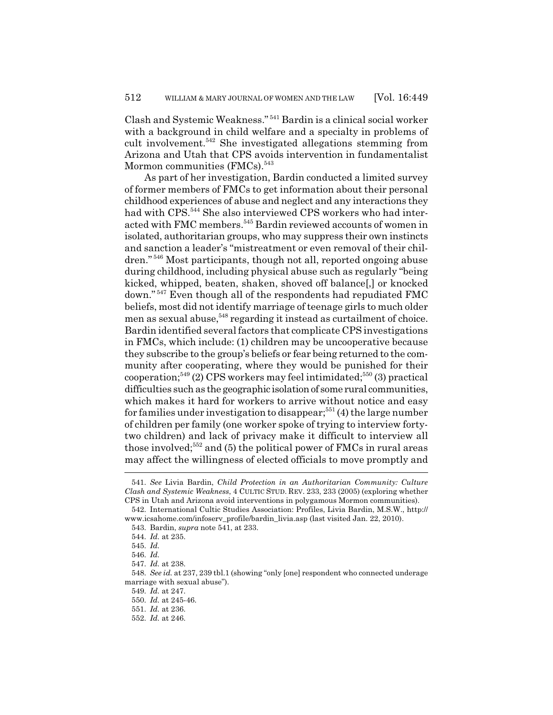Clash and Systemic Weakness." 541 Bardin is a clinical social worker with a background in child welfare and a specialty in problems of cult involvement.542 She investigated allegations stemming from Arizona and Utah that CPS avoids intervention in fundamentalist Mormon communities (FMCs).<sup>543</sup>

As part of her investigation, Bardin conducted a limited survey of former members of FMCs to get information about their personal childhood experiences of abuse and neglect and any interactions they had with CPS.<sup>544</sup> She also interviewed CPS workers who had interacted with FMC members.<sup>545</sup> Bardin reviewed accounts of women in isolated, authoritarian groups, who may suppress their own instincts and sanction a leader's "mistreatment or even removal of their children." 546 Most participants, though not all, reported ongoing abuse during childhood, including physical abuse such as regularly "being kicked, whipped, beaten, shaken, shoved off balance[,] or knocked down." 547 Even though all of the respondents had repudiated FMC beliefs, most did not identify marriage of teenage girls to much older men as sexual abuse,<sup>548</sup> regarding it instead as curtailment of choice. Bardin identified several factors that complicate CPS investigations in FMCs, which include: (1) children may be uncooperative because they subscribe to the group's beliefs or fear being returned to the community after cooperating, where they would be punished for their cooperation;<sup>549</sup> (2) CPS workers may feel intimidated;<sup>550</sup> (3) practical difficulties such as the geographic isolation of some rural communities, which makes it hard for workers to arrive without notice and easy for families under investigation to disappear;<sup>551</sup> $(4)$  the large number of children per family (one worker spoke of trying to interview fortytwo children) and lack of privacy make it difficult to interview all those involved;<sup>552</sup> and (5) the political power of FMCs in rural areas may affect the willingness of elected officials to move promptly and

<sup>541.</sup> *See* Livia Bardin, *Child Protection in an Authoritarian Community: Culture Clash and Systemic Weakness*, 4 CULTIC STUD. REV. 233, 233 (2005) (exploring whether CPS in Utah and Arizona avoid interventions in polygamous Mormon communities).

<sup>542.</sup> International Cultic Studies Association: Profiles, Livia Bardin, M.S.W., http:// www.icsahome.com/infoserv\_profile/bardin\_livia.asp (last visited Jan. 22, 2010).

<sup>543.</sup> Bardin, *supra* note 541, at 233.

<sup>544.</sup> *Id.* at 235.

<sup>545.</sup> *Id.*

<sup>546.</sup> *Id.*

<sup>547.</sup> *Id.* at 238.

<sup>548.</sup> *See id.* at 237, 239 tbl.1 (showing "only [one] respondent who connected underage marriage with sexual abuse").

<sup>549.</sup> *Id.* at 247.

<sup>550.</sup> *Id.* at 245-46.

<sup>551.</sup> *Id.* at 236.

<sup>552.</sup> *Id.* at 246.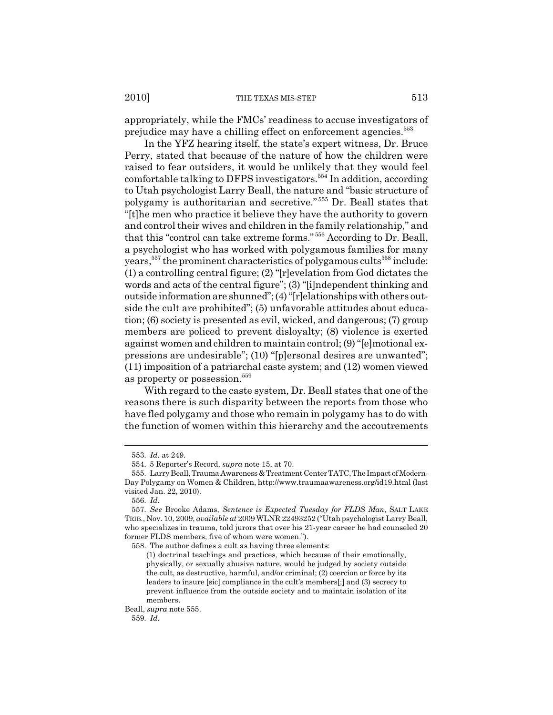2010] THE TEXAS MIS-STEP 513

appropriately, while the FMCs' readiness to accuse investigators of prejudice may have a chilling effect on enforcement agencies.<sup>553</sup>

In the YFZ hearing itself, the state's expert witness, Dr. Bruce Perry, stated that because of the nature of how the children were raised to fear outsiders, it would be unlikely that they would feel comfortable talking to DFPS investigators.<sup>554</sup> In addition, according to Utah psychologist Larry Beall, the nature and "basic structure of polygamy is authoritarian and secretive." 555 Dr. Beall states that "[t]he men who practice it believe they have the authority to govern and control their wives and children in the family relationship," and that this "control can take extreme forms." 556 According to Dr. Beall, a psychologist who has worked with polygamous families for many years,  $557$  the prominent characteristics of polygamous cults $558$  include: (1) a controlling central figure; (2) "[r]evelation from God dictates the words and acts of the central figure"; (3) "[i]ndependent thinking and outside information are shunned"; (4) "[r]elationships with others outside the cult are prohibited"; (5) unfavorable attitudes about education; (6) society is presented as evil, wicked, and dangerous; (7) group members are policed to prevent disloyalty; (8) violence is exerted against women and children to maintain control; (9) "[e]motional expressions are undesirable"; (10) "[p]ersonal desires are unwanted"; (11) imposition of a patriarchal caste system; and (12) women viewed as property or possession.<sup>559</sup>

With regard to the caste system, Dr. Beall states that one of the reasons there is such disparity between the reports from those who have fled polygamy and those who remain in polygamy has to do with the function of women within this hierarchy and the accoutrements

<sup>553.</sup> *Id.* at 249.

<sup>554. 5</sup> Reporter's Record, *supra* note 15, at 70.

<sup>555.</sup> Larry Beall, Trauma Awareness & Treatment Center TATC, The Impact of Modern-Day Polygamy on Women & Children, http://www.traumaawareness.org/id19.html (last visited Jan. 22, 2010).

<sup>556.</sup> *Id.*

<sup>557.</sup> *See* Brooke Adams, *Sentence is Expected Tuesday for FLDS Man*, SALT LAKE TRIB., Nov. 10, 2009, *available at* 2009 WLNR 22493252 ("Utah psychologist Larry Beall, who specializes in trauma, told jurors that over his 21-year career he had counseled 20 former FLDS members, five of whom were women.").

<sup>558.</sup> The author defines a cult as having three elements:

<sup>(1)</sup> doctrinal teachings and practices, which because of their emotionally, physically, or sexually abusive nature, would be judged by society outside the cult, as destructive, harmful, and/or criminal; (2) coercion or force by its leaders to insure [sic] compliance in the cult's members[;] and (3) secrecy to prevent influence from the outside society and to maintain isolation of its members.

Beall, *supra* note 555.

<sup>559.</sup> *Id.*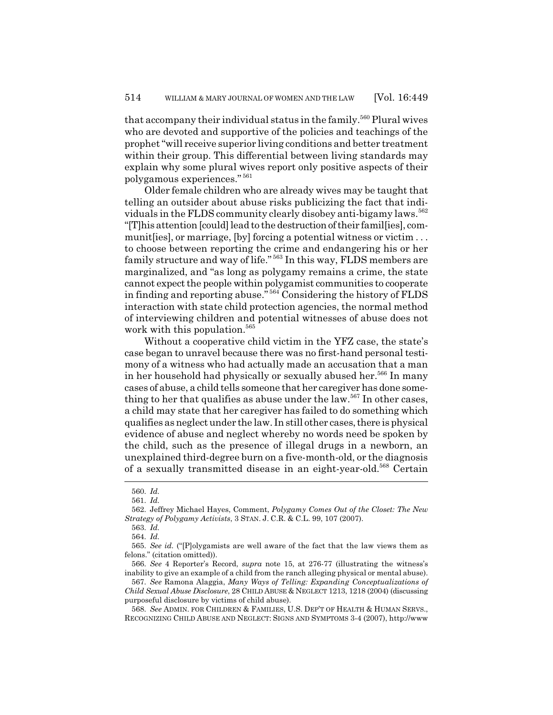that accompany their individual status in the family.<sup>560</sup> Plural wives who are devoted and supportive of the policies and teachings of the prophet "will receive superior living conditions and better treatment within their group. This differential between living standards may explain why some plural wives report only positive aspects of their polygamous experiences." <sup>561</sup>

Older female children who are already wives may be taught that telling an outsider about abuse risks publicizing the fact that individuals in the FLDS community clearly disobey anti-bigamy laws.<sup>562</sup> "[T]his attention [could] lead to the destruction of their famil[ies], communit [ies], or marriage, [by] forcing a potential witness or victim ... to choose between reporting the crime and endangering his or her family structure and way of life." 563 In this way, FLDS members are marginalized, and "as long as polygamy remains a crime, the state cannot expect the people within polygamist communities to cooperate in finding and reporting abuse." 564 Considering the history of FLDS interaction with state child protection agencies, the normal method of interviewing children and potential witnesses of abuse does not work with this population.<sup>565</sup>

Without a cooperative child victim in the YFZ case, the state's case began to unravel because there was no first-hand personal testimony of a witness who had actually made an accusation that a man in her household had physically or sexually abused her.<sup>566</sup> In many cases of abuse, a child tells someone that her caregiver has done something to her that qualifies as abuse under the law.<sup>567</sup> In other cases, a child may state that her caregiver has failed to do something which qualifies as neglect under the law. In still other cases, there is physical evidence of abuse and neglect whereby no words need be spoken by the child, such as the presence of illegal drugs in a newborn, an unexplained third-degree burn on a five-month-old, or the diagnosis of a sexually transmitted disease in an eight-year-old.<sup>568</sup> Certain

567. *See* Ramona Alaggia, *Many Ways of Telling: Expanding Conceptualizations of Child Sexual Abuse Disclosure*, 28 CHILD ABUSE & NEGLECT 1213, 1218 (2004) (discussing purposeful disclosure by victims of child abuse).

568. *See* ADMIN. FOR CHILDREN & FAMILIES, U.S. DEP'T OF HEALTH & HUMAN SERVS., RECOGNIZING CHILD ABUSE AND NEGLECT: SIGNS AND SYMPTOMS 3-4 (2007), http://www

<sup>560.</sup> *Id.*

<sup>561.</sup> *Id.*

<sup>562.</sup> Jeffrey Michael Hayes, Comment, *Polygamy Comes Out of the Closet: The New Strategy of Polygamy Activists*, 3 STAN. J. C.R. & C.L. 99, 107 (2007).

<sup>563.</sup> *Id.*

<sup>564.</sup> *Id.*

<sup>565.</sup> *See id.* ("[P]olygamists are well aware of the fact that the law views them as felons." (citation omitted)).

<sup>566.</sup> *See* 4 Reporter's Record, *supra* note 15, at 276-77 (illustrating the witness's inability to give an example of a child from the ranch alleging physical or mental abuse).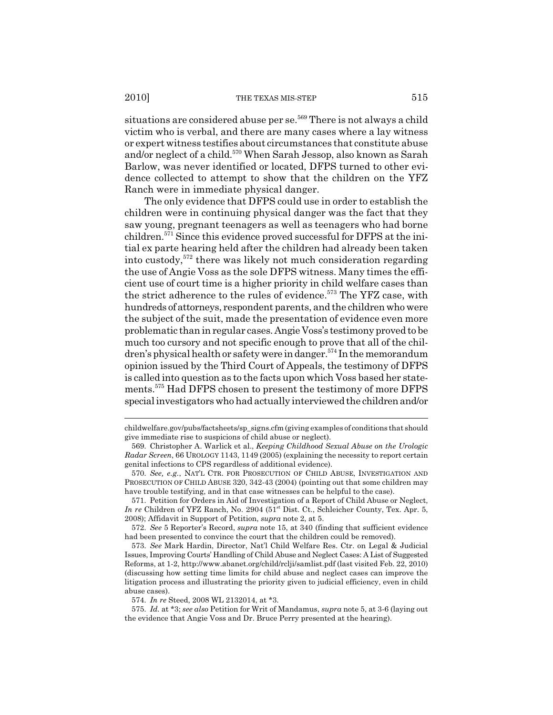situations are considered abuse per se.<sup>569</sup> There is not always a child victim who is verbal, and there are many cases where a lay witness or expert witness testifies about circumstances that constitute abuse and/or neglect of a child.<sup>570</sup> When Sarah Jessop, also known as Sarah Barlow, was never identified or located, DFPS turned to other evidence collected to attempt to show that the children on the YFZ Ranch were in immediate physical danger.

The only evidence that DFPS could use in order to establish the children were in continuing physical danger was the fact that they saw young, pregnant teenagers as well as teenagers who had borne children.571 Since this evidence proved successful for DFPS at the initial ex parte hearing held after the children had already been taken into custody,572 there was likely not much consideration regarding the use of Angie Voss as the sole DFPS witness. Many times the efficient use of court time is a higher priority in child welfare cases than the strict adherence to the rules of evidence.<sup>573</sup> The YFZ case, with hundreds of attorneys, respondent parents, and the children who were the subject of the suit, made the presentation of evidence even more problematic than in regular cases. Angie Voss's testimony proved to be much too cursory and not specific enough to prove that all of the children's physical health or safety were in danger.<sup>574</sup> In the memorandum opinion issued by the Third Court of Appeals, the testimony of DFPS is called into question as to the facts upon which Voss based her statements.<sup>575</sup> Had DFPS chosen to present the testimony of more DFPS special investigators who had actually interviewed the children and/or

childwelfare.gov/pubs/factsheets/sp\_signs.cfm (giving examples of conditions that should give immediate rise to suspicions of child abuse or neglect).

<sup>569.</sup> Christopher A. Warlick et al., *Keeping Childhood Sexual Abuse on the Urologic Radar Screen*, 66 UROLOGY 1143, 1149 (2005) (explaining the necessity to report certain genital infections to CPS regardless of additional evidence).

<sup>570.</sup> *See, e.g.*, NAT'L CTR. FOR PROSECUTION OF CHILD ABUSE, INVESTIGATION AND PROSECUTION OF CHILD ABUSE 320, 342-43 (2004) (pointing out that some children may have trouble testifying, and in that case witnesses can be helpful to the case).

<sup>571.</sup> Petition for Orders in Aid of Investigation of a Report of Child Abuse or Neglect, *In re* Children of YFZ Ranch, No. 2904 (51<sup>st</sup> Dist. Ct., Schleicher County, Tex. Apr. 5, 2008); Affidavit in Support of Petition, *supra* note 2, at 5.

<sup>572.</sup> *See* 5 Reporter's Record, *supra* note 15, at 340 (finding that sufficient evidence had been presented to convince the court that the children could be removed).

<sup>573.</sup> *See* Mark Hardin, Director, Nat'l Child Welfare Res. Ctr. on Legal & Judicial Issues, Improving Courts' Handling of Child Abuse and Neglect Cases: A List of Suggested Reforms, at 1-2, http://www.abanet.org/child/rclji/samlist.pdf (last visited Feb. 22, 2010) (discussing how setting time limits for child abuse and neglect cases can improve the litigation process and illustrating the priority given to judicial efficiency, even in child abuse cases).

<sup>574.</sup> *In re* Steed, 2008 WL 2132014, at \*3.

<sup>575.</sup> *Id.* at \*3; *see also* Petition for Writ of Mandamus, *supra* note 5, at 3-6 (laying out the evidence that Angie Voss and Dr. Bruce Perry presented at the hearing).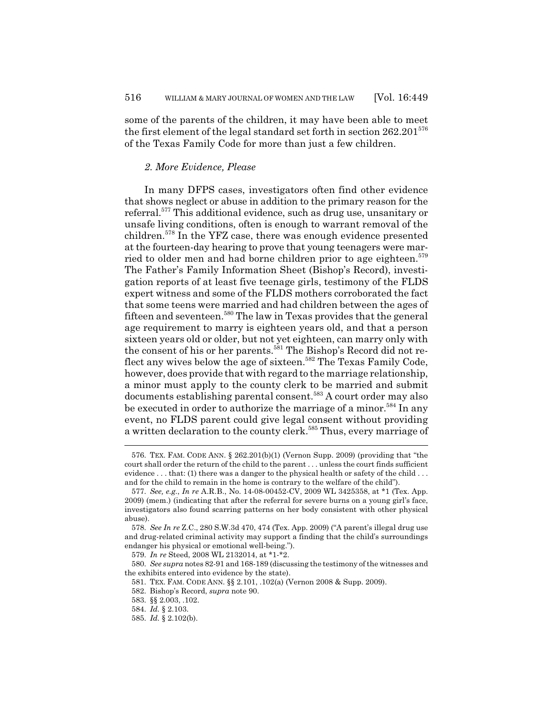some of the parents of the children, it may have been able to meet the first element of the legal standard set forth in section  $262.201^{576}$ of the Texas Family Code for more than just a few children.

# *2. More Evidence, Please*

In many DFPS cases, investigators often find other evidence that shows neglect or abuse in addition to the primary reason for the referral.577 This additional evidence, such as drug use, unsanitary or unsafe living conditions, often is enough to warrant removal of the children.578 In the YFZ case, there was enough evidence presented at the fourteen-day hearing to prove that young teenagers were married to older men and had borne children prior to age eighteen.<sup>579</sup> The Father's Family Information Sheet (Bishop's Record), investigation reports of at least five teenage girls, testimony of the FLDS expert witness and some of the FLDS mothers corroborated the fact that some teens were married and had children between the ages of fifteen and seventeen.580 The law in Texas provides that the general age requirement to marry is eighteen years old, and that a person sixteen years old or older, but not yet eighteen, can marry only with the consent of his or her parents.<sup>581</sup> The Bishop's Record did not reflect any wives below the age of sixteen.<sup>582</sup> The Texas Family Code, however, does provide that with regard to the marriage relationship, a minor must apply to the county clerk to be married and submit documents establishing parental consent.583 A court order may also be executed in order to authorize the marriage of a minor.<sup>584</sup> In any event, no FLDS parent could give legal consent without providing a written declaration to the county clerk.<sup>585</sup> Thus, every marriage of

<sup>576.</sup> TEX. FAM. CODE ANN. § 262.201(b)(1) (Vernon Supp. 2009) (providing that "the court shall order the return of the child to the parent . . . unless the court finds sufficient evidence  $\dots$  that: (1) there was a danger to the physical health or safety of the child  $\dots$ and for the child to remain in the home is contrary to the welfare of the child").

<sup>577.</sup> *See, e.g.*, *In re* A.R.B., No. 14-08-00452-CV, 2009 WL 3425358, at \*1 (Tex. App. 2009) (mem.) (indicating that after the referral for severe burns on a young girl's face, investigators also found scarring patterns on her body consistent with other physical abuse).

<sup>578.</sup> *See In re* Z.C., 280 S.W.3d 470, 474 (Tex. App. 2009) ("A parent's illegal drug use and drug-related criminal activity may support a finding that the child's surroundings endanger his physical or emotional well-being.").

<sup>579.</sup> *In re* Steed, 2008 WL 2132014, at \*1-\*2.

<sup>580.</sup> *See supra* notes 82-91 and 168-189 (discussing the testimony of the witnesses and the exhibits entered into evidence by the state).

<sup>581.</sup> TEX. FAM. CODE ANN. §§ 2.101, .102(a) (Vernon 2008 & Supp. 2009).

<sup>582.</sup> Bishop's Record, *supra* note 90.

<sup>583. §§ 2.003, .102.</sup>

<sup>584.</sup> *Id.* § 2.103.

<sup>585.</sup> *Id.* § 2.102(b).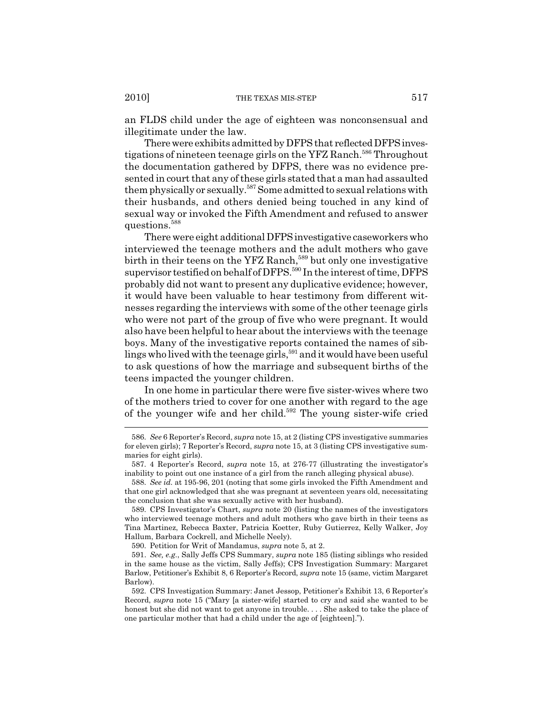an FLDS child under the age of eighteen was nonconsensual and illegitimate under the law.

There were exhibits admitted by DFPS that reflected DFPS investigations of nineteen teenage girls on the YFZ Ranch.<sup>586</sup> Throughout the documentation gathered by DFPS, there was no evidence presented in court that any of these girls stated that a man had assaulted them physically or sexually.587 Some admitted to sexual relations with their husbands, and others denied being touched in any kind of sexual way or invoked the Fifth Amendment and refused to answer questions.588

There were eight additional DFPS investigative caseworkers who interviewed the teenage mothers and the adult mothers who gave birth in their teens on the YFZ Ranch,<sup>589</sup> but only one investigative supervisor testified on behalf of DFPS.<sup>590</sup> In the interest of time, DFPS probably did not want to present any duplicative evidence; however, it would have been valuable to hear testimony from different witnesses regarding the interviews with some of the other teenage girls who were not part of the group of five who were pregnant. It would also have been helpful to hear about the interviews with the teenage boys. Many of the investigative reports contained the names of siblings who lived with the teenage girls,<sup>591</sup> and it would have been useful to ask questions of how the marriage and subsequent births of the teens impacted the younger children.

In one home in particular there were five sister-wives where two of the mothers tried to cover for one another with regard to the age of the younger wife and her child.<sup>592</sup> The young sister-wife cried

<sup>586.</sup> *See* 6 Reporter's Record, *supra* note 15, at 2 (listing CPS investigative summaries for eleven girls); 7 Reporter's Record, *supra* note 15, at 3 (listing CPS investigative summaries for eight girls).

<sup>587. 4</sup> Reporter's Record, *supra* note 15, at 276-77 (illustrating the investigator's inability to point out one instance of a girl from the ranch alleging physical abuse).

<sup>588.</sup> *See id.* at 195-96, 201 (noting that some girls invoked the Fifth Amendment and that one girl acknowledged that she was pregnant at seventeen years old, necessitating the conclusion that she was sexually active with her husband).

<sup>589.</sup> CPS Investigator's Chart, *supra* note 20 (listing the names of the investigators who interviewed teenage mothers and adult mothers who gave birth in their teens as Tina Martinez, Rebecca Baxter, Patricia Koetter, Ruby Gutierrez, Kelly Walker, Joy Hallum, Barbara Cockrell, and Michelle Neely).

<sup>590.</sup> Petition for Writ of Mandamus, *supra* note 5, at 2.

<sup>591.</sup> *See, e.g.*, Sally Jeffs CPS Summary, *supra* note 185 (listing siblings who resided in the same house as the victim, Sally Jeffs); CPS Investigation Summary: Margaret Barlow, Petitioner's Exhibit 8, 6 Reporter's Record, *supra* note 15 (same, victim Margaret Barlow).

<sup>592.</sup> CPS Investigation Summary: Janet Jessop, Petitioner's Exhibit 13, 6 Reporter's Record, *supra* note 15 ("Mary [a sister-wife] started to cry and said she wanted to be honest but she did not want to get anyone in trouble. . . . She asked to take the place of one particular mother that had a child under the age of [eighteen].").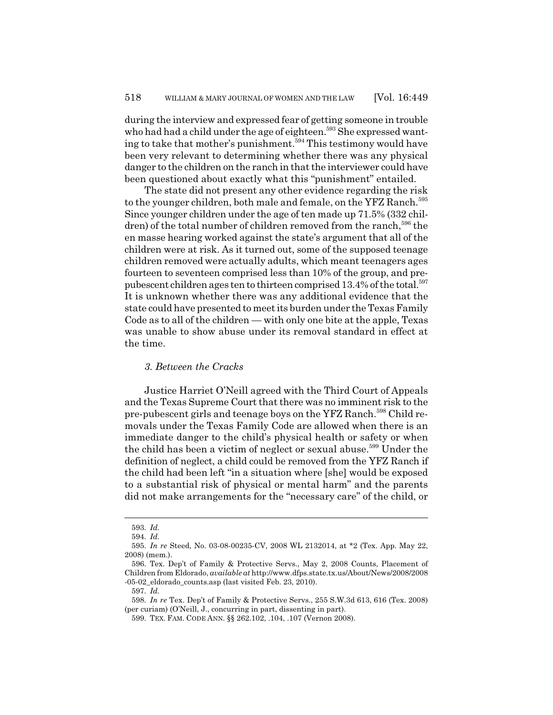during the interview and expressed fear of getting someone in trouble who had had a child under the age of eighteen.<sup>593</sup> She expressed wanting to take that mother's punishment.<sup>594</sup> This testimony would have been very relevant to determining whether there was any physical danger to the children on the ranch in that the interviewer could have been questioned about exactly what this "punishment" entailed.

The state did not present any other evidence regarding the risk to the younger children, both male and female, on the YFZ Ranch.<sup>595</sup> Since younger children under the age of ten made up 71.5% (332 children) of the total number of children removed from the ranch,<sup>596</sup> the en masse hearing worked against the state's argument that all of the children were at risk. As it turned out, some of the supposed teenage children removed were actually adults, which meant teenagers ages fourteen to seventeen comprised less than 10% of the group, and prepubescent children ages ten to thirteen comprised 13.4% of the total.<sup>597</sup> It is unknown whether there was any additional evidence that the state could have presented to meet its burden under the Texas Family Code as to all of the children — with only one bite at the apple, Texas was unable to show abuse under its removal standard in effect at the time.

# *3. Between the Cracks*

Justice Harriet O'Neill agreed with the Third Court of Appeals and the Texas Supreme Court that there was no imminent risk to the pre-pubescent girls and teenage boys on the YFZ Ranch.598 Child removals under the Texas Family Code are allowed when there is an immediate danger to the child's physical health or safety or when the child has been a victim of neglect or sexual abuse.<sup>599</sup> Under the definition of neglect, a child could be removed from the YFZ Ranch if the child had been left "in a situation where [she] would be exposed to a substantial risk of physical or mental harm" and the parents did not make arrangements for the "necessary care" of the child, or

<sup>593.</sup> *Id.*

<sup>594.</sup> *Id.*

<sup>595.</sup> *In re* Steed, No. 03-08-00235-CV, 2008 WL 2132014, at \*2 (Tex. App. May 22, 2008) (mem.).

<sup>596.</sup> Tex. Dep't of Family & Protective Servs., May 2, 2008 Counts, Placement of Children from Eldorado, *available at* http://www.dfps.state.tx.us/About/News/2008/2008 -05-02\_eldorado\_counts.asp (last visited Feb. 23, 2010).

<sup>597.</sup> *Id.*

<sup>598.</sup> *In re* Tex. Dep't of Family & Protective Servs., 255 S.W.3d 613, 616 (Tex. 2008) (per curiam) (O'Neill, J., concurring in part, dissenting in part).

<sup>599.</sup> TEX. FAM. CODE ANN. §§ 262.102, .104, .107 (Vernon 2008).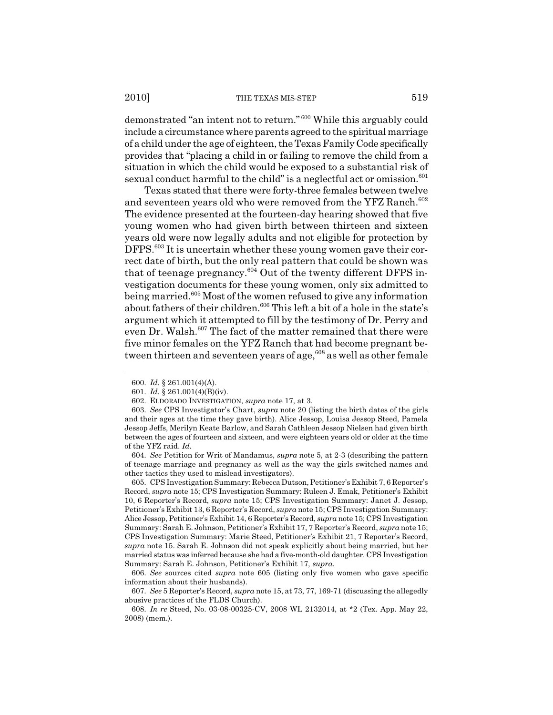demonstrated "an intent not to return." 600 While this arguably could include a circumstance where parents agreed to the spiritual marriage of a child under the age of eighteen, the Texas Family Code specifically provides that "placing a child in or failing to remove the child from a situation in which the child would be exposed to a substantial risk of sexual conduct harmful to the child" is a neglectful act or omission.<sup>601</sup>

Texas stated that there were forty-three females between twelve and seventeen years old who were removed from the YFZ Ranch.<sup>602</sup> The evidence presented at the fourteen-day hearing showed that five young women who had given birth between thirteen and sixteen years old were now legally adults and not eligible for protection by DFPS.<sup>603</sup> It is uncertain whether these young women gave their correct date of birth, but the only real pattern that could be shown was that of teenage pregnancy. $604$  Out of the twenty different DFPS investigation documents for these young women, only six admitted to being married.<sup>605</sup> Most of the women refused to give any information about fathers of their children.<sup>606</sup> This left a bit of a hole in the state's argument which it attempted to fill by the testimony of Dr. Perry and even Dr. Walsh.<sup>607</sup> The fact of the matter remained that there were five minor females on the YFZ Ranch that had become pregnant between thirteen and seventeen years of age,  $608$  as well as other female

<sup>600.</sup> *Id.* § 261.001(4)(A).

<sup>601.</sup> *Id.* § 261.001(4)(B)(iv).

<sup>602.</sup> ELDORADO INVESTIGATION, *supra* note 17, at 3.

<sup>603.</sup> *See* CPS Investigator's Chart, *supra* note 20 (listing the birth dates of the girls and their ages at the time they gave birth). Alice Jessop, Louisa Jessop Steed, Pamela Jessop Jeffs, Merilyn Keate Barlow, and Sarah Cathleen Jessop Nielsen had given birth between the ages of fourteen and sixteen, and were eighteen years old or older at the time of the YFZ raid. *Id.*

<sup>604.</sup> *See* Petition for Writ of Mandamus, *supra* note 5, at 2-3 (describing the pattern of teenage marriage and pregnancy as well as the way the girls switched names and other tactics they used to mislead investigators).

<sup>605.</sup> CPS Investigation Summary: Rebecca Dutson, Petitioner's Exhibit 7, 6 Reporter's Record, *supra* note 15; CPS Investigation Summary: Ruleen J. Emak, Petitioner's Exhibit 10, 6 Reporter's Record, *supra* note 15; CPS Investigation Summary: Janet J. Jessop, Petitioner's Exhibit 13, 6 Reporter's Record, *supra* note 15; CPS Investigation Summary: Alice Jessop, Petitioner's Exhibit 14, 6 Reporter's Record, *supra* note 15; CPS Investigation Summary: Sarah E. Johnson, Petitioner's Exhibit 17, 7 Reporter's Record, *supra* note 15; CPS Investigation Summary: Marie Steed, Petitioner's Exhibit 21, 7 Reporter's Record, *supra* note 15. Sarah E. Johnson did not speak explicitly about being married, but her married status was inferred because she had a five-month-old daughter. CPS Investigation Summary: Sarah E. Johnson, Petitioner's Exhibit 17, *supra*.

<sup>606.</sup> *See* sources cited *supra* note 605 (listing only five women who gave specific information about their husbands).

<sup>607.</sup> *See* 5 Reporter's Record, *supra* note 15, at 73, 77, 169-71 (discussing the allegedly abusive practices of the FLDS Church).

<sup>608.</sup> *In re* Steed, No. 03-08-00325-CV, 2008 WL 2132014, at \*2 (Tex. App. May 22, 2008) (mem.).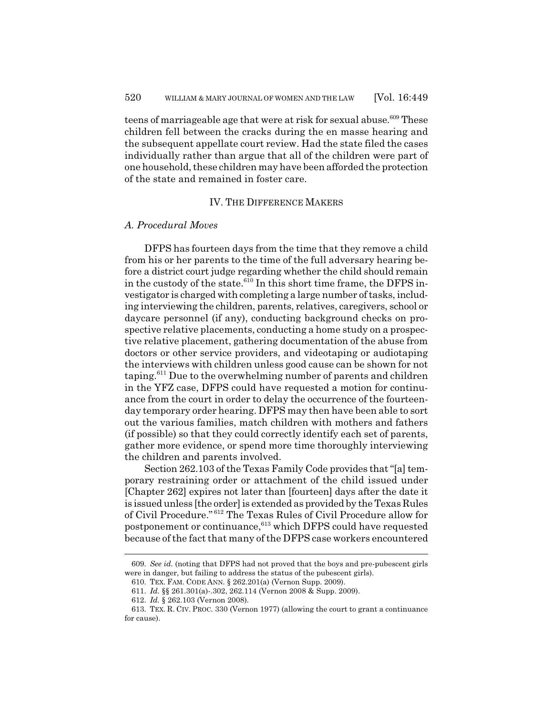teens of marriageable age that were at risk for sexual abuse.<sup>609</sup> These children fell between the cracks during the en masse hearing and the subsequent appellate court review. Had the state filed the cases individually rather than argue that all of the children were part of one household, these children may have been afforded the protection of the state and remained in foster care.

### IV. THE DIFFERENCE MAKERS

### *A. Procedural Moves*

DFPS has fourteen days from the time that they remove a child from his or her parents to the time of the full adversary hearing before a district court judge regarding whether the child should remain in the custody of the state.<sup>610</sup> In this short time frame, the DFPS investigator is charged with completing a large number of tasks, including interviewing the children, parents, relatives, caregivers, school or daycare personnel (if any), conducting background checks on prospective relative placements, conducting a home study on a prospective relative placement, gathering documentation of the abuse from doctors or other service providers, and videotaping or audiotaping the interviews with children unless good cause can be shown for not taping.611 Due to the overwhelming number of parents and children in the YFZ case, DFPS could have requested a motion for continuance from the court in order to delay the occurrence of the fourteenday temporary order hearing. DFPS may then have been able to sort out the various families, match children with mothers and fathers (if possible) so that they could correctly identify each set of parents, gather more evidence, or spend more time thoroughly interviewing the children and parents involved.

Section 262.103 of the Texas Family Code provides that "[a] temporary restraining order or attachment of the child issued under [Chapter 262] expires not later than [fourteen] days after the date it is issued unless [the order] is extended as provided by the Texas Rules of Civil Procedure." 612 The Texas Rules of Civil Procedure allow for postponement or continuance,<sup>613</sup> which DFPS could have requested because of the fact that many of the DFPS case workers encountered

<sup>609.</sup> *See id.* (noting that DFPS had not proved that the boys and pre-pubescent girls were in danger, but failing to address the status of the pubescent girls).

<sup>610.</sup> TEX. FAM. CODE ANN. § 262.201(a) (Vernon Supp. 2009).

<sup>611.</sup> *Id.* §§ 261.301(a)-.302, 262.114 (Vernon 2008 & Supp. 2009).

<sup>612.</sup> *Id.* § 262.103 (Vernon 2008).

<sup>613.</sup> TEX. R. CIV. PROC. 330 (Vernon 1977) (allowing the court to grant a continuance for cause).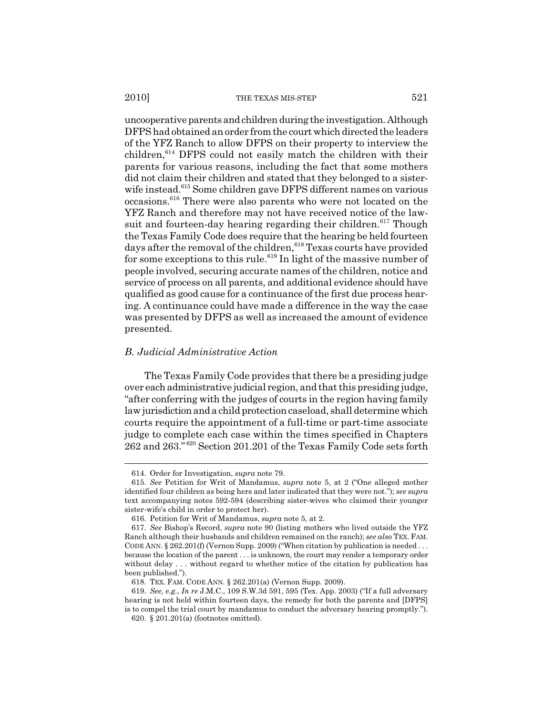uncooperative parents and children during the investigation. Although DFPS had obtained an order from the court which directed the leaders of the YFZ Ranch to allow DFPS on their property to interview the children,614 DFPS could not easily match the children with their parents for various reasons, including the fact that some mothers did not claim their children and stated that they belonged to a sisterwife instead.<sup>615</sup> Some children gave DFPS different names on various occasions.616 There were also parents who were not located on the YFZ Ranch and therefore may not have received notice of the lawsuit and fourteen-day hearing regarding their children.<sup>617</sup> Though the Texas Family Code does require that the hearing be held fourteen days after the removal of the children,<sup>618</sup> Texas courts have provided for some exceptions to this rule.<sup>619</sup> In light of the massive number of people involved, securing accurate names of the children, notice and service of process on all parents, and additional evidence should have qualified as good cause for a continuance of the first due process hearing. A continuance could have made a difference in the way the case was presented by DFPS as well as increased the amount of evidence presented.

## *B. Judicial Administrative Action*

The Texas Family Code provides that there be a presiding judge over each administrative judicial region, and that this presiding judge, "after conferring with the judges of courts in the region having family law jurisdiction and a child protection caseload, shall determine which courts require the appointment of a full-time or part-time associate judge to complete each case within the times specified in Chapters  $262$  and  $263.^{620}$  Section 201.201 of the Texas Family Code sets forth

<sup>614.</sup> Order for Investigation, *supra* note 79.

<sup>615.</sup> *See* Petition for Writ of Mandamus, *supra* note 5, at 2 ("One alleged mother identified four children as being hers and later indicated that they were not."); *see supra* text accompanying notes 592-594 (describing sister-wives who claimed their younger sister-wife's child in order to protect her).

<sup>616.</sup> Petition for Writ of Mandamus, *supra* note 5, at 2.

<sup>617.</sup> *See* Bishop's Record, *supra* note 90 (listing mothers who lived outside the YFZ Ranch although their husbands and children remained on the ranch); *see also* TEX. FAM. CODE ANN. § 262.201(f) (Vernon Supp. 2009) ("When citation by publication is needed . . . because the location of the parent . . . is unknown, the court may render a temporary order without delay . . . without regard to whether notice of the citation by publication has been published.").

<sup>618.</sup> TEX. FAM. CODE ANN. § 262.201(a) (Vernon Supp. 2009).

<sup>619.</sup> *See, e.g.*, *In re* J.M.C., 109 S.W.3d 591, 595 (Tex. App. 2003) ("If a full adversary hearing is not held within fourteen days, the remedy for both the parents and [DFPS] is to compel the trial court by mandamus to conduct the adversary hearing promptly.").

<sup>620. § 201.201(</sup>a) (footnotes omitted).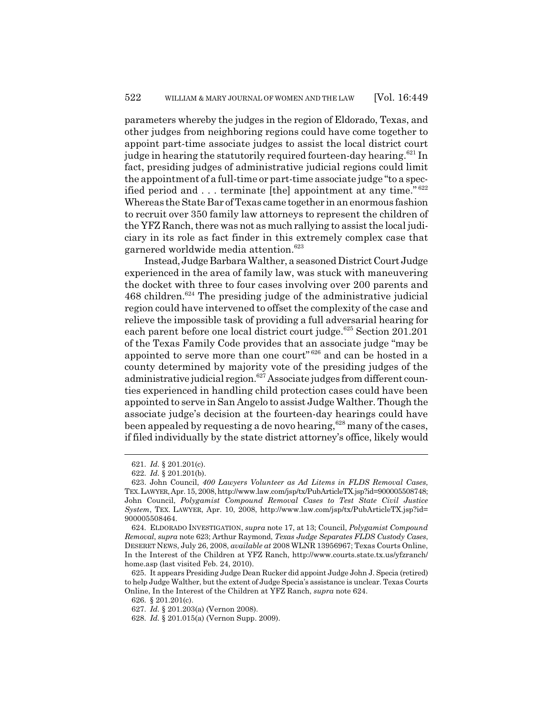parameters whereby the judges in the region of Eldorado, Texas, and other judges from neighboring regions could have come together to appoint part-time associate judges to assist the local district court judge in hearing the statutorily required fourteen-day hearing.<sup>621</sup> In fact, presiding judges of administrative judicial regions could limit the appointment of a full-time or part-time associate judge "to a specified period and . . . terminate [the] appointment at any time."<sup>622</sup> Whereas the State Bar of Texas came together in an enormous fashion to recruit over 350 family law attorneys to represent the children of the YFZ Ranch, there was not as much rallying to assist the local judiciary in its role as fact finder in this extremely complex case that garnered worldwide media attention.<sup>623</sup>

Instead, Judge Barbara Walther, a seasoned District Court Judge experienced in the area of family law, was stuck with maneuvering the docket with three to four cases involving over 200 parents and  $468$  children.<sup>624</sup> The presiding judge of the administrative judicial region could have intervened to offset the complexity of the case and relieve the impossible task of providing a full adversarial hearing for each parent before one local district court judge.<sup>625</sup> Section 201.201 of the Texas Family Code provides that an associate judge "may be appointed to serve more than one court" 626 and can be hosted in a county determined by majority vote of the presiding judges of the administrative judicial region.<sup>627</sup> Associate judges from different counties experienced in handling child protection cases could have been appointed to serve in San Angelo to assist Judge Walther. Though the associate judge's decision at the fourteen-day hearings could have been appealed by requesting a de novo hearing,<sup>628</sup> many of the cases, if filed individually by the state district attorney's office, likely would

<sup>621.</sup> *Id.* § 201.201(c).

<sup>622.</sup> *Id.* § 201.201(b).

<sup>623.</sup> John Council, *400 Lawyers Volunteer as Ad Litems in FLDS Removal Cases*, TEX.LAWYER, Apr. 15, 2008, http://www.law.com/jsp/tx/PubArticleTX.jsp?id=900005508748; John Council, *Polygamist Compound Removal Cases to Test State Civil Justice System*, TEX. LAWYER, Apr. 10, 2008, http://www.law.com/jsp/tx/PubArticleTX.jsp?id= 900005508464.

<sup>624.</sup> ELDORADO INVESTIGATION, *supra* note 17, at 13; Council, *Polygamist Compound Removal*, *supra* note 623; Arthur Raymond, *Texas Judge Separates FLDS Custody Cases*, DESERET NEWS, July 26, 2008, *available at* 2008 WLNR 13956967; Texas Courts Online, In the Interest of the Children at YFZ Ranch, http://www.courts.state.tx.us/yfzranch/ home.asp (last visited Feb. 24, 2010).

<sup>625.</sup> It appears Presiding Judge Dean Rucker did appoint Judge John J. Specia (retired) to help Judge Walther, but the extent of Judge Specia's assistance is unclear. Texas Courts Online, In the Interest of the Children at YFZ Ranch, *supra* note 624.

<sup>626. § 201.201(</sup>c).

<sup>627.</sup> *Id.* § 201.203(a) (Vernon 2008).

<sup>628.</sup> *Id.* § 201.015(a) (Vernon Supp. 2009).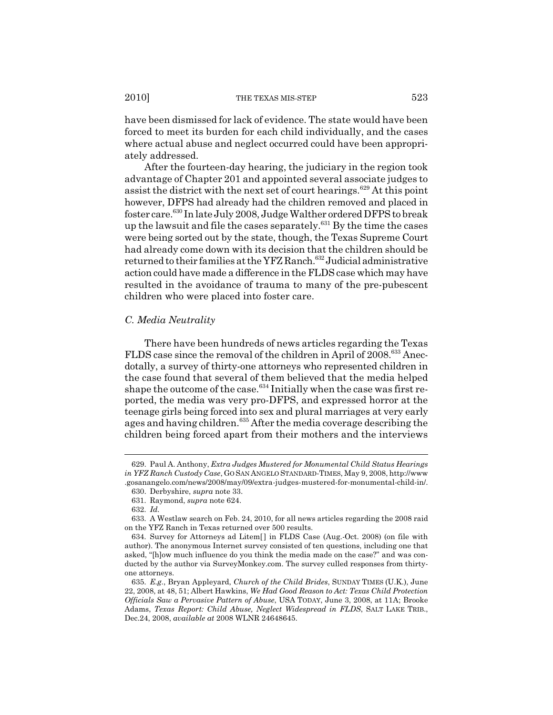have been dismissed for lack of evidence. The state would have been forced to meet its burden for each child individually, and the cases where actual abuse and neglect occurred could have been appropriately addressed.

After the fourteen-day hearing, the judiciary in the region took advantage of Chapter 201 and appointed several associate judges to assist the district with the next set of court hearings.<sup>629</sup> At this point however, DFPS had already had the children removed and placed in foster care.630 In late July 2008, Judge Walther ordered DFPS to break up the lawsuit and file the cases separately. $631$  By the time the cases were being sorted out by the state, though, the Texas Supreme Court had already come down with its decision that the children should be returned to their families at the YFZ Ranch.<sup>632</sup> Judicial administrative action could have made a difference in the FLDS case which may have resulted in the avoidance of trauma to many of the pre-pubescent children who were placed into foster care.

## *C. Media Neutrality*

There have been hundreds of news articles regarding the Texas FLDS case since the removal of the children in April of 2008.<sup>633</sup> Anecdotally, a survey of thirty-one attorneys who represented children in the case found that several of them believed that the media helped shape the outcome of the case.<sup>634</sup> Initially when the case was first reported, the media was very pro-DFPS, and expressed horror at the teenage girls being forced into sex and plural marriages at very early ages and having children.<sup>635</sup> After the media coverage describing the children being forced apart from their mothers and the interviews

<sup>629.</sup> Paul A. Anthony, *Extra Judges Mustered for Monumental Child Status Hearings in YFZ Ranch Custody Case*, GO SAN ANGELO STANDARD-TIMES, May 9, 2008, http://www .gosanangelo.com/news/2008/may/09/extra-judges-mustered-for-monumental-child-in/.

<sup>630.</sup> Derbyshire, *supra* note 33.

<sup>631.</sup> Raymond, *supra* note 624.

<sup>632.</sup> *Id.*

<sup>633.</sup> A Westlaw search on Feb. 24, 2010, for all news articles regarding the 2008 raid on the YFZ Ranch in Texas returned over 500 results.

<sup>634.</sup> Survey for Attorneys ad Litem[ ] in FLDS Case (Aug.-Oct. 2008) (on file with author). The anonymous Internet survey consisted of ten questions, including one that asked, "[h]ow much influence do you think the media made on the case?" and was conducted by the author via SurveyMonkey.com. The survey culled responses from thirtyone attorneys.

<sup>635.</sup> *E.g.*, Bryan Appleyard, *Church of the Child Brides*, SUNDAY TIMES (U.K.), June 22, 2008, at 48, 51; Albert Hawkins, *We Had Good Reason to Act: Texas Child Protection Officials Saw a Pervasive Pattern of Abuse*, USA TODAY, June 3, 2008, at 11A; Brooke Adams, *Texas Report: Child Abuse, Neglect Widespread in FLDS*, SALT LAKE TRIB., Dec.24, 2008, *available at* 2008 WLNR 24648645.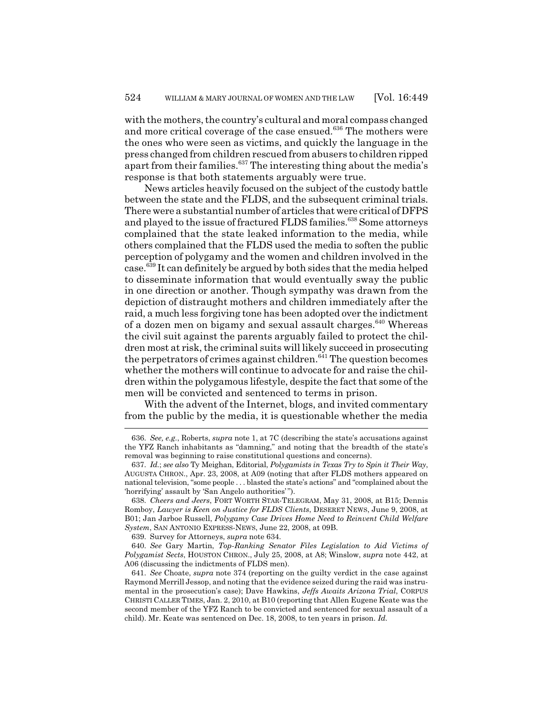with the mothers, the country's cultural and moral compass changed and more critical coverage of the case ensued.<sup>636</sup> The mothers were the ones who were seen as victims, and quickly the language in the press changed from children rescued from abusers to children ripped apart from their families.637 The interesting thing about the media's response is that both statements arguably were true.

News articles heavily focused on the subject of the custody battle between the state and the FLDS, and the subsequent criminal trials. There were a substantial number of articles that were critical of DFPS and played to the issue of fractured FLDS families.<sup>638</sup> Some attorneys complained that the state leaked information to the media, while others complained that the FLDS used the media to soften the public perception of polygamy and the women and children involved in the case.639 It can definitely be argued by both sides that the media helped to disseminate information that would eventually sway the public in one direction or another. Though sympathy was drawn from the depiction of distraught mothers and children immediately after the raid, a much less forgiving tone has been adopted over the indictment of a dozen men on bigamy and sexual assault charges. $640$  Whereas the civil suit against the parents arguably failed to protect the children most at risk, the criminal suits will likely succeed in prosecuting the perpetrators of crimes against children.<sup>641</sup> The question becomes whether the mothers will continue to advocate for and raise the children within the polygamous lifestyle, despite the fact that some of the men will be convicted and sentenced to terms in prison.

With the advent of the Internet, blogs, and invited commentary from the public by the media, it is questionable whether the media

639. Survey for Attorneys, *supra* note 634.

640. *See* Gary Martin, *Top-Ranking Senator Files Legislation to Aid Victims of Polygamist Sects*, HOUSTON CHRON., July 25, 2008, at A8; Winslow, *supra* note 442, at A06 (discussing the indictments of FLDS men).

<sup>636.</sup> *See, e.g.*, Roberts, *supra* note 1, at 7C (describing the state's accusations against the YFZ Ranch inhabitants as "damning," and noting that the breadth of the state's removal was beginning to raise constitutional questions and concerns).

<sup>637.</sup> *Id.*; *see also* Ty Meighan, Editorial, *Polygamists in Texas Try to Spin it Their Way*, AUGUSTA CHRON., Apr. 23, 2008, at A09 (noting that after FLDS mothers appeared on national television, "some people . . . blasted the state's actions" and "complained about the 'horrifying' assault by 'San Angelo authorities' ").

<sup>638.</sup> *Cheers and Jeers*, FORT WORTH STAR-TELEGRAM, May 31, 2008, at B15; Dennis Romboy, *Lawyer is Keen on Justice for FLDS Clients*, DESERET NEWS, June 9, 2008, at B01; Jan Jarboe Russell, *Polygamy Case Drives Home Need to Reinvent Child Welfare System*, SAN ANTONIO EXPRESS-NEWS, June 22, 2008, at 09B.

<sup>641.</sup> *See* Choate, *supra* note 374 (reporting on the guilty verdict in the case against Raymond Merrill Jessop, and noting that the evidence seized during the raid was instrumental in the prosecution's case); Dave Hawkins, *Jeffs Awaits Arizona Trial*, CORPUS CHRISTI CALLER TIMES, Jan. 2, 2010, at B10 (reporting that Allen Eugene Keate was the second member of the YFZ Ranch to be convicted and sentenced for sexual assault of a child). Mr. Keate was sentenced on Dec. 18, 2008, to ten years in prison. *Id.*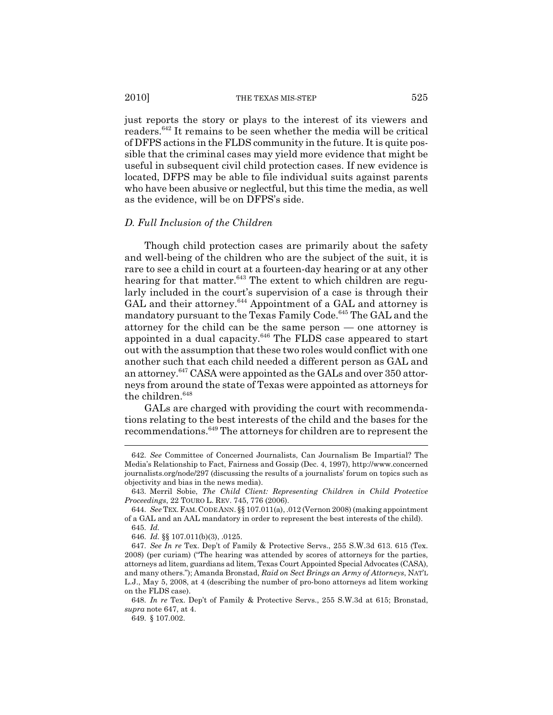just reports the story or plays to the interest of its viewers and readers.642 It remains to be seen whether the media will be critical of DFPS actions in the FLDS community in the future. It is quite possible that the criminal cases may yield more evidence that might be useful in subsequent civil child protection cases. If new evidence is located, DFPS may be able to file individual suits against parents who have been abusive or neglectful, but this time the media, as well as the evidence, will be on DFPS's side.

# *D. Full Inclusion of the Children*

Though child protection cases are primarily about the safety and well-being of the children who are the subject of the suit, it is rare to see a child in court at a fourteen-day hearing or at any other hearing for that matter. $643$  The extent to which children are regularly included in the court's supervision of a case is through their GAL and their attorney.<sup>644</sup> Appointment of a GAL and attorney is mandatory pursuant to the Texas Family Code.<sup>645</sup> The GAL and the attorney for the child can be the same person — one attorney is appointed in a dual capacity.<sup>646</sup> The FLDS case appeared to start out with the assumption that these two roles would conflict with one another such that each child needed a different person as GAL and an attorney.<sup>647</sup> CASA were appointed as the GALs and over 350 attorneys from around the state of Texas were appointed as attorneys for the children.<sup>648</sup>

GALs are charged with providing the court with recommendations relating to the best interests of the child and the bases for the recommendations.649 The attorneys for children are to represent the

<sup>642.</sup> *See* Committee of Concerned Journalists, Can Journalism Be Impartial? The Media's Relationship to Fact, Fairness and Gossip (Dec. 4, 1997), http://www.concerned journalists.org/node/297 (discussing the results of a journalists' forum on topics such as objectivity and bias in the news media).

<sup>643.</sup> Merril Sobie, *The Child Client: Representing Children in Child Protective Proceedings*, 22 TOURO L. REV. 745, 776 (2006).

<sup>644.</sup> *See* TEX.FAM.CODE ANN. §§ 107.011(a), .012 (Vernon 2008) (making appointment of a GAL and an AAL mandatory in order to represent the best interests of the child). 645. *Id.*

<sup>646.</sup> *Id.* §§ 107.011(b)(3), .0125.

<sup>647.</sup> *See In re* Tex. Dep't of Family & Protective Servs., 255 S.W.3d 613. 615 (Tex. 2008) (per curiam) ("The hearing was attended by scores of attorneys for the parties, attorneys ad litem, guardians ad litem, Texas Court Appointed Special Advocates (CASA), and many others."); Amanda Bronstad, *Raid on Sect Brings an Army of Attorneys*, NAT'L L.J., May 5, 2008, at 4 (describing the number of pro-bono attorneys ad litem working on the FLDS case).

<sup>648.</sup> *In re* Tex. Dep't of Family & Protective Servs., 255 S.W.3d at 615; Bronstad, *supra* note 647, at 4.

<sup>649. § 107.002.</sup>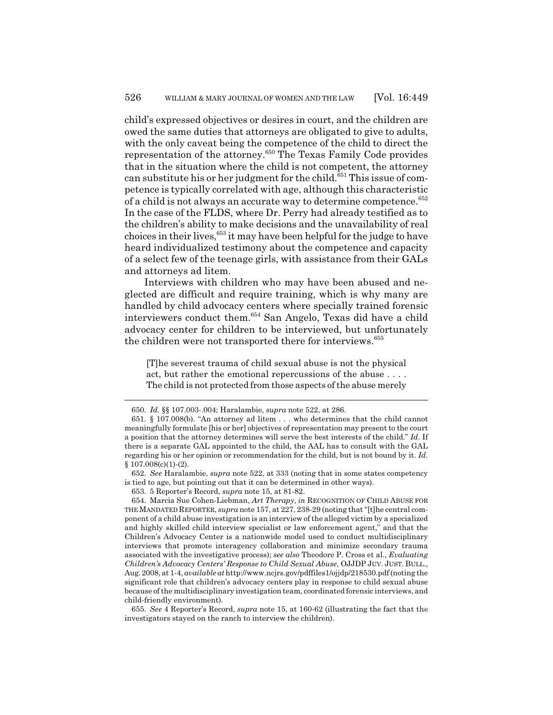child's expressed objectives or desires in court, and the children are owed the same duties that attorneys are obligated to give to adults, with the only caveat being the competence of the child to direct the representation of the attorney.650 The Texas Family Code provides that in the situation where the child is not competent, the attorney can substitute his or her judgment for the child.<sup>651</sup> This issue of competence is typically correlated with age, although this characteristic of a child is not always an accurate way to determine competence.<sup>652</sup> In the case of the FLDS, where Dr. Perry had already testified as to the children's ability to make decisions and the unavailability of real choices in their lives,<sup>653</sup> it may have been helpful for the judge to have heard individualized testimony about the competence and capacity of a select few of the teenage girls, with assistance from their GALs and attorneys ad litem.

Interviews with children who may have been abused and neglected are difficult and require training, which is why many are handled by child advocacy centers where specially trained forensic interviewers conduct them.654 San Angelo, Texas did have a child advocacy center for children to be interviewed, but unfortunately the children were not transported there for interviews.<sup>655</sup>

[T]he severest trauma of child sexual abuse is not the physical act, but rather the emotional repercussions of the abuse . . . . The child is not protected from those aspects of the abuse merely

652. *See* Haralambie, *supra* note 522, at 333 (noting that in some states competency is tied to age, but pointing out that it can be determined in other ways).

655. *See* 4 Reporter's Record, *supra* note 15, at 160-62 (illustrating the fact that the investigators stayed on the ranch to interview the children).

<sup>650.</sup> *Id.* §§ 107.003-.004; Haralambie, *supra* note 522, at 286.

<sup>651. § 107.008(</sup>b). "An attorney ad litem . . . who determines that the child cannot meaningfully formulate [his or her] objectives of representation may present to the court a position that the attorney determines will serve the best interests of the child." *Id.* If there is a separate GAL appointed to the child, the AAL has to consult with the GAL regarding his or her opinion or recommendation for the child, but is not bound by it. *Id.*  $$107.008(c)(1)-(2).$ 

<sup>653. 5</sup> Reporter's Record, *supra* note 15, at 81-82.

<sup>654.</sup> Marcia Sue Cohen-Liebman, *Art Therapy*, *in* RECOGNITION OF CHILD ABUSE FOR THE MANDATED REPORTER, *supra* note 157, at 227, 238-29 (noting that "[t]he central component of a child abuse investigation is an interview of the alleged victim by a specialized and highly skilled child interview specialist or law enforcement agent," and that the Children's Advocacy Center is a nationwide model used to conduct multidisciplinary interviews that promote interagency collaboration and minimize secondary trauma associated with the investigative process); *see also* Theodore P. Cross et al., *Evaluating Children's Advocacy Centers' Response to Child Sexual Abuse*, OJJDP JUV. JUST. BULL., Aug. 2008, at 1-4, *available at* http://www.ncjrs.gov/pdffiles1/ojjdp/218530.pdf (noting the significant role that children's advocacy centers play in response to child sexual abuse because of the multidisciplinary investigation team, coordinated forensic interviews, and child-friendly environment).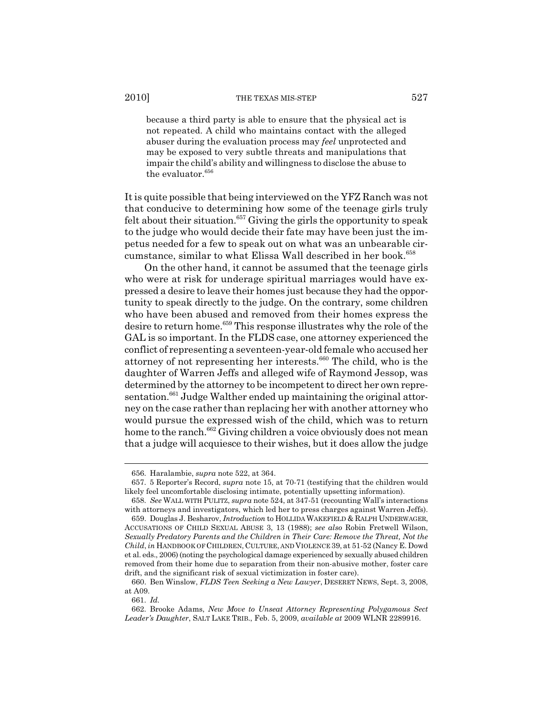because a third party is able to ensure that the physical act is not repeated. A child who maintains contact with the alleged abuser during the evaluation process may *feel* unprotected and may be exposed to very subtle threats and manipulations that impair the child's ability and willingness to disclose the abuse to the evaluator.<sup>656</sup>

It is quite possible that being interviewed on the YFZ Ranch was not that conducive to determining how some of the teenage girls truly felt about their situation.<sup>657</sup> Giving the girls the opportunity to speak to the judge who would decide their fate may have been just the impetus needed for a few to speak out on what was an unbearable circumstance, similar to what Elissa Wall described in her book.<sup>658</sup>

On the other hand, it cannot be assumed that the teenage girls who were at risk for underage spiritual marriages would have expressed a desire to leave their homes just because they had the opportunity to speak directly to the judge. On the contrary, some children who have been abused and removed from their homes express the desire to return home.<sup>659</sup> This response illustrates why the role of the GAL is so important. In the FLDS case, one attorney experienced the conflict of representing a seventeen-year-old female who accused her attorney of not representing her interests.<sup>660</sup> The child, who is the daughter of Warren Jeffs and alleged wife of Raymond Jessop, was determined by the attorney to be incompetent to direct her own repre $s$ entation.<sup>661</sup> Judge Walther ended up maintaining the original attorney on the case rather than replacing her with another attorney who would pursue the expressed wish of the child, which was to return home to the ranch.<sup>662</sup> Giving children a voice obviously does not mean that a judge will acquiesce to their wishes, but it does allow the judge

<sup>656.</sup> Haralambie, *supra* note 522, at 364.

<sup>657. 5</sup> Reporter's Record, *supra* note 15, at 70-71 (testifying that the children would likely feel uncomfortable disclosing intimate, potentially upsetting information).

<sup>658.</sup> *See* WALL WITH PULITZ, *supra* note 524, at 347-51 (recounting Wall's interactions with attorneys and investigators, which led her to press charges against Warren Jeffs).

<sup>659.</sup> Douglas J. Besharov, *Introduction* to HOLLIDA WAKEFIELD & RALPH UNDERWAGER, ACCUSATIONS OF CHILD SEXUAL ABUSE 3, 13 (1988); *see also* Robin Fretwell Wilson, *Sexually Predatory Parents and the Children in Their Care: Remove the Threat, Not the Child*, *in* HANDBOOK OF CHILDREN, CULTURE, AND VIOLENCE 39, at 51-52 (Nancy E. Dowd et al. eds., 2006) (noting the psychological damage experienced by sexually abused children removed from their home due to separation from their non-abusive mother, foster care drift, and the significant risk of sexual victimization in foster care).

<sup>660.</sup> Ben Winslow, *FLDS Teen Seeking a New Lawyer*, DESERET NEWS, Sept. 3, 2008, at A09.

<sup>661.</sup> *Id.*

<sup>662.</sup> Brooke Adams, *New Move to Unseat Attorney Representing Polygamous Sect Leader's Daughter*, SALT LAKE TRIB., Feb. 5, 2009, *available at* 2009 WLNR 2289916.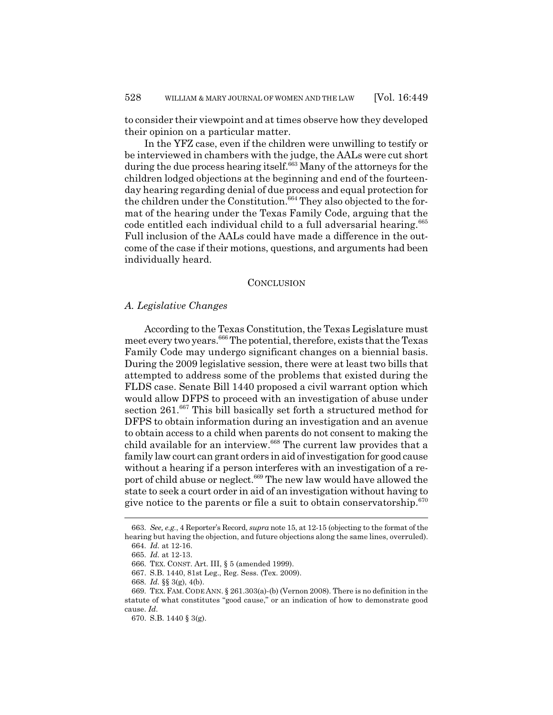to consider their viewpoint and at times observe how they developed their opinion on a particular matter.

In the YFZ case, even if the children were unwilling to testify or be interviewed in chambers with the judge, the AALs were cut short during the due process hearing itself.<sup>663</sup> Many of the attorneys for the children lodged objections at the beginning and end of the fourteenday hearing regarding denial of due process and equal protection for the children under the Constitution.<sup>664</sup> They also objected to the format of the hearing under the Texas Family Code, arguing that the code entitled each individual child to a full adversarial hearing.<sup>665</sup> Full inclusion of the AALs could have made a difference in the outcome of the case if their motions, questions, and arguments had been individually heard.

### **CONCLUSION**

### *A. Legislative Changes*

According to the Texas Constitution, the Texas Legislature must meet every two years.<sup>666</sup> The potential, therefore, exists that the Texas Family Code may undergo significant changes on a biennial basis. During the 2009 legislative session, there were at least two bills that attempted to address some of the problems that existed during the FLDS case. Senate Bill 1440 proposed a civil warrant option which would allow DFPS to proceed with an investigation of abuse under section 261.<sup>667</sup> This bill basically set forth a structured method for DFPS to obtain information during an investigation and an avenue to obtain access to a child when parents do not consent to making the child available for an interview.<sup>668</sup> The current law provides that a family law court can grant orders in aid of investigation for good cause without a hearing if a person interferes with an investigation of a report of child abuse or neglect.<sup>669</sup> The new law would have allowed the state to seek a court order in aid of an investigation without having to give notice to the parents or file a suit to obtain conservatorship. $670$ 

<sup>663.</sup> *See, e.g.*, 4 Reporter's Record, *supra* note 15, at 12-15 (objecting to the format of the hearing but having the objection, and future objections along the same lines, overruled). 664. *Id.* at 12-16.

<sup>665.</sup> *Id.* at 12-13.

<sup>666.</sup> TEX. CONST. Art. III, § 5 (amended 1999).

<sup>667.</sup> S.B. 1440, 81st Leg., Reg. Sess. (Tex. 2009).

<sup>668.</sup> *Id.* §§ 3(g), 4(b).

<sup>669.</sup> TEX.FAM. CODE ANN. § 261.303(a)-(b) (Vernon 2008). There is no definition in the statute of what constitutes "good cause," or an indication of how to demonstrate good cause. *Id.*

<sup>670.</sup> S.B. 1440 § 3(g).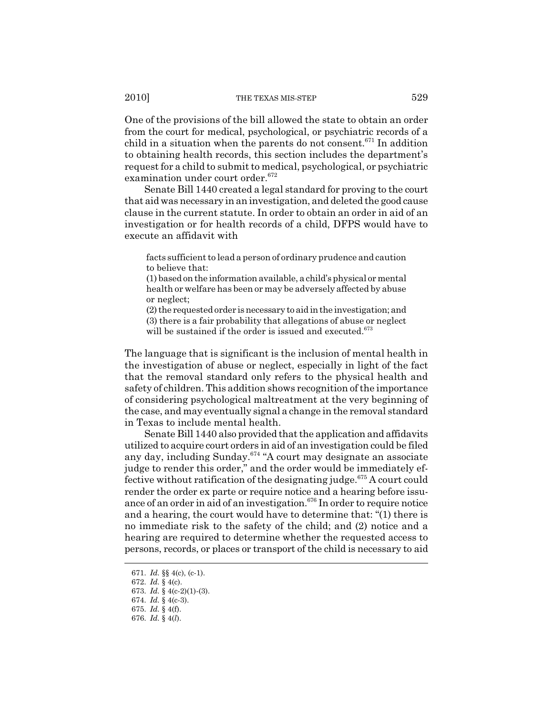One of the provisions of the bill allowed the state to obtain an order from the court for medical, psychological, or psychiatric records of a child in a situation when the parents do not consent.<sup>671</sup> In addition to obtaining health records, this section includes the department's request for a child to submit to medical, psychological, or psychiatric examination under court order.<sup>672</sup>

Senate Bill 1440 created a legal standard for proving to the court that aid was necessary in an investigation, and deleted the good cause clause in the current statute. In order to obtain an order in aid of an investigation or for health records of a child, DFPS would have to execute an affidavit with

facts sufficient to lead a person of ordinary prudence and caution to believe that:

(1) based on the information available, a child's physical or mental health or welfare has been or may be adversely affected by abuse or neglect;

(2) the requested order is necessary to aid in the investigation; and (3) there is a fair probability that allegations of abuse or neglect

will be sustained if the order is issued and executed.<sup>673</sup>

The language that is significant is the inclusion of mental health in the investigation of abuse or neglect, especially in light of the fact that the removal standard only refers to the physical health and safety of children. This addition shows recognition of the importance of considering psychological maltreatment at the very beginning of the case, and may eventually signal a change in the removal standard in Texas to include mental health.

Senate Bill 1440 also provided that the application and affidavits utilized to acquire court orders in aid of an investigation could be filed any day, including Sunday.<sup>674</sup> "A court may designate an associate judge to render this order," and the order would be immediately effective without ratification of the designating judge.<sup>675</sup> A court could render the order ex parte or require notice and a hearing before issuance of an order in aid of an investigation.<sup>676</sup> In order to require notice and a hearing, the court would have to determine that: "(1) there is no immediate risk to the safety of the child; and (2) notice and a hearing are required to determine whether the requested access to persons, records, or places or transport of the child is necessary to aid

<sup>671.</sup> *Id.* §§ 4(c), (c-1).

<sup>672.</sup> *Id.* § 4(c).

<sup>673.</sup> *Id.* § 4(c-2)(1)-(3).

<sup>674.</sup> *Id.* § 4(c-3).

<sup>675.</sup> *Id.* § 4(f).

<sup>676.</sup> *Id.* § 4(*l*).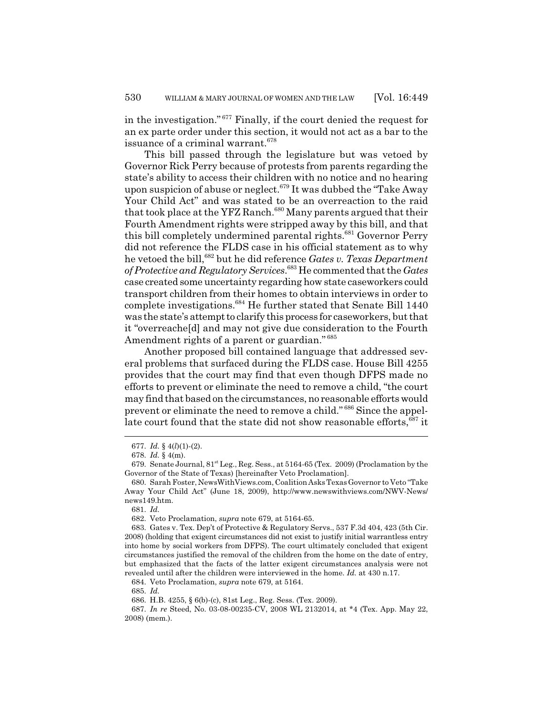in the investigation." 677 Finally, if the court denied the request for an ex parte order under this section, it would not act as a bar to the issuance of a criminal warrant.<sup>678</sup>

This bill passed through the legislature but was vetoed by Governor Rick Perry because of protests from parents regarding the state's ability to access their children with no notice and no hearing upon suspicion of abuse or neglect.<sup>679</sup> It was dubbed the "Take Away Your Child Act" and was stated to be an overreaction to the raid that took place at the YFZ Ranch.<sup>680</sup> Many parents argued that their Fourth Amendment rights were stripped away by this bill, and that this bill completely undermined parental rights.<sup>681</sup> Governor Perry did not reference the FLDS case in his official statement as to why he vetoed the bill,<sup>682</sup> but he did reference *Gates v. Texas Department of Protective and Regulatory Services*. 683 He commented that the *Gates* case created some uncertainty regarding how state caseworkers could transport children from their homes to obtain interviews in order to complete investigations.684 He further stated that Senate Bill 1440 was the state's attempt to clarify this process for caseworkers, but that it "overreache[d] and may not give due consideration to the Fourth Amendment rights of a parent or guardian."<sup>685</sup>

Another proposed bill contained language that addressed several problems that surfaced during the FLDS case. House Bill 4255 provides that the court may find that even though DFPS made no efforts to prevent or eliminate the need to remove a child, "the court may find that based on the circumstances, no reasonable efforts would prevent or eliminate the need to remove a child." 686 Since the appellate court found that the state did not show reasonable efforts,  $687$  it

684. Veto Proclamation, *supra* note 679, at 5164.

685. *Id.*

<sup>677.</sup> *Id.* § 4(*l*)(1)-(2).

<sup>678.</sup> *Id.* § 4(m).

<sup>679.</sup> Senate Journal,  $81<sup>st</sup>$  Leg., Reg. Sess., at 5164-65 (Tex. 2009) (Proclamation by the Governor of the State of Texas) [hereinafter Veto Proclamation].

<sup>680.</sup> Sarah Foster, NewsWithViews.com, Coalition Asks Texas Governor to Veto "Take Away Your Child Act" (June 18, 2009), http://www.newswithviews.com/NWV-News/ news149.htm.

<sup>681.</sup> *Id.*

<sup>682.</sup> Veto Proclamation, *supra* note 679, at 5164-65.

<sup>683.</sup> Gates v. Tex. Dep't of Protective & Regulatory Servs., 537 F.3d 404, 423 (5th Cir. 2008) (holding that exigent circumstances did not exist to justify initial warrantless entry into home by social workers from DFPS). The court ultimately concluded that exigent circumstances justified the removal of the children from the home on the date of entry, but emphasized that the facts of the latter exigent circumstances analysis were not revealed until after the children were interviewed in the home. *Id.* at 430 n.17.

<sup>686.</sup> H.B. 4255, § 6(b)-(c), 81st Leg., Reg. Sess. (Tex. 2009).

<sup>687.</sup> *In re* Steed, No. 03-08-00235-CV, 2008 WL 2132014, at \*4 (Tex. App. May 22, 2008) (mem.).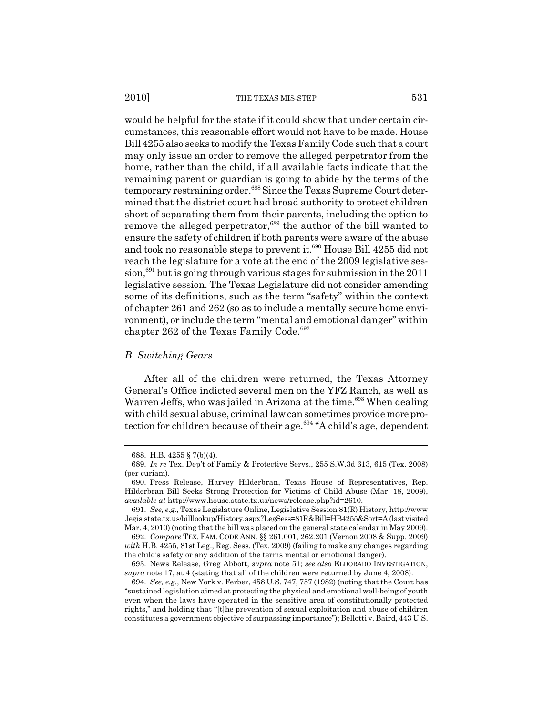would be helpful for the state if it could show that under certain circumstances, this reasonable effort would not have to be made. House Bill 4255 also seeks to modify the Texas Family Code such that a court may only issue an order to remove the alleged perpetrator from the home, rather than the child, if all available facts indicate that the remaining parent or guardian is going to abide by the terms of the temporary restraining order.<sup>688</sup> Since the Texas Supreme Court determined that the district court had broad authority to protect children short of separating them from their parents, including the option to remove the alleged perpetrator,<sup>689</sup> the author of the bill wanted to ensure the safety of children if both parents were aware of the abuse and took no reasonable steps to prevent it.<sup>690</sup> House Bill 4255 did not reach the legislature for a vote at the end of the 2009 legislative ses $sion, <sup>691</sup>$  but is going through various stages for submission in the 2011 legislative session. The Texas Legislature did not consider amending some of its definitions, such as the term "safety" within the context of chapter 261 and 262 (so as to include a mentally secure home environment), or include the term "mental and emotional danger" within chapter 262 of the Texas Family Code.<sup>692</sup>

### *B. Switching Gears*

After all of the children were returned, the Texas Attorney General's Office indicted several men on the YFZ Ranch, as well as Warren Jeffs, who was jailed in Arizona at the time.<sup>693</sup> When dealing with child sexual abuse, criminal law can sometimes provide more protection for children because of their age.<sup>694</sup> "A child's age, dependent

<sup>688.</sup> H.B. 4255 § 7(b)(4).

<sup>689.</sup> *In re* Tex. Dep't of Family & Protective Servs., 255 S.W.3d 613, 615 (Tex. 2008) (per curiam).

<sup>690.</sup> Press Release, Harvey Hilderbran, Texas House of Representatives, Rep. Hilderbran Bill Seeks Strong Protection for Victims of Child Abuse (Mar. 18, 2009), *available at* http://www.house.state.tx.us/news/release.php?id=2610.

<sup>691.</sup> *See, e.g.*, Texas Legislature Online, Legislative Session 81(R) History, http://www .legis.state.tx.us/billlookup/History.aspx?LegSess=81R&Bill=HB4255&Sort=A (last visited Mar. 4, 2010) (noting that the bill was placed on the general state calendar in May 2009).

<sup>692.</sup> *Compare* TEX. FAM. CODE ANN. §§ 261.001, 262.201 (Vernon 2008 & Supp. 2009) *with* H.B. 4255, 81st Leg., Reg. Sess. (Tex. 2009) (failing to make any changes regarding the child's safety or any addition of the terms mental or emotional danger).

<sup>693.</sup> News Release, Greg Abbott, *supra* note 51; *see also* ELDORADO INVESTIGATION, *supra* note 17, at 4 (stating that all of the children were returned by June 4, 2008).

<sup>694.</sup> *See, e.g.*, New York v. Ferber, 458 U.S. 747, 757 (1982) (noting that the Court has "sustained legislation aimed at protecting the physical and emotional well-being of youth even when the laws have operated in the sensitive area of constitutionally protected rights," and holding that "[t]he prevention of sexual exploitation and abuse of children constitutes a government objective of surpassing importance"); Bellotti v. Baird, 443 U.S.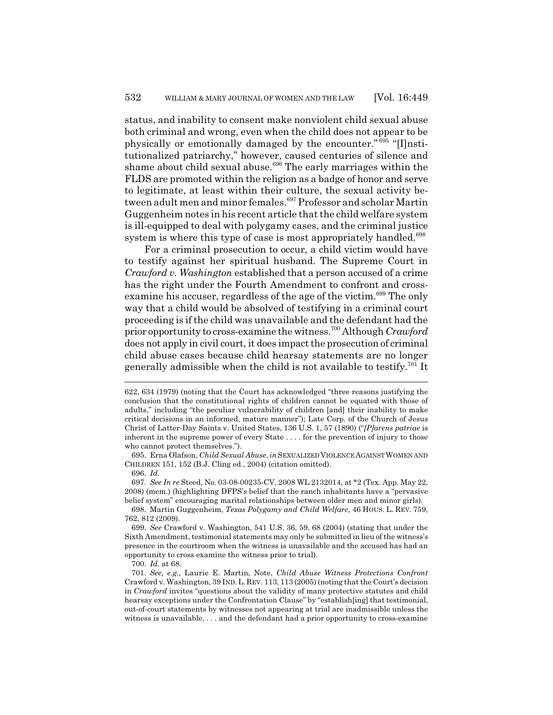status, and inability to consent make nonviolent child sexual abuse both criminal and wrong, even when the child does not appear to be physically or emotionally damaged by the encounter." 695 "[I]nstitutionalized patriarchy," however, caused centuries of silence and shame about child sexual abuse.<sup>696</sup> The early marriages within the FLDS are promoted within the religion as a badge of honor and serve to legitimate, at least within their culture, the sexual activity between adult men and minor females.<sup>697</sup> Professor and scholar Martin Guggenheim notes in his recent article that the child welfare system is ill-equipped to deal with polygamy cases, and the criminal justice system is where this type of case is most appropriately handled.<sup>698</sup>

For a criminal prosecution to occur, a child victim would have to testify against her spiritual husband. The Supreme Court in *Crawford v. Washington* established that a person accused of a crime has the right under the Fourth Amendment to confront and crossexamine his accuser, regardless of the age of the victim.<sup>699</sup> The only way that a child would be absolved of testifying in a criminal court proceeding is if the child was unavailable and the defendant had the prior opportunity to cross-examine the witness.700 Although *Crawford* does not apply in civil court, it does impact the prosecution of criminal child abuse cases because child hearsay statements are no longer generally admissible when the child is not available to testify.<sup>701</sup> It

700. *Id.* at 68.

<sup>622, 634 (1979) (</sup>noting that the Court has acknowledged "three reasons justifying the conclusion that the constitutional rights of children cannot be equated with those of adults," including "the peculiar vulnerability of children [and] their inability to make critical decisions in an informed, mature manner"); Late Corp. of the Church of Jesus Christ of Latter-Day Saints v. United States, 136 U.S. 1, 57 (1890) ("*[P]arens patriae* is inherent in the supreme power of every State . . . . for the prevention of injury to those who cannot protect themselves.").

<sup>695.</sup> Erna Olafson, *Child Sexual Abuse*, *in*SEXUALIZED VIOLENCE AGAINST WOMEN AND CHILDREN 151, 152 (B.J. Cling ed., 2004) (citation omitted).

<sup>696.</sup> *Id.*

<sup>697.</sup> *See In re* Steed, No. 03-08-00235-CV, 2008 WL 2132014, at \*2 (Tex. App. May 22, 2008) (mem.) (highlighting DFPS's belief that the ranch inhabitants have a "pervasive belief system" encouraging marital relationships between older men and minor girls).

<sup>698.</sup> Martin Guggenheim, *Texas Polygamy and Child Welfare*, 46 HOUS. L. REV. 759, 762, 812 (2009).

<sup>699.</sup> *See* Crawford v. Washington, 541 U.S. 36, 59, 68 (2004) (stating that under the Sixth Amendment, testimonial statements may only be submitted in lieu of the witness's presence in the courtroom when the witness is unavailable and the accused has had an opportunity to cross examine the witness prior to trial).

<sup>701.</sup> *See, e.g.*, Laurie E. Martin, Note, *Child Abuse Witness Protections Confront* Crawford v. Washington, 39 IND.L.REV. 113, 113 (2005) (noting that the Court's decision in *Crawford* invites "questions about the validity of many protective statutes and child hearsay exceptions under the Confrontation Clause" by "establish[ing] that testimonial, out-of-court statements by witnesses not appearing at trial are inadmissible unless the witness is unavailable, . . . and the defendant had a prior opportunity to cross-examine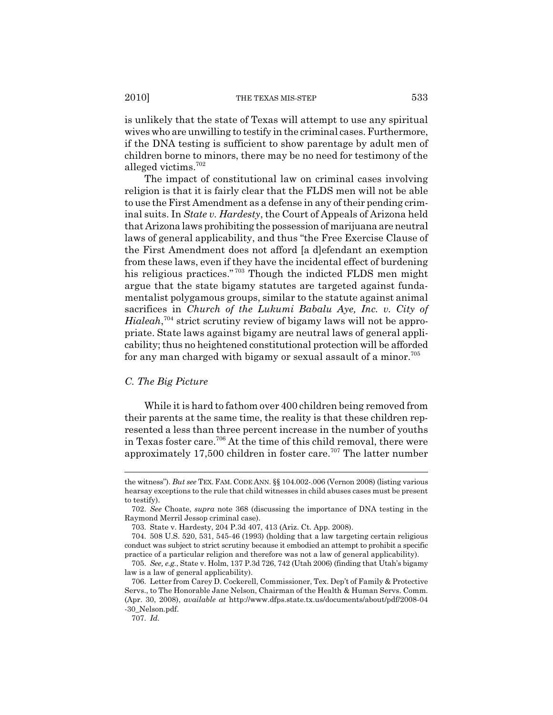is unlikely that the state of Texas will attempt to use any spiritual wives who are unwilling to testify in the criminal cases. Furthermore, if the DNA testing is sufficient to show parentage by adult men of children borne to minors, there may be no need for testimony of the alleged victims.702

The impact of constitutional law on criminal cases involving religion is that it is fairly clear that the FLDS men will not be able to use the First Amendment as a defense in any of their pending criminal suits. In *State v. Hardesty*, the Court of Appeals of Arizona held that Arizona laws prohibiting the possession of marijuana are neutral laws of general applicability, and thus "the Free Exercise Clause of the First Amendment does not afford [a d]efendant an exemption from these laws, even if they have the incidental effect of burdening his religious practices."<sup>703</sup> Though the indicted FLDS men might argue that the state bigamy statutes are targeted against fundamentalist polygamous groups, similar to the statute against animal sacrifices in *Church of the Lukumi Babalu Aye, Inc. v. City of Hialeah*, 704 strict scrutiny review of bigamy laws will not be appropriate. State laws against bigamy are neutral laws of general applicability; thus no heightened constitutional protection will be afforded for any man charged with bigamy or sexual assault of a minor.<sup>705</sup>

## *C. The Big Picture*

While it is hard to fathom over 400 children being removed from their parents at the same time, the reality is that these children represented a less than three percent increase in the number of youths in Texas foster care.706 At the time of this child removal, there were approximately 17,500 children in foster care.<sup>707</sup> The latter number

707. *Id.*

the witness"). *But see* TEX. FAM. CODE ANN. §§ 104.002-.006 (Vernon 2008) (listing various hearsay exceptions to the rule that child witnesses in child abuses cases must be present to testify).

<sup>702.</sup> *See* Choate, *supra* note 368 (discussing the importance of DNA testing in the Raymond Merril Jessop criminal case).

<sup>703.</sup> State v. Hardesty, 204 P.3d 407, 413 (Ariz. Ct. App. 2008).

<sup>704. 508</sup> U.S. 520, 531, 545-46 (1993) (holding that a law targeting certain religious conduct was subject to strict scrutiny because it embodied an attempt to prohibit a specific practice of a particular religion and therefore was not a law of general applicability).

<sup>705.</sup> *See, e.g.*, State v. Holm, 137 P.3d 726, 742 (Utah 2006) (finding that Utah's bigamy law is a law of general applicability).

<sup>706.</sup> Letter from Carey D. Cockerell, Commissioner, Tex. Dep't of Family & Protective Servs., to The Honorable Jane Nelson, Chairman of the Health & Human Servs. Comm. (Apr. 30, 2008), *available at* http://www.dfps.state.tx.us/documents/about/pdf/2008-04 -30\_Nelson.pdf.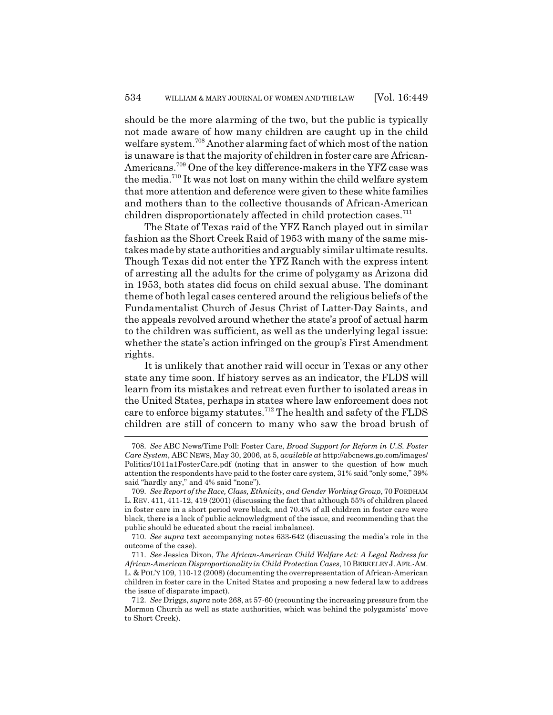should be the more alarming of the two, but the public is typically not made aware of how many children are caught up in the child welfare system.<sup>708</sup> Another alarming fact of which most of the nation is unaware is that the majority of children in foster care are African-Americans.709 One of the key difference-makers in the YFZ case was the media.710 It was not lost on many within the child welfare system that more attention and deference were given to these white families and mothers than to the collective thousands of African-American children disproportionately affected in child protection cases.<sup>711</sup>

The State of Texas raid of the YFZ Ranch played out in similar fashion as the Short Creek Raid of 1953 with many of the same mistakes made by state authorities and arguably similar ultimate results. Though Texas did not enter the YFZ Ranch with the express intent of arresting all the adults for the crime of polygamy as Arizona did in 1953, both states did focus on child sexual abuse. The dominant theme of both legal cases centered around the religious beliefs of the Fundamentalist Church of Jesus Christ of Latter-Day Saints, and the appeals revolved around whether the state's proof of actual harm to the children was sufficient, as well as the underlying legal issue: whether the state's action infringed on the group's First Amendment rights.

It is unlikely that another raid will occur in Texas or any other state any time soon. If history serves as an indicator, the FLDS will learn from its mistakes and retreat even further to isolated areas in the United States, perhaps in states where law enforcement does not care to enforce bigamy statutes.<sup>712</sup> The health and safety of the FLDS children are still of concern to many who saw the broad brush of

<sup>708.</sup> *See* ABC News/Time Poll: Foster Care, *Broad Support for Reform in U.S. Foster Care System*, ABC NEWS, May 30, 2006, at 5, *available at* http://abcnews.go.com/images/ Politics/1011a1FosterCare.pdf (noting that in answer to the question of how much attention the respondents have paid to the foster care system, 31% said "only some," 39% said "hardly any," and 4% said "none").

<sup>709.</sup> *See Report of the Race, Class, Ethnicity, and Gender Working Group*, 70 FORDHAM L. REV. 411, 411-12, 419 (2001) (discussing the fact that although 55% of children placed in foster care in a short period were black, and 70.4% of all children in foster care were black, there is a lack of public acknowledgment of the issue, and recommending that the public should be educated about the racial imbalance).

<sup>710.</sup> *See supra* text accompanying notes 633-642 (discussing the media's role in the outcome of the case).

<sup>711.</sup> *See* Jessica Dixon, *The African-American Child Welfare Act: A Legal Redress for African-American Disproportionality in Child Protection Cases*, 10 BERKELEY J.AFR.-AM. L. & POL'Y 109, 110-12 (2008) (documenting the overrepresentation of African-American children in foster care in the United States and proposing a new federal law to address the issue of disparate impact).

<sup>712.</sup> *See* Driggs, *supra* note 268, at 57-60 (recounting the increasing pressure from the Mormon Church as well as state authorities, which was behind the polygamists' move to Short Creek).